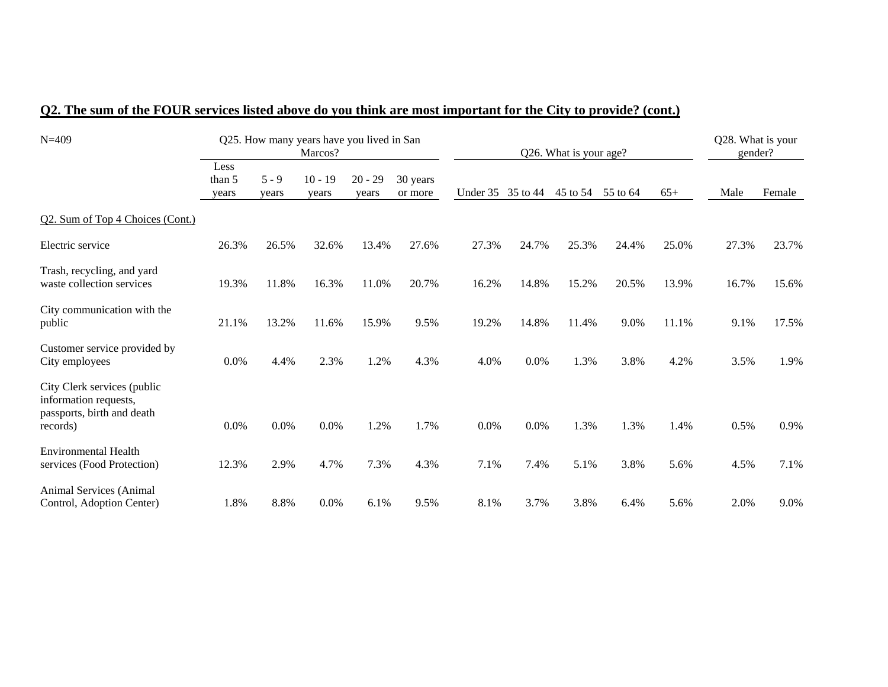| $N = 409$                                                                                      |                         |                  | Q25. How many years have you lived in San<br>Marcos? |                    |                     |                   |       | Q26. What is your age? |          |       | Q28. What is your<br>gender? |        |
|------------------------------------------------------------------------------------------------|-------------------------|------------------|------------------------------------------------------|--------------------|---------------------|-------------------|-------|------------------------|----------|-------|------------------------------|--------|
|                                                                                                | Less<br>than 5<br>years | $5 - 9$<br>years | $10 - 19$<br>years                                   | $20 - 29$<br>years | 30 years<br>or more | Under 35 35 to 44 |       | 45 to 54               | 55 to 64 | $65+$ | Male                         | Female |
| Q2. Sum of Top 4 Choices (Cont.)                                                               |                         |                  |                                                      |                    |                     |                   |       |                        |          |       |                              |        |
| Electric service                                                                               | 26.3%                   | 26.5%            | 32.6%                                                | 13.4%              | 27.6%               | 27.3%             | 24.7% | 25.3%                  | 24.4%    | 25.0% | 27.3%                        | 23.7%  |
| Trash, recycling, and yard<br>waste collection services                                        | 19.3%                   | 11.8%            | 16.3%                                                | 11.0%              | 20.7%               | 16.2%             | 14.8% | 15.2%                  | 20.5%    | 13.9% | 16.7%                        | 15.6%  |
| City communication with the<br>public                                                          | 21.1%                   | 13.2%            | 11.6%                                                | 15.9%              | 9.5%                | 19.2%             | 14.8% | 11.4%                  | 9.0%     | 11.1% | 9.1%                         | 17.5%  |
| Customer service provided by<br>City employees                                                 | 0.0%                    | 4.4%             | 2.3%                                                 | 1.2%               | 4.3%                | 4.0%              | 0.0%  | 1.3%                   | 3.8%     | 4.2%  | 3.5%                         | 1.9%   |
| City Clerk services (public<br>information requests,<br>passports, birth and death<br>records) | 0.0%                    | 0.0%             | $0.0\%$                                              | 1.2%               | 1.7%                | 0.0%              | 0.0%  | 1.3%                   | 1.3%     | 1.4%  | 0.5%                         | 0.9%   |
| <b>Environmental Health</b><br>services (Food Protection)                                      | 12.3%                   | 2.9%             | 4.7%                                                 | 7.3%               | 4.3%                | 7.1%              | 7.4%  | 5.1%                   | 3.8%     | 5.6%  | 4.5%                         | 7.1%   |
| Animal Services (Animal<br>Control, Adoption Center)                                           | 1.8%                    | 8.8%             | 0.0%                                                 | 6.1%               | 9.5%                | 8.1%              | 3.7%  | 3.8%                   | 6.4%     | 5.6%  | 2.0%                         | 9.0%   |

# **Q2. The sum of the FOUR services listed above do you think are most important for the City to provide? (cont.)**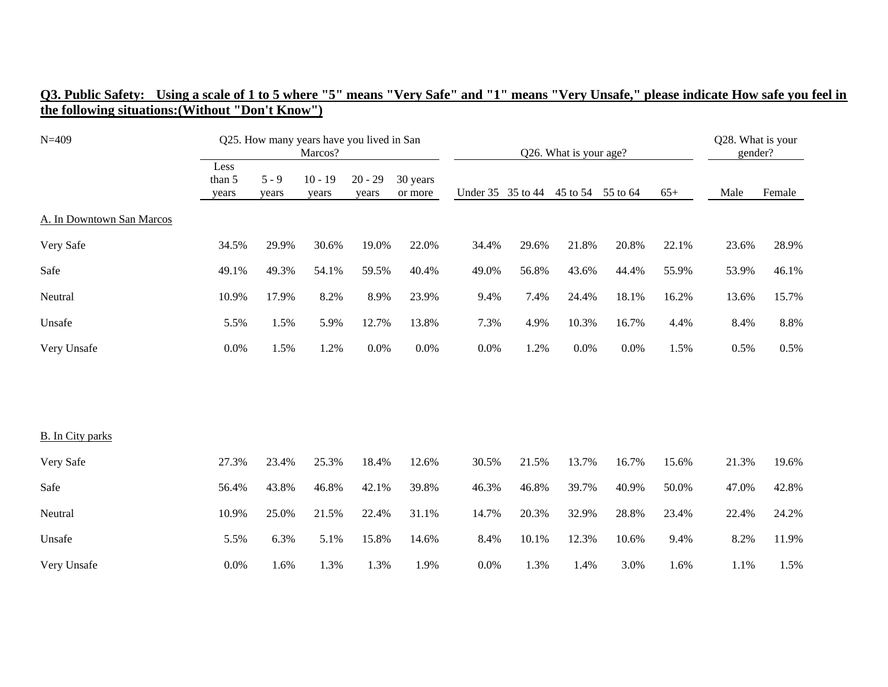| $N = 409$                 |                         |                  | Q25. How many years have you lived in San<br>Marcos? |                    |                     |                   |       | Q26. What is your age? |          |       | Q28. What is your<br>gender? |        |
|---------------------------|-------------------------|------------------|------------------------------------------------------|--------------------|---------------------|-------------------|-------|------------------------|----------|-------|------------------------------|--------|
|                           | Less<br>than 5<br>years | $5 - 9$<br>years | $10 - 19$<br>years                                   | $20 - 29$<br>years | 30 years<br>or more | Under 35 35 to 44 |       | 45 to 54               | 55 to 64 | $65+$ | Male                         | Female |
| A. In Downtown San Marcos |                         |                  |                                                      |                    |                     |                   |       |                        |          |       |                              |        |
| Very Safe                 | 34.5%                   | 29.9%            | 30.6%                                                | 19.0%              | 22.0%               | 34.4%             | 29.6% | 21.8%                  | 20.8%    | 22.1% | 23.6%                        | 28.9%  |
| Safe                      | 49.1%                   | 49.3%            | 54.1%                                                | 59.5%              | 40.4%               | 49.0%             | 56.8% | 43.6%                  | 44.4%    | 55.9% | 53.9%                        | 46.1%  |
| Neutral                   | 10.9%                   | 17.9%            | 8.2%                                                 | 8.9%               | 23.9%               | 9.4%              | 7.4%  | 24.4%                  | 18.1%    | 16.2% | 13.6%                        | 15.7%  |
| Unsafe                    | 5.5%                    | 1.5%             | 5.9%                                                 | 12.7%              | 13.8%               | 7.3%              | 4.9%  | 10.3%                  | 16.7%    | 4.4%  | 8.4%                         | 8.8%   |
| Very Unsafe               | $0.0\%$                 | 1.5%             | 1.2%                                                 | 0.0%               | 0.0%                | $0.0\%$           | 1.2%  | 0.0%                   | $0.0\%$  | 1.5%  | 0.5%                         | 0.5%   |
|                           |                         |                  |                                                      |                    |                     |                   |       |                        |          |       |                              |        |
|                           |                         |                  |                                                      |                    |                     |                   |       |                        |          |       |                              |        |
| <b>B.</b> In City parks   |                         |                  |                                                      |                    |                     |                   |       |                        |          |       |                              |        |
| Very Safe                 | 27.3%                   | 23.4%            | 25.3%                                                | 18.4%              | 12.6%               | 30.5%             | 21.5% | 13.7%                  | 16.7%    | 15.6% | 21.3%                        | 19.6%  |
| Safe                      | 56.4%                   | 43.8%            | 46.8%                                                | 42.1%              | 39.8%               | 46.3%             | 46.8% | 39.7%                  | 40.9%    | 50.0% | 47.0%                        | 42.8%  |
| Neutral                   | 10.9%                   | 25.0%            | 21.5%                                                | 22.4%              | 31.1%               | 14.7%             | 20.3% | 32.9%                  | 28.8%    | 23.4% | 22.4%                        | 24.2%  |
| Unsafe                    | 5.5%                    | 6.3%             | 5.1%                                                 | 15.8%              | 14.6%               | 8.4%              | 10.1% | 12.3%                  | 10.6%    | 9.4%  | 8.2%                         | 11.9%  |
| Very Unsafe               | $0.0\%$                 | 1.6%             | 1.3%                                                 | 1.3%               | 1.9%                | 0.0%              | 1.3%  | 1.4%                   | 3.0%     | 1.6%  | 1.1%                         | 1.5%   |

#### **Q3. Public Safety: Using a scale of 1 to 5 where "5" means "Very Safe" and "1" means "Very Unsafe," please indicate How safe you feel in the following situations:(Without "Don't Know")**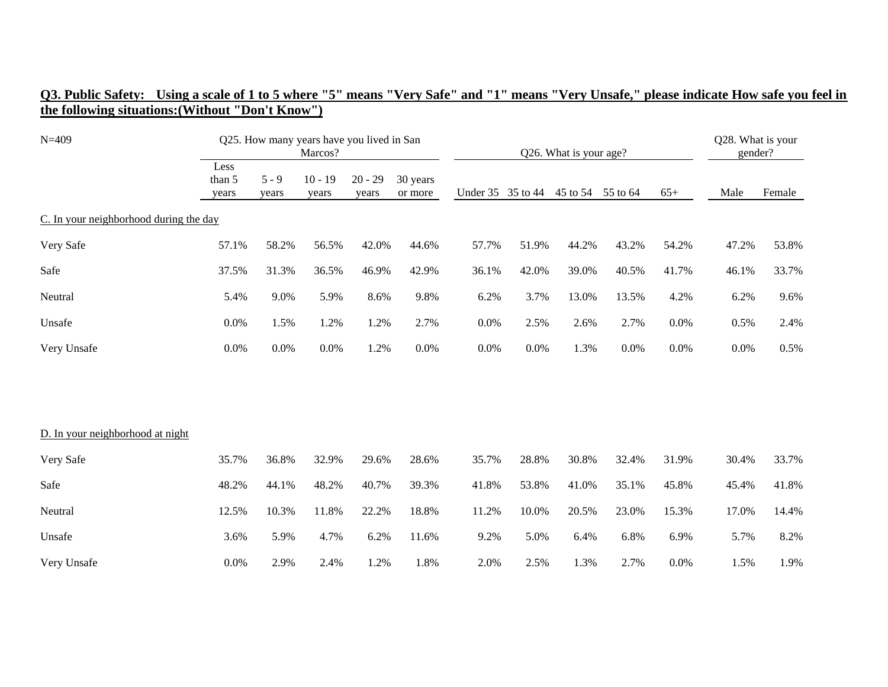| $N = 409$                              |                         |                  | Q25. How many years have you lived in San<br>Marcos? |                    |                     |                   |       | Q26. What is your age? |          |       | Q28. What is your<br>gender? |        |
|----------------------------------------|-------------------------|------------------|------------------------------------------------------|--------------------|---------------------|-------------------|-------|------------------------|----------|-------|------------------------------|--------|
|                                        | Less<br>than 5<br>years | $5 - 9$<br>years | $10 - 19$<br>years                                   | $20 - 29$<br>years | 30 years<br>or more | Under 35 35 to 44 |       | 45 to 54               | 55 to 64 | $65+$ | Male                         | Female |
| C. In your neighborhood during the day |                         |                  |                                                      |                    |                     |                   |       |                        |          |       |                              |        |
| Very Safe                              | 57.1%                   | 58.2%            | 56.5%                                                | 42.0%              | 44.6%               | 57.7%             | 51.9% | 44.2%                  | 43.2%    | 54.2% | 47.2%                        | 53.8%  |
| Safe                                   | 37.5%                   | 31.3%            | 36.5%                                                | 46.9%              | 42.9%               | 36.1%             | 42.0% | 39.0%                  | 40.5%    | 41.7% | 46.1%                        | 33.7%  |
| Neutral                                | 5.4%                    | 9.0%             | 5.9%                                                 | 8.6%               | 9.8%                | 6.2%              | 3.7%  | 13.0%                  | 13.5%    | 4.2%  | 6.2%                         | 9.6%   |
| Unsafe                                 | 0.0%                    | 1.5%             | 1.2%                                                 | 1.2%               | 2.7%                | 0.0%              | 2.5%  | 2.6%                   | 2.7%     | 0.0%  | 0.5%                         | 2.4%   |
| Very Unsafe                            | 0.0%                    | 0.0%             | 0.0%                                                 | 1.2%               | 0.0%                | 0.0%              | 0.0%  | 1.3%                   | 0.0%     | 0.0%  | 0.0%                         | 0.5%   |
|                                        |                         |                  |                                                      |                    |                     |                   |       |                        |          |       |                              |        |
| D. In your neighborhood at night       |                         |                  |                                                      |                    |                     |                   |       |                        |          |       |                              |        |
| Very Safe                              | 35.7%                   | 36.8%            | 32.9%                                                | 29.6%              | 28.6%               | 35.7%             | 28.8% | 30.8%                  | 32.4%    | 31.9% | 30.4%                        | 33.7%  |
| Safe                                   | 48.2%                   | 44.1%            | 48.2%                                                | 40.7%              | 39.3%               | 41.8%             | 53.8% | 41.0%                  | 35.1%    | 45.8% | 45.4%                        | 41.8%  |
| Neutral                                | 12.5%                   | 10.3%            | 11.8%                                                | 22.2%              | 18.8%               | 11.2%             | 10.0% | 20.5%                  | 23.0%    | 15.3% | 17.0%                        | 14.4%  |
| Unsafe                                 | 3.6%                    | 5.9%             | 4.7%                                                 | 6.2%               | 11.6%               | 9.2%              | 5.0%  | 6.4%                   | 6.8%     | 6.9%  | 5.7%                         | 8.2%   |
| Very Unsafe                            | $0.0\%$                 | 2.9%             | 2.4%                                                 | 1.2%               | 1.8%                | 2.0%              | 2.5%  | 1.3%                   | 2.7%     | 0.0%  | 1.5%                         | 1.9%   |

#### **Q3. Public Safety: Using a scale of 1 to 5 where "5" means "Very Safe" and "1" means "Very Unsafe," please indicate How safe you feel in the following situations:(Without "Don't Know")**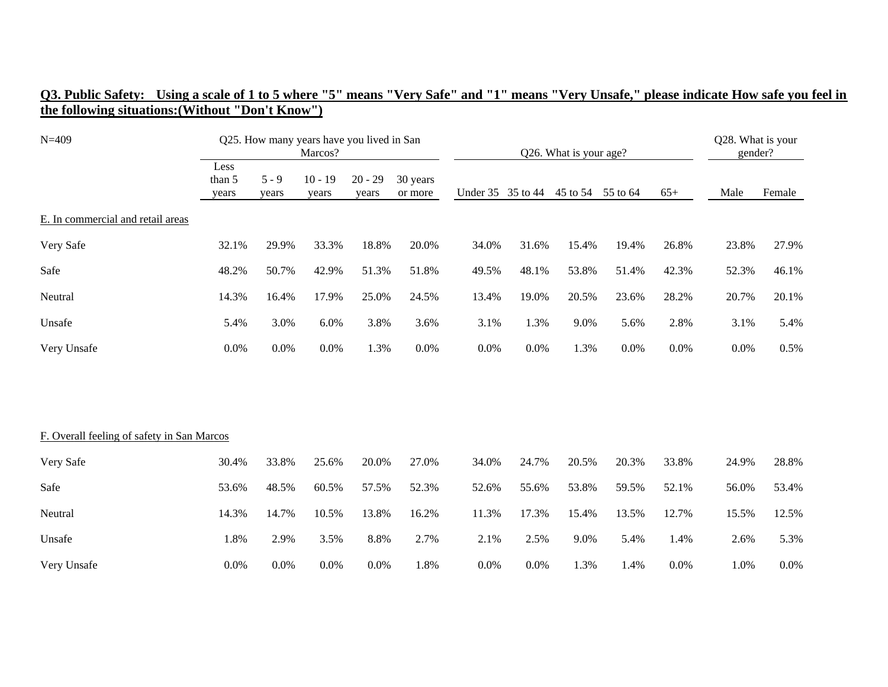| $N = 409$                                  |                         |                  | Q25. How many years have you lived in San<br>Marcos? |                    |                     |                   |       | Q26. What is your age? |          |       | Q28. What is your<br>gender? |        |
|--------------------------------------------|-------------------------|------------------|------------------------------------------------------|--------------------|---------------------|-------------------|-------|------------------------|----------|-------|------------------------------|--------|
|                                            | Less<br>than 5<br>years | $5 - 9$<br>years | $10 - 19$<br>years                                   | $20 - 29$<br>years | 30 years<br>or more | Under 35 35 to 44 |       | 45 to 54               | 55 to 64 | $65+$ | Male                         | Female |
| E. In commercial and retail areas          |                         |                  |                                                      |                    |                     |                   |       |                        |          |       |                              |        |
| Very Safe                                  | 32.1%                   | 29.9%            | 33.3%                                                | 18.8%              | 20.0%               | 34.0%             | 31.6% | 15.4%                  | 19.4%    | 26.8% | 23.8%                        | 27.9%  |
| Safe                                       | 48.2%                   | 50.7%            | 42.9%                                                | 51.3%              | 51.8%               | 49.5%             | 48.1% | 53.8%                  | 51.4%    | 42.3% | 52.3%                        | 46.1%  |
| Neutral                                    | 14.3%                   | 16.4%            | 17.9%                                                | 25.0%              | 24.5%               | 13.4%             | 19.0% | 20.5%                  | 23.6%    | 28.2% | 20.7%                        | 20.1%  |
| Unsafe                                     | 5.4%                    | 3.0%             | 6.0%                                                 | 3.8%               | 3.6%                | 3.1%              | 1.3%  | 9.0%                   | 5.6%     | 2.8%  | 3.1%                         | 5.4%   |
| Very Unsafe                                | 0.0%                    | 0.0%             | 0.0%                                                 | 1.3%               | 0.0%                | 0.0%              | 0.0%  | 1.3%                   | 0.0%     | 0.0%  | 0.0%                         | 0.5%   |
|                                            |                         |                  |                                                      |                    |                     |                   |       |                        |          |       |                              |        |
| F. Overall feeling of safety in San Marcos |                         |                  |                                                      |                    |                     |                   |       |                        |          |       |                              |        |
| Very Safe                                  | 30.4%                   | 33.8%            | 25.6%                                                | 20.0%              | 27.0%               | 34.0%             | 24.7% | 20.5%                  | 20.3%    | 33.8% | 24.9%                        | 28.8%  |
| Safe                                       | 53.6%                   | 48.5%            | 60.5%                                                | 57.5%              | 52.3%               | 52.6%             | 55.6% | 53.8%                  | 59.5%    | 52.1% | 56.0%                        | 53.4%  |
| Neutral                                    | 14.3%                   | 14.7%            | 10.5%                                                | 13.8%              | 16.2%               | 11.3%             | 17.3% | 15.4%                  | 13.5%    | 12.7% | 15.5%                        | 12.5%  |
| Unsafe                                     | 1.8%                    | 2.9%             | 3.5%                                                 | 8.8%               | 2.7%                | 2.1%              | 2.5%  | 9.0%                   | 5.4%     | 1.4%  | 2.6%                         | 5.3%   |
| Very Unsafe                                | 0.0%                    | 0.0%             | 0.0%                                                 | 0.0%               | 1.8%                | 0.0%              | 0.0%  | 1.3%                   | 1.4%     | 0.0%  | 1.0%                         | 0.0%   |

#### **Q3. Public Safety: Using a scale of 1 to 5 where "5" means "Very Safe" and "1" means "Very Unsafe," please indicate How safe you feel in the following situations:(Without "Don't Know")**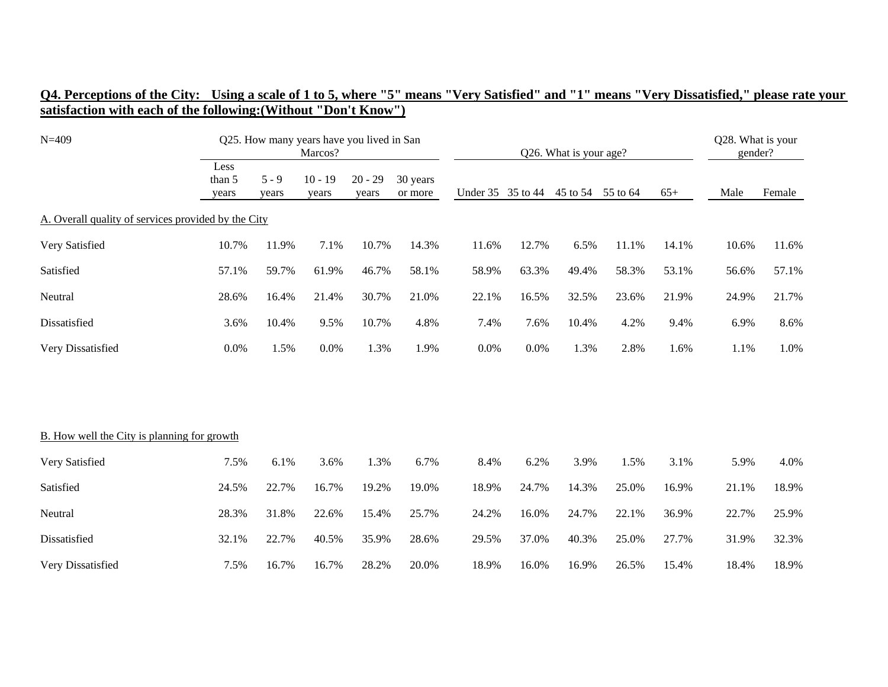| $N = 409$                                           |                         |                  | Marcos?            | Q25. How many years have you lived in San |                     |                   |       | Q26. What is your age? |                   |       | Q28. What is your<br>gender? |        |
|-----------------------------------------------------|-------------------------|------------------|--------------------|-------------------------------------------|---------------------|-------------------|-------|------------------------|-------------------|-------|------------------------------|--------|
|                                                     | Less<br>than 5<br>years | $5 - 9$<br>years | $10 - 19$<br>years | $20 - 29$<br>years                        | 30 years<br>or more | Under 35 35 to 44 |       |                        | 45 to 54 55 to 64 | $65+$ | Male                         | Female |
| A. Overall quality of services provided by the City |                         |                  |                    |                                           |                     |                   |       |                        |                   |       |                              |        |
| Very Satisfied                                      | 10.7%                   | 11.9%            | 7.1%               | 10.7%                                     | 14.3%               | 11.6%             | 12.7% | 6.5%                   | 11.1%             | 14.1% | 10.6%                        | 11.6%  |
| Satisfied                                           | 57.1%                   | 59.7%            | 61.9%              | 46.7%                                     | 58.1%               | 58.9%             | 63.3% | 49.4%                  | 58.3%             | 53.1% | 56.6%                        | 57.1%  |
| Neutral                                             | 28.6%                   | 16.4%            | 21.4%              | 30.7%                                     | 21.0%               | 22.1%             | 16.5% | 32.5%                  | 23.6%             | 21.9% | 24.9%                        | 21.7%  |
| Dissatisfied                                        | 3.6%                    | 10.4%            | 9.5%               | 10.7%                                     | 4.8%                | 7.4%              | 7.6%  | 10.4%                  | 4.2%              | 9.4%  | 6.9%                         | 8.6%   |
| Very Dissatisfied                                   | 0.0%                    | 1.5%             | 0.0%               | 1.3%                                      | 1.9%                | $0.0\%$           | 0.0%  | 1.3%                   | 2.8%              | 1.6%  | 1.1%                         | 1.0%   |
|                                                     |                         |                  |                    |                                           |                     |                   |       |                        |                   |       |                              |        |
|                                                     |                         |                  |                    |                                           |                     |                   |       |                        |                   |       |                              |        |
| <b>B.</b> How well the City is planning for growth  |                         |                  |                    |                                           |                     |                   |       |                        |                   |       |                              |        |
| Very Satisfied                                      | 7.5%                    | 6.1%             | 3.6%               | 1.3%                                      | 6.7%                | 8.4%              | 6.2%  | 3.9%                   | 1.5%              | 3.1%  | 5.9%                         | 4.0%   |
| Satisfied                                           | 24.5%                   | 22.7%            | 16.7%              | 19.2%                                     | 19.0%               | 18.9%             | 24.7% | 14.3%                  | 25.0%             | 16.9% | 21.1%                        | 18.9%  |
| Neutral                                             | 28.3%                   | 31.8%            | 22.6%              | 15.4%                                     | 25.7%               | 24.2%             | 16.0% | 24.7%                  | 22.1%             | 36.9% | 22.7%                        | 25.9%  |
| Dissatisfied                                        | 32.1%                   | 22.7%            | 40.5%              | 35.9%                                     | 28.6%               | 29.5%             | 37.0% | 40.3%                  | 25.0%             | 27.7% | 31.9%                        | 32.3%  |
| Very Dissatisfied                                   | 7.5%                    | 16.7%            | 16.7%              | 28.2%                                     | 20.0%               | 18.9%             | 16.0% | 16.9%                  | 26.5%             | 15.4% | 18.4%                        | 18.9%  |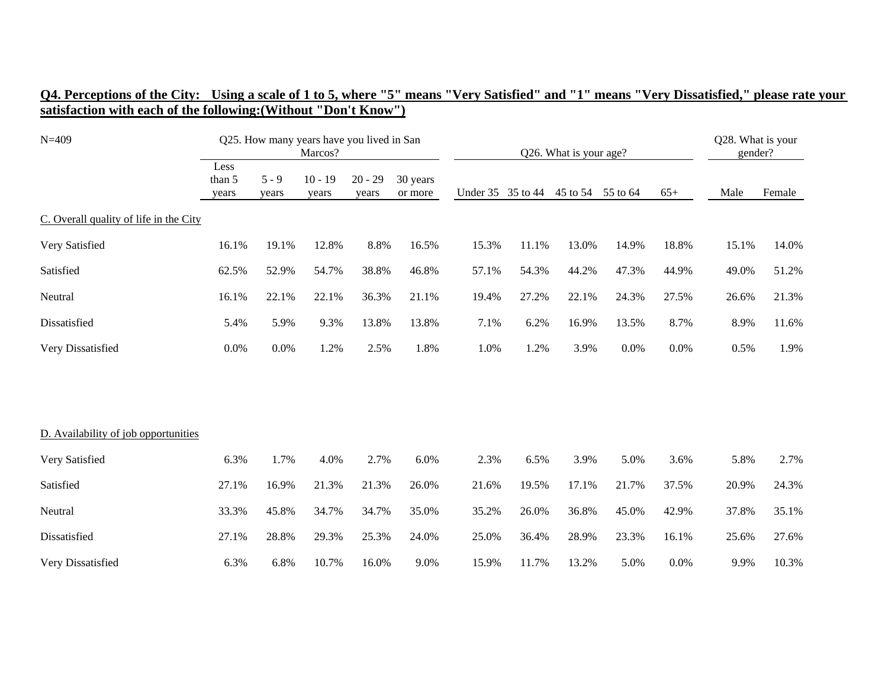| Q4. Perceptions of the City: Using a scale of 1 to 5, where "5" means "Very Satisfied" and "1" means "Very Dissatisfied," please rate your |  |  |  |  |  |
|--------------------------------------------------------------------------------------------------------------------------------------------|--|--|--|--|--|
| satisfaction with each of the following: (Without "Don't Know")                                                                            |  |  |  |  |  |

| $N = 409$                              |                         |                  | Q25. How many years have you lived in San<br>Marcos? |                    |                     |       |                   | Q26. What is your age? |          |       | Q28. What is your<br>gender? |        |
|----------------------------------------|-------------------------|------------------|------------------------------------------------------|--------------------|---------------------|-------|-------------------|------------------------|----------|-------|------------------------------|--------|
|                                        | Less<br>than 5<br>years | $5 - 9$<br>years | $10 - 19$<br>years                                   | $20 - 29$<br>years | 30 years<br>or more |       | Under 35 35 to 44 | 45 to 54               | 55 to 64 | $65+$ | Male                         | Female |
| C. Overall quality of life in the City |                         |                  |                                                      |                    |                     |       |                   |                        |          |       |                              |        |
| Very Satisfied                         | 16.1%                   | 19.1%            | 12.8%                                                | 8.8%               | 16.5%               | 15.3% | 11.1%             | 13.0%                  | 14.9%    | 18.8% | 15.1%                        | 14.0%  |
| Satisfied                              | 62.5%                   | 52.9%            | 54.7%                                                | 38.8%              | 46.8%               | 57.1% | 54.3%             | 44.2%                  | 47.3%    | 44.9% | 49.0%                        | 51.2%  |
| Neutral                                | 16.1%                   | 22.1%            | 22.1%                                                | 36.3%              | 21.1%               | 19.4% | 27.2%             | 22.1%                  | 24.3%    | 27.5% | 26.6%                        | 21.3%  |
| Dissatisfied                           | 5.4%                    | 5.9%             | 9.3%                                                 | 13.8%              | 13.8%               | 7.1%  | 6.2%              | 16.9%                  | 13.5%    | 8.7%  | 8.9%                         | 11.6%  |
| Very Dissatisfied                      | 0.0%                    | 0.0%             | 1.2%                                                 | 2.5%               | 1.8%                | 1.0%  | 1.2%              | 3.9%                   | 0.0%     | 0.0%  | 0.5%                         | 1.9%   |
|                                        |                         |                  |                                                      |                    |                     |       |                   |                        |          |       |                              |        |
| D. Availability of job opportunities   |                         |                  |                                                      |                    |                     |       |                   |                        |          |       |                              |        |
| Very Satisfied                         | 6.3%                    | 1.7%             | 4.0%                                                 | 2.7%               | 6.0%                | 2.3%  | 6.5%              | 3.9%                   | 5.0%     | 3.6%  | 5.8%                         | 2.7%   |
| Satisfied                              | 27.1%                   | 16.9%            | 21.3%                                                | 21.3%              | 26.0%               | 21.6% | 19.5%             | 17.1%                  | 21.7%    | 37.5% | 20.9%                        | 24.3%  |
| Neutral                                | 33.3%                   | 45.8%            | 34.7%                                                | 34.7%              | 35.0%               | 35.2% | 26.0%             | 36.8%                  | 45.0%    | 42.9% | 37.8%                        | 35.1%  |
| Dissatisfied                           | 27.1%                   | 28.8%            | 29.3%                                                | 25.3%              | 24.0%               | 25.0% | 36.4%             | 28.9%                  | 23.3%    | 16.1% | 25.6%                        | 27.6%  |
| Very Dissatisfied                      | 6.3%                    | 6.8%             | 10.7%                                                | 16.0%              | 9.0%                | 15.9% | 11.7%             | 13.2%                  | 5.0%     | 0.0%  | 9.9%                         | 10.3%  |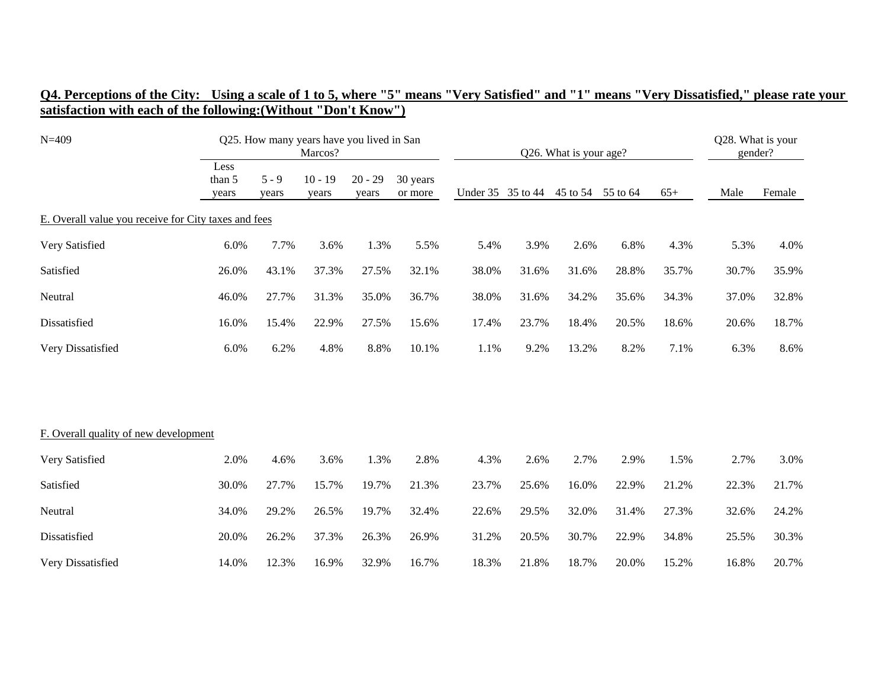| $N = 409$                                            |                         | Q25. How many years have you lived in San | Marcos?            |                    |                     |                   |       | Q26. What is your age? |          |       | Q28. What is your<br>gender? |        |
|------------------------------------------------------|-------------------------|-------------------------------------------|--------------------|--------------------|---------------------|-------------------|-------|------------------------|----------|-------|------------------------------|--------|
|                                                      | Less<br>than 5<br>years | $5 - 9$<br>years                          | $10 - 19$<br>years | $20 - 29$<br>years | 30 years<br>or more | Under 35 35 to 44 |       | 45 to 54               | 55 to 64 | $65+$ | Male                         | Female |
| E. Overall value you receive for City taxes and fees |                         |                                           |                    |                    |                     |                   |       |                        |          |       |                              |        |
| Very Satisfied                                       | 6.0%                    | 7.7%                                      | 3.6%               | 1.3%               | 5.5%                | 5.4%              | 3.9%  | 2.6%                   | 6.8%     | 4.3%  | 5.3%                         | 4.0%   |
| Satisfied                                            | 26.0%                   | 43.1%                                     | 37.3%              | 27.5%              | 32.1%               | 38.0%             | 31.6% | 31.6%                  | 28.8%    | 35.7% | 30.7%                        | 35.9%  |
| Neutral                                              | 46.0%                   | 27.7%                                     | 31.3%              | 35.0%              | 36.7%               | 38.0%             | 31.6% | 34.2%                  | 35.6%    | 34.3% | 37.0%                        | 32.8%  |
| Dissatisfied                                         | 16.0%                   | 15.4%                                     | 22.9%              | 27.5%              | 15.6%               | 17.4%             | 23.7% | 18.4%                  | 20.5%    | 18.6% | 20.6%                        | 18.7%  |
| Very Dissatisfied                                    | 6.0%                    | 6.2%                                      | 4.8%               | 8.8%               | 10.1%               | 1.1%              | 9.2%  | 13.2%                  | 8.2%     | 7.1%  | 6.3%                         | 8.6%   |
|                                                      |                         |                                           |                    |                    |                     |                   |       |                        |          |       |                              |        |
| F. Overall quality of new development                |                         |                                           |                    |                    |                     |                   |       |                        |          |       |                              |        |
| Very Satisfied                                       | 2.0%                    | 4.6%                                      | 3.6%               | 1.3%               | 2.8%                | 4.3%              | 2.6%  | 2.7%                   | 2.9%     | 1.5%  | 2.7%                         | 3.0%   |
| Satisfied                                            | 30.0%                   | 27.7%                                     | 15.7%              | 19.7%              | 21.3%               | 23.7%             | 25.6% | 16.0%                  | 22.9%    | 21.2% | 22.3%                        | 21.7%  |
| Neutral                                              | 34.0%                   | 29.2%                                     | 26.5%              | 19.7%              | 32.4%               | 22.6%             | 29.5% | 32.0%                  | 31.4%    | 27.3% | 32.6%                        | 24.2%  |
| Dissatisfied                                         | 20.0%                   | 26.2%                                     | 37.3%              | 26.3%              | 26.9%               | 31.2%             | 20.5% | 30.7%                  | 22.9%    | 34.8% | 25.5%                        | 30.3%  |
| Very Dissatisfied                                    | 14.0%                   | 12.3%                                     | 16.9%              | 32.9%              | 16.7%               | 18.3%             | 21.8% | 18.7%                  | 20.0%    | 15.2% | 16.8%                        | 20.7%  |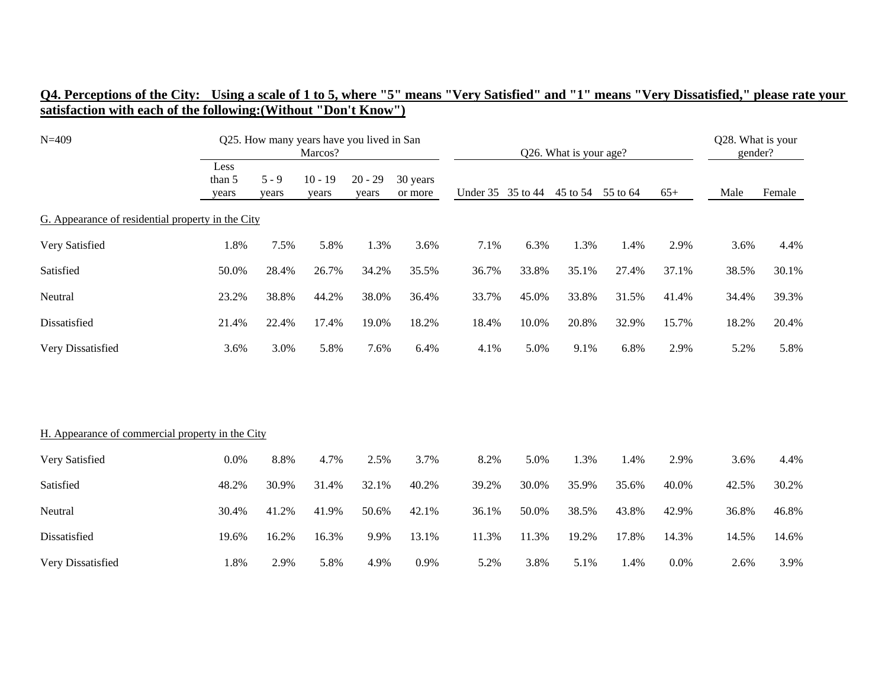| $N = 409$                                         |                         |                  | Q25. How many years have you lived in San<br>Marcos? |                    |                     |                   |       | Q26. What is your age? |          |       | Q28. What is your<br>gender? |        |
|---------------------------------------------------|-------------------------|------------------|------------------------------------------------------|--------------------|---------------------|-------------------|-------|------------------------|----------|-------|------------------------------|--------|
|                                                   | Less<br>than 5<br>years | $5 - 9$<br>years | $10 - 19$<br>years                                   | $20 - 29$<br>years | 30 years<br>or more | Under 35 35 to 44 |       | 45 to 54               | 55 to 64 | $65+$ | Male                         | Female |
| G. Appearance of residential property in the City |                         |                  |                                                      |                    |                     |                   |       |                        |          |       |                              |        |
| Very Satisfied                                    | 1.8%                    | 7.5%             | 5.8%                                                 | 1.3%               | 3.6%                | 7.1%              | 6.3%  | 1.3%                   | 1.4%     | 2.9%  | 3.6%                         | 4.4%   |
| Satisfied                                         | 50.0%                   | 28.4%            | 26.7%                                                | 34.2%              | 35.5%               | 36.7%             | 33.8% | 35.1%                  | 27.4%    | 37.1% | 38.5%                        | 30.1%  |
| Neutral                                           | 23.2%                   | 38.8%            | 44.2%                                                | 38.0%              | 36.4%               | 33.7%             | 45.0% | 33.8%                  | 31.5%    | 41.4% | 34.4%                        | 39.3%  |
| Dissatisfied                                      | 21.4%                   | 22.4%            | 17.4%                                                | 19.0%              | 18.2%               | 18.4%             | 10.0% | 20.8%                  | 32.9%    | 15.7% | 18.2%                        | 20.4%  |
| Very Dissatisfied                                 | 3.6%                    | 3.0%             | 5.8%                                                 | 7.6%               | 6.4%                | 4.1%              | 5.0%  | 9.1%                   | 6.8%     | 2.9%  | 5.2%                         | 5.8%   |
|                                                   |                         |                  |                                                      |                    |                     |                   |       |                        |          |       |                              |        |
| H. Appearance of commercial property in the City  |                         |                  |                                                      |                    |                     |                   |       |                        |          |       |                              |        |
| Very Satisfied                                    | $0.0\%$                 | 8.8%             | 4.7%                                                 | 2.5%               | 3.7%                | 8.2%              | 5.0%  | 1.3%                   | 1.4%     | 2.9%  | 3.6%                         | 4.4%   |
| Satisfied                                         | 48.2%                   | 30.9%            | 31.4%                                                | 32.1%              | 40.2%               | 39.2%             | 30.0% | 35.9%                  | 35.6%    | 40.0% | 42.5%                        | 30.2%  |
| Neutral                                           | 30.4%                   | 41.2%            | 41.9%                                                | 50.6%              | 42.1%               | 36.1%             | 50.0% | 38.5%                  | 43.8%    | 42.9% | 36.8%                        | 46.8%  |
| Dissatisfied                                      | 19.6%                   | 16.2%            | 16.3%                                                | 9.9%               | 13.1%               | 11.3%             | 11.3% | 19.2%                  | 17.8%    | 14.3% | 14.5%                        | 14.6%  |
| Very Dissatisfied                                 | 1.8%                    | 2.9%             | 5.8%                                                 | 4.9%               | 0.9%                | 5.2%              | 3.8%  | 5.1%                   | 1.4%     | 0.0%  | 2.6%                         | 3.9%   |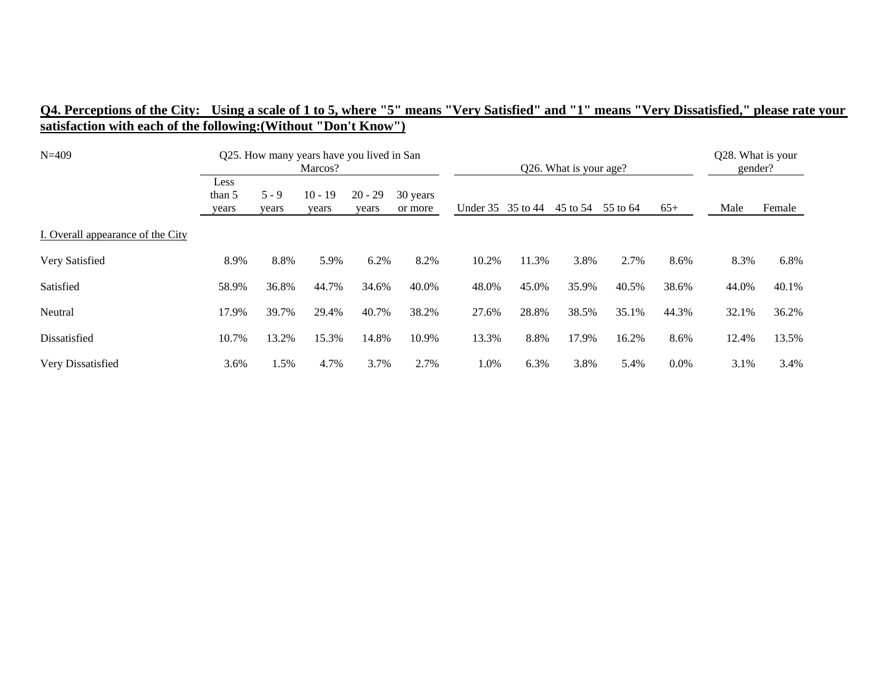| $N=409$                           | Q25. How many years have you lived in San<br>Marcos? |                  |                    |                    |                     |                   |       | Q26. What is your age? |          |       | Q28. What is your<br>gender? |        |
|-----------------------------------|------------------------------------------------------|------------------|--------------------|--------------------|---------------------|-------------------|-------|------------------------|----------|-------|------------------------------|--------|
|                                   | Less<br>than 5<br>years                              | $5 - 9$<br>years | $10 - 19$<br>years | $20 - 29$<br>years | 30 years<br>or more | Under 35 35 to 44 |       | 45 to 54               | 55 to 64 | $65+$ | Male                         | Female |
| I. Overall appearance of the City |                                                      |                  |                    |                    |                     |                   |       |                        |          |       |                              |        |
| Very Satisfied                    | 8.9%                                                 | 8.8%             | 5.9%               | 6.2%               | 8.2%                | 10.2%             | 11.3% | 3.8%                   | 2.7%     | 8.6%  | 8.3%                         | 6.8%   |
| Satisfied                         | 58.9%                                                | 36.8%            | 44.7%              | 34.6%              | 40.0%               | 48.0%             | 45.0% | 35.9%                  | 40.5%    | 38.6% | 44.0%                        | 40.1%  |
| Neutral                           | 17.9%                                                | 39.7%            | 29.4%              | 40.7%              | 38.2%               | 27.6%             | 28.8% | 38.5%                  | 35.1%    | 44.3% | 32.1%                        | 36.2%  |
| Dissatisfied                      | 10.7%                                                | 13.2%            | 15.3%              | 14.8%              | 10.9%               | 13.3%             | 8.8%  | 17.9%                  | 16.2%    | 8.6%  | 12.4%                        | 13.5%  |
| Very Dissatisfied                 | 3.6%                                                 | 1.5%             | 4.7%               | 3.7%               | 2.7%                | 1.0%              | 6.3%  | 3.8%                   | 5.4%     | 0.0%  | 3.1%                         | 3.4%   |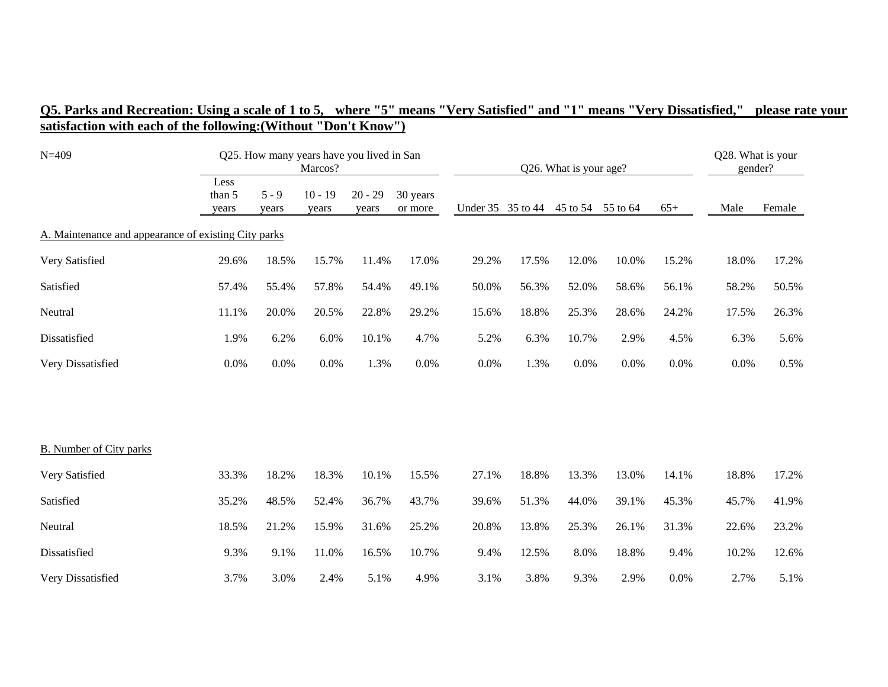| $N = 409$                                            |                         |                  | Q25. How many years have you lived in San<br>Marcos? |                    |                     |       |                   | Q26. What is your age? |       |       | Q28. What is your<br>gender? |        |
|------------------------------------------------------|-------------------------|------------------|------------------------------------------------------|--------------------|---------------------|-------|-------------------|------------------------|-------|-------|------------------------------|--------|
|                                                      | Less<br>than 5<br>years | $5 - 9$<br>years | $10 - 19$<br>years                                   | $20 - 29$<br>years | 30 years<br>or more |       | Under 35 35 to 44 | 45 to 54 55 to 64      |       | $65+$ | Male                         | Female |
| A. Maintenance and appearance of existing City parks |                         |                  |                                                      |                    |                     |       |                   |                        |       |       |                              |        |
| Very Satisfied                                       | 29.6%                   | 18.5%            | 15.7%                                                | 11.4%              | 17.0%               | 29.2% | 17.5%             | 12.0%                  | 10.0% | 15.2% | 18.0%                        | 17.2%  |
| Satisfied                                            | 57.4%                   | 55.4%            | 57.8%                                                | 54.4%              | 49.1%               | 50.0% | 56.3%             | 52.0%                  | 58.6% | 56.1% | 58.2%                        | 50.5%  |
| Neutral                                              | 11.1%                   | 20.0%            | 20.5%                                                | 22.8%              | 29.2%               | 15.6% | 18.8%             | 25.3%                  | 28.6% | 24.2% | 17.5%                        | 26.3%  |
| Dissatisfied                                         | 1.9%                    | 6.2%             | 6.0%                                                 | 10.1%              | 4.7%                | 5.2%  | 6.3%              | 10.7%                  | 2.9%  | 4.5%  | 6.3%                         | 5.6%   |
| Very Dissatisfied                                    | 0.0%                    | 0.0%             | 0.0%                                                 | 1.3%               | 0.0%                | 0.0%  | 1.3%              | 0.0%                   | 0.0%  | 0.0%  | 0.0%                         | 0.5%   |
|                                                      |                         |                  |                                                      |                    |                     |       |                   |                        |       |       |                              |        |
| <b>B.</b> Number of City parks                       |                         |                  |                                                      |                    |                     |       |                   |                        |       |       |                              |        |
| Very Satisfied                                       | 33.3%                   | 18.2%            | 18.3%                                                | 10.1%              | 15.5%               | 27.1% | 18.8%             | 13.3%                  | 13.0% | 14.1% | 18.8%                        | 17.2%  |
| Satisfied                                            | 35.2%                   | 48.5%            | 52.4%                                                | 36.7%              | 43.7%               | 39.6% | 51.3%             | 44.0%                  | 39.1% | 45.3% | 45.7%                        | 41.9%  |
| Neutral                                              | 18.5%                   | 21.2%            | 15.9%                                                | 31.6%              | 25.2%               | 20.8% | 13.8%             | 25.3%                  | 26.1% | 31.3% | 22.6%                        | 23.2%  |
| Dissatisfied                                         | 9.3%                    | 9.1%             | 11.0%                                                | 16.5%              | 10.7%               | 9.4%  | 12.5%             | 8.0%                   | 18.8% | 9.4%  | 10.2%                        | 12.6%  |
| Very Dissatisfied                                    | 3.7%                    | 3.0%             | 2.4%                                                 | 5.1%               | 4.9%                | 3.1%  | 3.8%              | 9.3%                   | 2.9%  | 0.0%  | 2.7%                         | 5.1%   |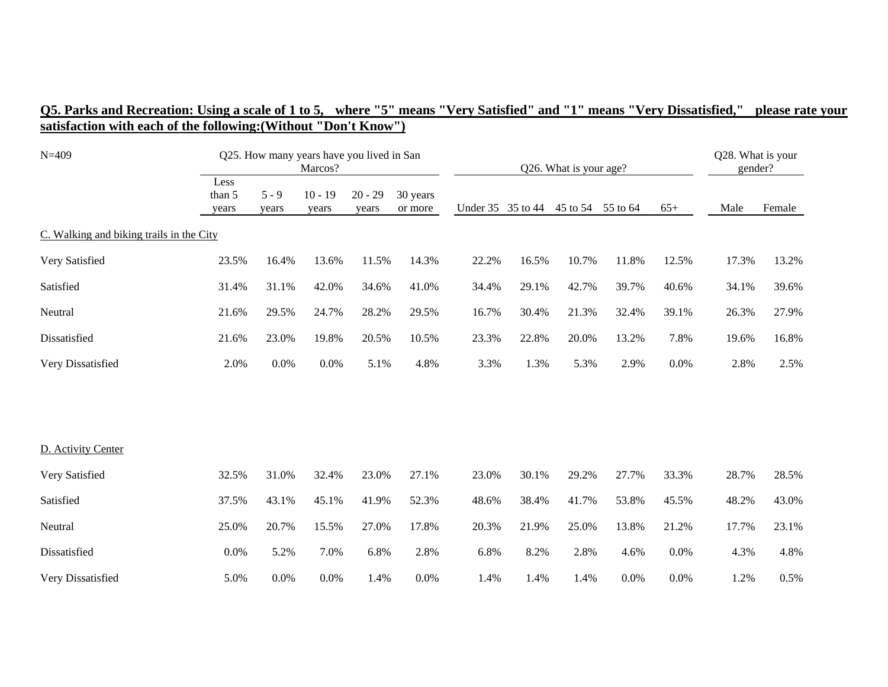| $N = 409$                                |                         |                  | Q25. How many years have you lived in San<br>Marcos? |                    |                     |                   |       | Q26. What is your age? |          |       | Q28. What is your<br>gender? |        |
|------------------------------------------|-------------------------|------------------|------------------------------------------------------|--------------------|---------------------|-------------------|-------|------------------------|----------|-------|------------------------------|--------|
|                                          | Less<br>than 5<br>years | $5 - 9$<br>years | $10 - 19$<br>years                                   | $20 - 29$<br>years | 30 years<br>or more | Under 35 35 to 44 |       | 45 to 54               | 55 to 64 | $65+$ | Male                         | Female |
| C. Walking and biking trails in the City |                         |                  |                                                      |                    |                     |                   |       |                        |          |       |                              |        |
| Very Satisfied                           | 23.5%                   | 16.4%            | 13.6%                                                | 11.5%              | 14.3%               | 22.2%             | 16.5% | 10.7%                  | 11.8%    | 12.5% | 17.3%                        | 13.2%  |
| Satisfied                                | 31.4%                   | 31.1%            | 42.0%                                                | 34.6%              | 41.0%               | 34.4%             | 29.1% | 42.7%                  | 39.7%    | 40.6% | 34.1%                        | 39.6%  |
| Neutral                                  | 21.6%                   | 29.5%            | 24.7%                                                | 28.2%              | 29.5%               | 16.7%             | 30.4% | 21.3%                  | 32.4%    | 39.1% | 26.3%                        | 27.9%  |
| Dissatisfied                             | 21.6%                   | 23.0%            | 19.8%                                                | 20.5%              | 10.5%               | 23.3%             | 22.8% | 20.0%                  | 13.2%    | 7.8%  | 19.6%                        | 16.8%  |
| Very Dissatisfied                        | 2.0%                    | 0.0%             | 0.0%                                                 | 5.1%               | 4.8%                | 3.3%              | 1.3%  | 5.3%                   | 2.9%     | 0.0%  | 2.8%                         | 2.5%   |
|                                          |                         |                  |                                                      |                    |                     |                   |       |                        |          |       |                              |        |
| D. Activity Center                       |                         |                  |                                                      |                    |                     |                   |       |                        |          |       |                              |        |
| Very Satisfied                           | 32.5%                   | 31.0%            | 32.4%                                                | 23.0%              | 27.1%               | 23.0%             | 30.1% | 29.2%                  | 27.7%    | 33.3% | 28.7%                        | 28.5%  |
| Satisfied                                | 37.5%                   | 43.1%            | 45.1%                                                | 41.9%              | 52.3%               | 48.6%             | 38.4% | 41.7%                  | 53.8%    | 45.5% | 48.2%                        | 43.0%  |
| Neutral                                  | 25.0%                   | 20.7%            | 15.5%                                                | 27.0%              | 17.8%               | 20.3%             | 21.9% | 25.0%                  | 13.8%    | 21.2% | 17.7%                        | 23.1%  |
| Dissatisfied                             | 0.0%                    | 5.2%             | 7.0%                                                 | 6.8%               | 2.8%                | 6.8%              | 8.2%  | 2.8%                   | 4.6%     | 0.0%  | 4.3%                         | 4.8%   |
| Very Dissatisfied                        | 5.0%                    | 0.0%             | 0.0%                                                 | 1.4%               | 0.0%                | 1.4%              | 1.4%  | 1.4%                   | 0.0%     | 0.0%  | 1.2%                         | 0.5%   |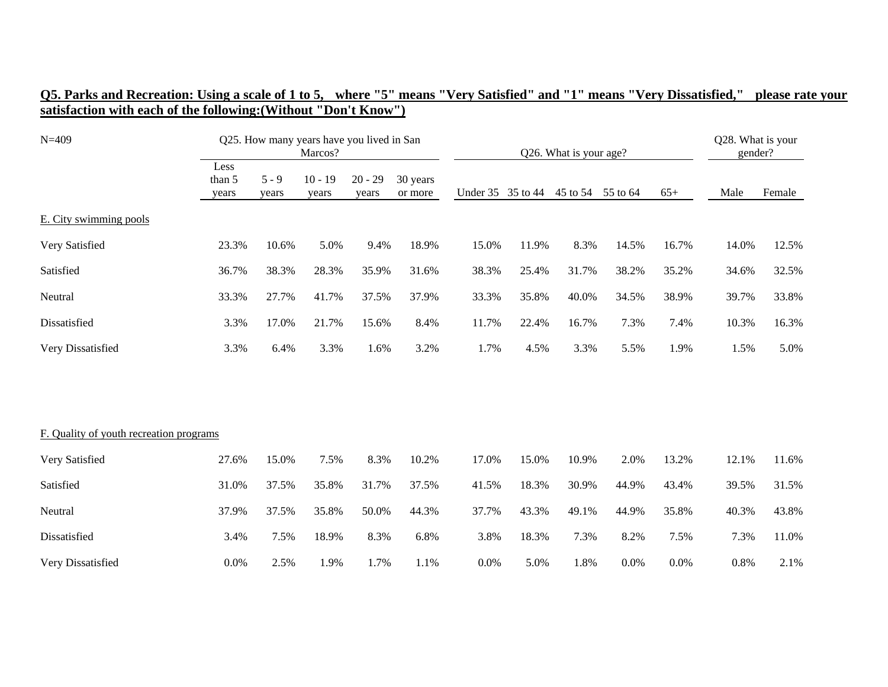| Q5. Parks and Recreation: Using a scale of 1 to 5, where "5" means "Very Satisfied" and "1" means "Very Dissatisfied," please rate your |  |  |  |  |
|-----------------------------------------------------------------------------------------------------------------------------------------|--|--|--|--|
| satisfaction with each of the following: (Without "Don't Know")                                                                         |  |  |  |  |

| $N = 409$                               |                         |                  | Q25. How many years have you lived in San<br>Marcos? |                    |                     | Q26. What is your age? |                   |                   |       |       | Q28. What is your<br>gender? |        |  |
|-----------------------------------------|-------------------------|------------------|------------------------------------------------------|--------------------|---------------------|------------------------|-------------------|-------------------|-------|-------|------------------------------|--------|--|
|                                         | Less<br>than 5<br>years | $5 - 9$<br>years | $10 - 19$<br>years                                   | $20 - 29$<br>years | 30 years<br>or more |                        | Under 35 35 to 44 | 45 to 54 55 to 64 |       | $65+$ | Male                         | Female |  |
| E. City swimming pools                  |                         |                  |                                                      |                    |                     |                        |                   |                   |       |       |                              |        |  |
| Very Satisfied                          | 23.3%                   | 10.6%            | 5.0%                                                 | 9.4%               | 18.9%               | 15.0%                  | 11.9%             | 8.3%              | 14.5% | 16.7% | 14.0%                        | 12.5%  |  |
| Satisfied                               | 36.7%                   | 38.3%            | 28.3%                                                | 35.9%              | 31.6%               | 38.3%                  | 25.4%             | 31.7%             | 38.2% | 35.2% | 34.6%                        | 32.5%  |  |
| Neutral                                 | 33.3%                   | 27.7%            | 41.7%                                                | 37.5%              | 37.9%               | 33.3%                  | 35.8%             | 40.0%             | 34.5% | 38.9% | 39.7%                        | 33.8%  |  |
| Dissatisfied                            | 3.3%                    | 17.0%            | 21.7%                                                | 15.6%              | 8.4%                | 11.7%                  | 22.4%             | 16.7%             | 7.3%  | 7.4%  | 10.3%                        | 16.3%  |  |
| Very Dissatisfied                       | 3.3%                    | 6.4%             | 3.3%                                                 | 1.6%               | 3.2%                | 1.7%                   | 4.5%              | 3.3%              | 5.5%  | 1.9%  | 1.5%                         | 5.0%   |  |
|                                         |                         |                  |                                                      |                    |                     |                        |                   |                   |       |       |                              |        |  |
| F. Quality of youth recreation programs |                         |                  |                                                      |                    |                     |                        |                   |                   |       |       |                              |        |  |
| Very Satisfied                          | 27.6%                   | 15.0%            | 7.5%                                                 | 8.3%               | 10.2%               | 17.0%                  | 15.0%             | 10.9%             | 2.0%  | 13.2% | 12.1%                        | 11.6%  |  |
| Satisfied                               | 31.0%                   | 37.5%            | 35.8%                                                | 31.7%              | 37.5%               | 41.5%                  | 18.3%             | 30.9%             | 44.9% | 43.4% | 39.5%                        | 31.5%  |  |
| Neutral                                 | 37.9%                   | 37.5%            | 35.8%                                                | 50.0%              | 44.3%               | 37.7%                  | 43.3%             | 49.1%             | 44.9% | 35.8% | 40.3%                        | 43.8%  |  |
| Dissatisfied                            | 3.4%                    | 7.5%             | 18.9%                                                | 8.3%               | 6.8%                | 3.8%                   | 18.3%             | 7.3%              | 8.2%  | 7.5%  | 7.3%                         | 11.0%  |  |
| Very Dissatisfied                       | 0.0%                    | 2.5%             | 1.9%                                                 | 1.7%               | 1.1%                | 0.0%                   | 5.0%              | 1.8%              | 0.0%  | 0.0%  | 0.8%                         | 2.1%   |  |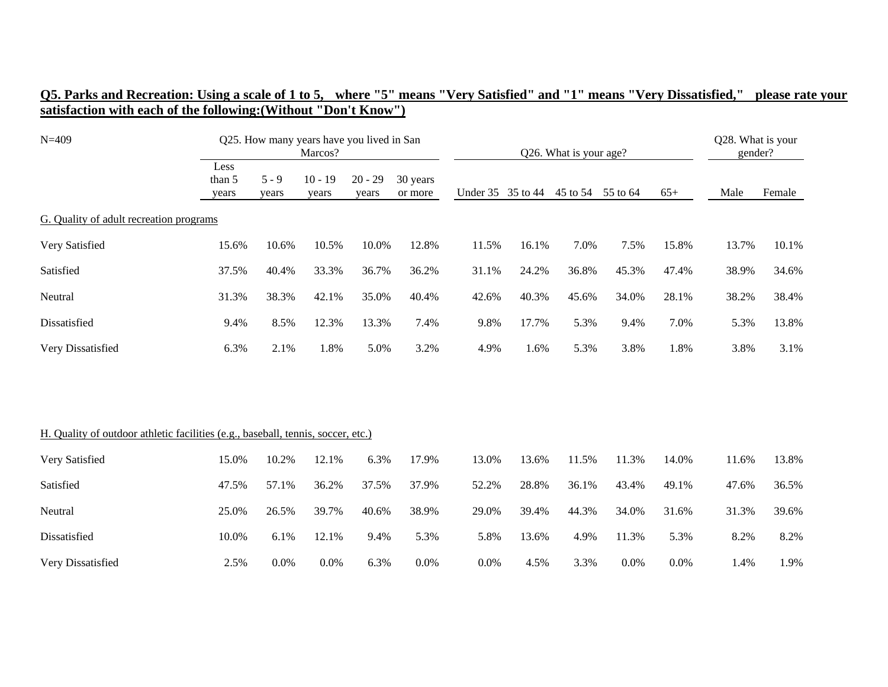| Q5. Parks and Recreation: Using a scale of 1 to 5, where "5" means "Very Satisfied" and "1" means "Very Dissatisfied," please rate your |  |  |  |
|-----------------------------------------------------------------------------------------------------------------------------------------|--|--|--|
| satisfaction with each of the following: (Without "Don't Know")                                                                         |  |  |  |

| $N = 409$                                                                        |                         |                  | Q25. How many years have you lived in San<br>Marcos? |                    |                     |       | Q26. What is your age? |          |          |       | Q28. What is your<br>gender? |        |  |
|----------------------------------------------------------------------------------|-------------------------|------------------|------------------------------------------------------|--------------------|---------------------|-------|------------------------|----------|----------|-------|------------------------------|--------|--|
|                                                                                  | Less<br>than 5<br>years | $5 - 9$<br>years | $10 - 19$<br>years                                   | $20 - 29$<br>years | 30 years<br>or more |       | Under 35 35 to 44      | 45 to 54 | 55 to 64 | $65+$ | Male                         | Female |  |
| G. Quality of adult recreation programs                                          |                         |                  |                                                      |                    |                     |       |                        |          |          |       |                              |        |  |
| Very Satisfied                                                                   | 15.6%                   | 10.6%            | 10.5%                                                | 10.0%              | 12.8%               | 11.5% | 16.1%                  | 7.0%     | 7.5%     | 15.8% | 13.7%                        | 10.1%  |  |
| Satisfied                                                                        | 37.5%                   | 40.4%            | 33.3%                                                | 36.7%              | 36.2%               | 31.1% | 24.2%                  | 36.8%    | 45.3%    | 47.4% | 38.9%                        | 34.6%  |  |
| Neutral                                                                          | 31.3%                   | 38.3%            | 42.1%                                                | 35.0%              | 40.4%               | 42.6% | 40.3%                  | 45.6%    | 34.0%    | 28.1% | 38.2%                        | 38.4%  |  |
| Dissatisfied                                                                     | 9.4%                    | 8.5%             | 12.3%                                                | 13.3%              | 7.4%                | 9.8%  | 17.7%                  | 5.3%     | 9.4%     | 7.0%  | 5.3%                         | 13.8%  |  |
| Very Dissatisfied                                                                | 6.3%                    | 2.1%             | 1.8%                                                 | 5.0%               | 3.2%                | 4.9%  | 1.6%                   | 5.3%     | 3.8%     | 1.8%  | 3.8%                         | 3.1%   |  |
|                                                                                  |                         |                  |                                                      |                    |                     |       |                        |          |          |       |                              |        |  |
|                                                                                  |                         |                  |                                                      |                    |                     |       |                        |          |          |       |                              |        |  |
| H. Quality of outdoor athletic facilities (e.g., baseball, tennis, soccer, etc.) |                         |                  |                                                      |                    |                     |       |                        |          |          |       |                              |        |  |
| Very Satisfied                                                                   | 15.0%                   | 10.2%            | 12.1%                                                | 6.3%               | 17.9%               | 13.0% | 13.6%                  | 11.5%    | 11.3%    | 14.0% | 11.6%                        | 13.8%  |  |
| Satisfied                                                                        | 47.5%                   | 57.1%            | 36.2%                                                | 37.5%              | 37.9%               | 52.2% | 28.8%                  | 36.1%    | 43.4%    | 49.1% | 47.6%                        | 36.5%  |  |
| Neutral                                                                          | 25.0%                   | 26.5%            | 39.7%                                                | 40.6%              | 38.9%               | 29.0% | 39.4%                  | 44.3%    | 34.0%    | 31.6% | 31.3%                        | 39.6%  |  |
| Dissatisfied                                                                     | 10.0%                   | 6.1%             | 12.1%                                                | 9.4%               | 5.3%                | 5.8%  | 13.6%                  | 4.9%     | 11.3%    | 5.3%  | 8.2%                         | 8.2%   |  |
| Very Dissatisfied                                                                | 2.5%                    | 0.0%             | 0.0%                                                 | 6.3%               | 0.0%                | 0.0%  | 4.5%                   | 3.3%     | 0.0%     | 0.0%  | 1.4%                         | 1.9%   |  |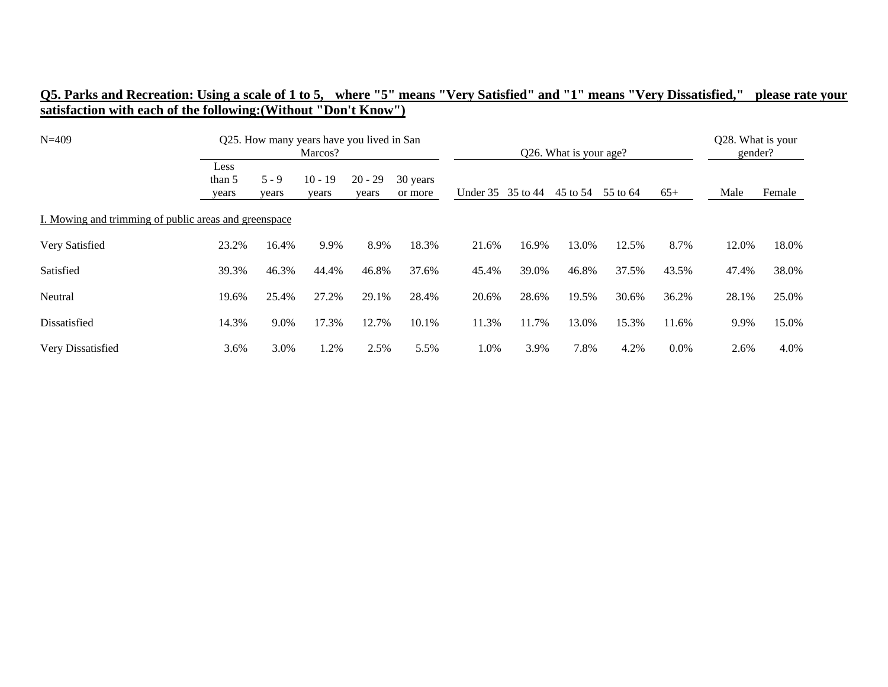| $N = 409$                                             |                         |                  | Q25. How many years have you lived in San<br>Marcos? |                    |                     | Q26. What is your age? |       |          |          |         | Q28. What is your<br>gender? |        |  |
|-------------------------------------------------------|-------------------------|------------------|------------------------------------------------------|--------------------|---------------------|------------------------|-------|----------|----------|---------|------------------------------|--------|--|
|                                                       | Less<br>than 5<br>years | $5 - 9$<br>years | $10 - 19$<br>years                                   | $20 - 29$<br>years | 30 years<br>or more | Under 35 35 to 44      |       | 45 to 54 | 55 to 64 | $65+$   | Male                         | Female |  |
| I. Mowing and trimming of public areas and greenspace |                         |                  |                                                      |                    |                     |                        |       |          |          |         |                              |        |  |
| Very Satisfied                                        | 23.2%                   | 16.4%            | 9.9%                                                 | 8.9%               | 18.3%               | 21.6%                  | 16.9% | 13.0%    | 12.5%    | 8.7%    | 12.0%                        | 18.0%  |  |
| Satisfied                                             | 39.3%                   | 46.3%            | 44.4%                                                | 46.8%              | 37.6%               | 45.4%                  | 39.0% | 46.8%    | 37.5%    | 43.5%   | 47.4%                        | 38.0%  |  |
| Neutral                                               | 19.6%                   | 25.4%            | 27.2%                                                | 29.1%              | 28.4%               | 20.6%                  | 28.6% | 19.5%    | 30.6%    | 36.2%   | 28.1%                        | 25.0%  |  |
| Dissatisfied                                          | 14.3%                   | 9.0%             | 17.3%                                                | 12.7%              | 10.1%               | 11.3%                  | 11.7% | 13.0%    | 15.3%    | 11.6%   | 9.9%                         | 15.0%  |  |
| Very Dissatisfied                                     | 3.6%                    | 3.0%             | 1.2%                                                 | 2.5%               | 5.5%                | 1.0%                   | 3.9%  | 7.8%     | 4.2%     | $0.0\%$ | 2.6%                         | 4.0%   |  |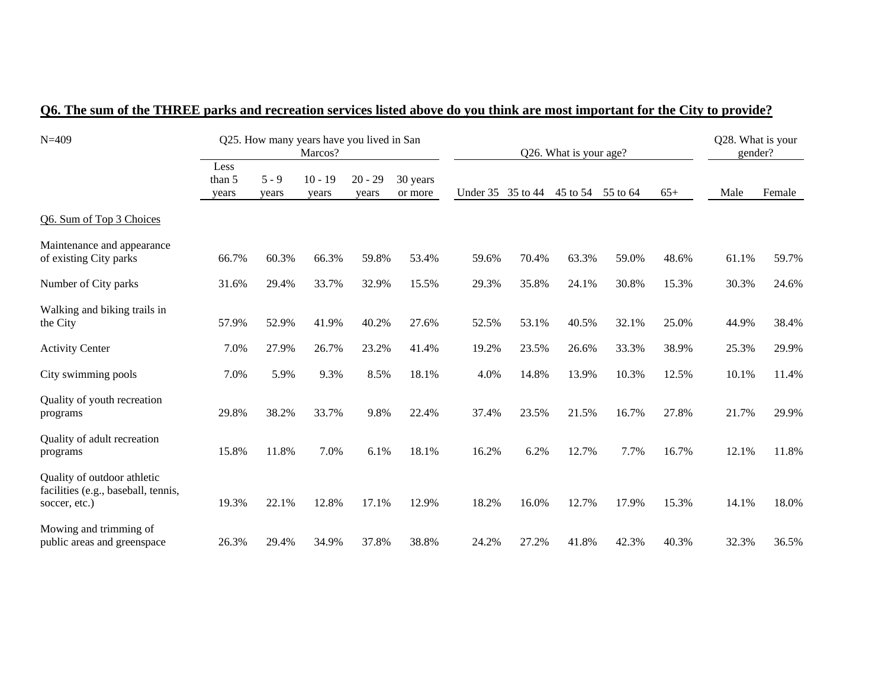| $N = 409$                                                                           |                         |                  | Q25. How many years have you lived in San<br>Marcos? |                    |                     |       |                   | Q26. What is your age? |          |       | Q28. What is your<br>gender? |        |
|-------------------------------------------------------------------------------------|-------------------------|------------------|------------------------------------------------------|--------------------|---------------------|-------|-------------------|------------------------|----------|-------|------------------------------|--------|
|                                                                                     | Less<br>than 5<br>years | $5 - 9$<br>years | $10 - 19$<br>years                                   | $20 - 29$<br>years | 30 years<br>or more |       | Under 35 35 to 44 | 45 to 54               | 55 to 64 | $65+$ | Male                         | Female |
| Q6. Sum of Top 3 Choices                                                            |                         |                  |                                                      |                    |                     |       |                   |                        |          |       |                              |        |
| Maintenance and appearance<br>of existing City parks                                | 66.7%                   | 60.3%            | 66.3%                                                | 59.8%              | 53.4%               | 59.6% | 70.4%             | 63.3%                  | 59.0%    | 48.6% | 61.1%                        | 59.7%  |
| Number of City parks                                                                | 31.6%                   | 29.4%            | 33.7%                                                | 32.9%              | 15.5%               | 29.3% | 35.8%             | 24.1%                  | 30.8%    | 15.3% | 30.3%                        | 24.6%  |
| Walking and biking trails in<br>the City                                            | 57.9%                   | 52.9%            | 41.9%                                                | 40.2%              | 27.6%               | 52.5% | 53.1%             | 40.5%                  | 32.1%    | 25.0% | 44.9%                        | 38.4%  |
| <b>Activity Center</b>                                                              | 7.0%                    | 27.9%            | 26.7%                                                | 23.2%              | 41.4%               | 19.2% | 23.5%             | 26.6%                  | 33.3%    | 38.9% | 25.3%                        | 29.9%  |
| City swimming pools                                                                 | 7.0%                    | 5.9%             | 9.3%                                                 | 8.5%               | 18.1%               | 4.0%  | 14.8%             | 13.9%                  | 10.3%    | 12.5% | 10.1%                        | 11.4%  |
| Quality of youth recreation<br>programs                                             | 29.8%                   | 38.2%            | 33.7%                                                | 9.8%               | 22.4%               | 37.4% | 23.5%             | 21.5%                  | 16.7%    | 27.8% | 21.7%                        | 29.9%  |
| Quality of adult recreation<br>programs                                             | 15.8%                   | 11.8%            | 7.0%                                                 | 6.1%               | 18.1%               | 16.2% | 6.2%              | 12.7%                  | 7.7%     | 16.7% | 12.1%                        | 11.8%  |
| Quality of outdoor athletic<br>facilities (e.g., baseball, tennis,<br>soccer, etc.) | 19.3%                   | 22.1%            | 12.8%                                                | 17.1%              | 12.9%               | 18.2% | 16.0%             | 12.7%                  | 17.9%    | 15.3% | 14.1%                        | 18.0%  |
| Mowing and trimming of<br>public areas and greenspace                               | 26.3%                   | 29.4%            | 34.9%                                                | 37.8%              | 38.8%               | 24.2% | 27.2%             | 41.8%                  | 42.3%    | 40.3% | 32.3%                        | 36.5%  |

## **Q6. The sum of the THREE parks and recreation services listed above do you think are most important for the City to provide?**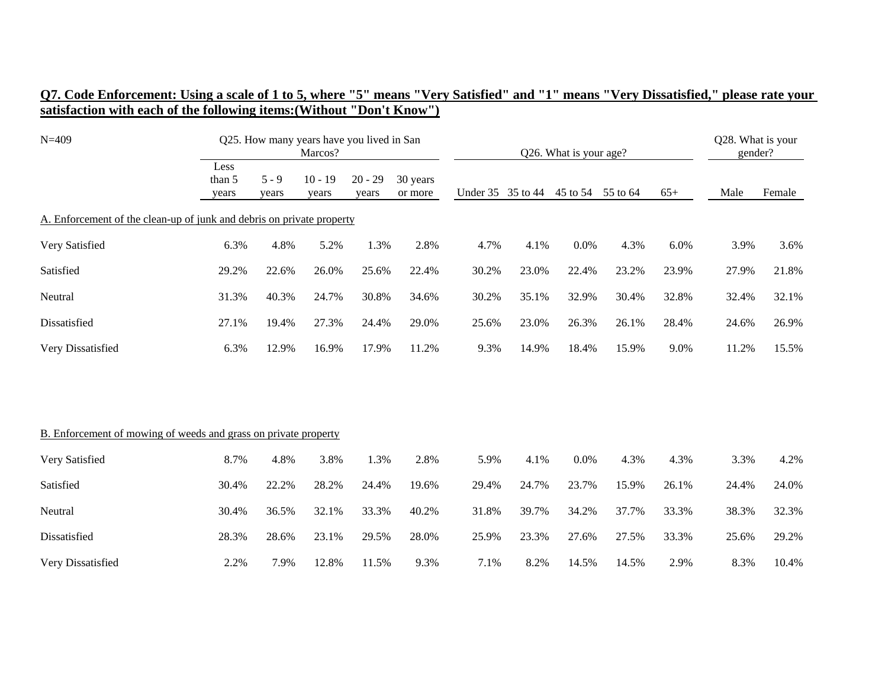| O7. Code Enforcement: Using a scale of 1 to 5, where "5" means "Very Satisfied" and "1" means "Very Dissatisfied," please rate your |  |  |  |
|-------------------------------------------------------------------------------------------------------------------------------------|--|--|--|
| satisfaction with each of the following items: (Without "Don't Know")                                                               |  |  |  |

| $N = 409$                                                             |                         |                  | Marcos?            | Q25. How many years have you lived in San |                     |       |                   | Q26. What is your age? |          |       | Q28. What is your<br>gender? |        |
|-----------------------------------------------------------------------|-------------------------|------------------|--------------------|-------------------------------------------|---------------------|-------|-------------------|------------------------|----------|-------|------------------------------|--------|
|                                                                       | Less<br>than 5<br>years | $5 - 9$<br>years | $10 - 19$<br>years | $20 - 29$<br>years                        | 30 years<br>or more |       | Under 35 35 to 44 | 45 to 54               | 55 to 64 | $65+$ | Male                         | Female |
| A. Enforcement of the clean-up of junk and debris on private property |                         |                  |                    |                                           |                     |       |                   |                        |          |       |                              |        |
| Very Satisfied                                                        | 6.3%                    | 4.8%             | 5.2%               | 1.3%                                      | 2.8%                | 4.7%  | 4.1%              | 0.0%                   | 4.3%     | 6.0%  | 3.9%                         | 3.6%   |
| Satisfied                                                             | 29.2%                   | 22.6%            | 26.0%              | 25.6%                                     | 22.4%               | 30.2% | 23.0%             | 22.4%                  | 23.2%    | 23.9% | 27.9%                        | 21.8%  |
| Neutral                                                               | 31.3%                   | 40.3%            | 24.7%              | 30.8%                                     | 34.6%               | 30.2% | 35.1%             | 32.9%                  | 30.4%    | 32.8% | 32.4%                        | 32.1%  |
| Dissatisfied                                                          | 27.1%                   | 19.4%            | 27.3%              | 24.4%                                     | 29.0%               | 25.6% | 23.0%             | 26.3%                  | 26.1%    | 28.4% | 24.6%                        | 26.9%  |
| Very Dissatisfied                                                     | 6.3%                    | 12.9%            | 16.9%              | 17.9%                                     | 11.2%               | 9.3%  | 14.9%             | 18.4%                  | 15.9%    | 9.0%  | 11.2%                        | 15.5%  |
|                                                                       |                         |                  |                    |                                           |                     |       |                   |                        |          |       |                              |        |
| B. Enforcement of mowing of weeds and grass on private property       |                         |                  |                    |                                           |                     |       |                   |                        |          |       |                              |        |
| Very Satisfied                                                        | 8.7%                    | 4.8%             | 3.8%               | 1.3%                                      | 2.8%                | 5.9%  | 4.1%              | 0.0%                   | 4.3%     | 4.3%  | 3.3%                         | 4.2%   |
| Satisfied                                                             | 30.4%                   | 22.2%            | 28.2%              | 24.4%                                     | 19.6%               | 29.4% | 24.7%             | 23.7%                  | 15.9%    | 26.1% | 24.4%                        | 24.0%  |
| Neutral                                                               | 30.4%                   | 36.5%            | 32.1%              | 33.3%                                     | 40.2%               | 31.8% | 39.7%             | 34.2%                  | 37.7%    | 33.3% | 38.3%                        | 32.3%  |
| Dissatisfied                                                          | 28.3%                   | 28.6%            | 23.1%              | 29.5%                                     | 28.0%               | 25.9% | 23.3%             | 27.6%                  | 27.5%    | 33.3% | 25.6%                        | 29.2%  |
| Very Dissatisfied                                                     | 2.2%                    | 7.9%             | 12.8%              | 11.5%                                     | 9.3%                | 7.1%  | 8.2%              | 14.5%                  | 14.5%    | 2.9%  | 8.3%                         | 10.4%  |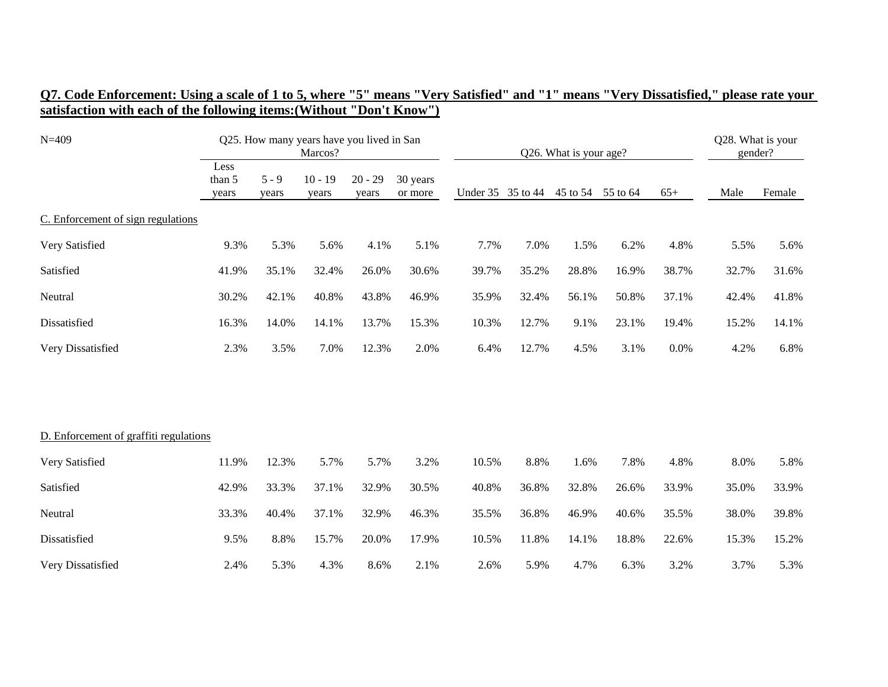| $N = 409$                              | Q25. How many years have you lived in San<br>Marcos? |                  |                    |                    |                     | Q26. What is your age? |       | Q28. What is your<br>gender? |                   |       |       |        |
|----------------------------------------|------------------------------------------------------|------------------|--------------------|--------------------|---------------------|------------------------|-------|------------------------------|-------------------|-------|-------|--------|
|                                        | Less<br>than 5<br>years                              | $5 - 9$<br>years | $10 - 19$<br>years | $20 - 29$<br>years | 30 years<br>or more | Under 35 35 to 44      |       |                              | 45 to 54 55 to 64 | $65+$ | Male  | Female |
| C. Enforcement of sign regulations     |                                                      |                  |                    |                    |                     |                        |       |                              |                   |       |       |        |
| Very Satisfied                         | 9.3%                                                 | 5.3%             | 5.6%               | 4.1%               | 5.1%                | 7.7%                   | 7.0%  | 1.5%                         | 6.2%              | 4.8%  | 5.5%  | 5.6%   |
| Satisfied                              | 41.9%                                                | 35.1%            | 32.4%              | 26.0%              | 30.6%               | 39.7%                  | 35.2% | 28.8%                        | 16.9%             | 38.7% | 32.7% | 31.6%  |
| Neutral                                | 30.2%                                                | 42.1%            | 40.8%              | 43.8%              | 46.9%               | 35.9%                  | 32.4% | 56.1%                        | 50.8%             | 37.1% | 42.4% | 41.8%  |
| Dissatisfied                           | 16.3%                                                | 14.0%            | 14.1%              | 13.7%              | 15.3%               | 10.3%                  | 12.7% | 9.1%                         | 23.1%             | 19.4% | 15.2% | 14.1%  |
| Very Dissatisfied                      | 2.3%                                                 | 3.5%             | 7.0%               | 12.3%              | 2.0%                | 6.4%                   | 12.7% | 4.5%                         | 3.1%              | 0.0%  | 4.2%  | 6.8%   |
|                                        |                                                      |                  |                    |                    |                     |                        |       |                              |                   |       |       |        |
| D. Enforcement of graffiti regulations |                                                      |                  |                    |                    |                     |                        |       |                              |                   |       |       |        |
| Very Satisfied                         | 11.9%                                                | 12.3%            | 5.7%               | 5.7%               | 3.2%                | 10.5%                  | 8.8%  | 1.6%                         | 7.8%              | 4.8%  | 8.0%  | 5.8%   |
| Satisfied                              | 42.9%                                                | 33.3%            | 37.1%              | 32.9%              | 30.5%               | 40.8%                  | 36.8% | 32.8%                        | 26.6%             | 33.9% | 35.0% | 33.9%  |
| Neutral                                | 33.3%                                                | 40.4%            | 37.1%              | 32.9%              | 46.3%               | 35.5%                  | 36.8% | 46.9%                        | 40.6%             | 35.5% | 38.0% | 39.8%  |
| Dissatisfied                           | 9.5%                                                 | 8.8%             | 15.7%              | 20.0%              | 17.9%               | 10.5%                  | 11.8% | 14.1%                        | 18.8%             | 22.6% | 15.3% | 15.2%  |
| Very Dissatisfied                      | 2.4%                                                 | 5.3%             | 4.3%               | 8.6%               | 2.1%                | 2.6%                   | 5.9%  | 4.7%                         | 6.3%              | 3.2%  | 3.7%  | 5.3%   |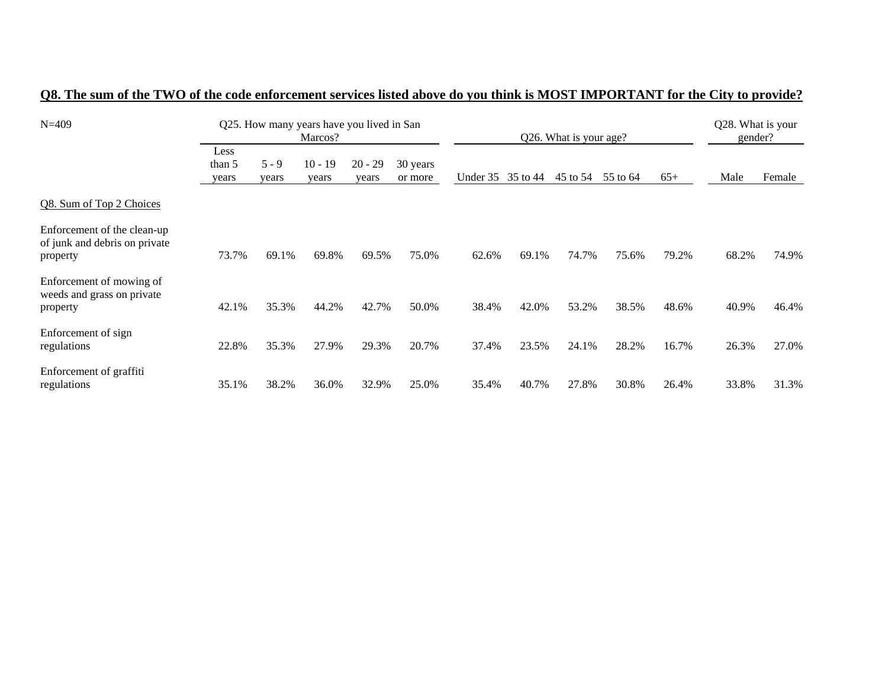| $N = 409$                                                                |                         |                  | Q25. How many years have you lived in San<br>Marcos? |                    |                     | Q26. What is your age? |          |          |          |       | Q28. What is your<br>gender? |        |
|--------------------------------------------------------------------------|-------------------------|------------------|------------------------------------------------------|--------------------|---------------------|------------------------|----------|----------|----------|-------|------------------------------|--------|
|                                                                          | Less<br>than 5<br>years | $5 - 9$<br>years | $10 - 19$<br>years                                   | $20 - 29$<br>years | 30 years<br>or more | Under 35               | 35 to 44 | 45 to 54 | 55 to 64 | $65+$ | Male                         | Female |
| Q8. Sum of Top 2 Choices                                                 |                         |                  |                                                      |                    |                     |                        |          |          |          |       |                              |        |
| Enforcement of the clean-up<br>of junk and debris on private<br>property | 73.7%                   | 69.1%            | 69.8%                                                | 69.5%              | 75.0%               | 62.6%                  | 69.1%    | 74.7%    | 75.6%    | 79.2% | 68.2%                        | 74.9%  |
| Enforcement of mowing of<br>weeds and grass on private<br>property       | 42.1%                   | 35.3%            | 44.2%                                                | 42.7%              | 50.0%               | 38.4%                  | 42.0%    | 53.2%    | 38.5%    | 48.6% | 40.9%                        | 46.4%  |
| Enforcement of sign<br>regulations                                       | 22.8%                   | 35.3%            | 27.9%                                                | 29.3%              | 20.7%               | 37.4%                  | 23.5%    | 24.1%    | 28.2%    | 16.7% | 26.3%                        | 27.0%  |
| Enforcement of graffiti<br>regulations                                   | 35.1%                   | 38.2%            | 36.0%                                                | 32.9%              | 25.0%               | 35.4%                  | 40.7%    | 27.8%    | 30.8%    | 26.4% | 33.8%                        | 31.3%  |

### **Q8. The sum of the TWO of the code enforcement services listed above do you think is MOST IMPORTANT for the City to provide?**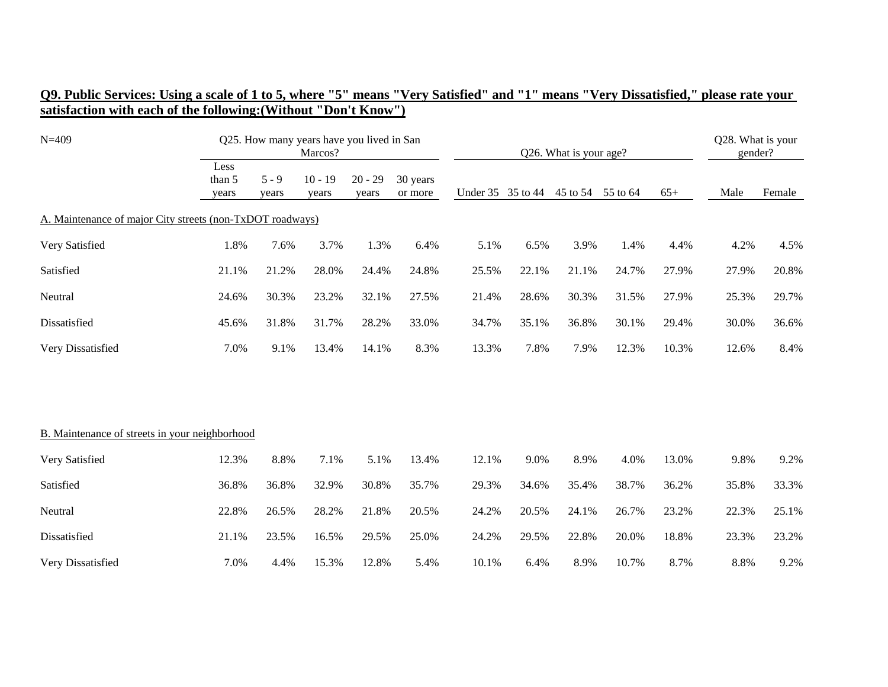| $N = 409$                                                 |                         |                  | Q25. How many years have you lived in San<br>Marcos? |                    |                     | Q26. What is your age? |                   |       |                   |       | Q28. What is your<br>gender? |        |  |
|-----------------------------------------------------------|-------------------------|------------------|------------------------------------------------------|--------------------|---------------------|------------------------|-------------------|-------|-------------------|-------|------------------------------|--------|--|
|                                                           | Less<br>than 5<br>years | $5 - 9$<br>years | $10 - 19$<br>years                                   | $20 - 29$<br>years | 30 years<br>or more |                        | Under 35 35 to 44 |       | 45 to 54 55 to 64 | $65+$ | Male                         | Female |  |
| A. Maintenance of major City streets (non-TxDOT roadways) |                         |                  |                                                      |                    |                     |                        |                   |       |                   |       |                              |        |  |
| Very Satisfied                                            | 1.8%                    | 7.6%             | 3.7%                                                 | 1.3%               | 6.4%                | 5.1%                   | 6.5%              | 3.9%  | 1.4%              | 4.4%  | 4.2%                         | 4.5%   |  |
| Satisfied                                                 | 21.1%                   | 21.2%            | 28.0%                                                | 24.4%              | 24.8%               | 25.5%                  | 22.1%             | 21.1% | 24.7%             | 27.9% | 27.9%                        | 20.8%  |  |
| Neutral                                                   | 24.6%                   | 30.3%            | 23.2%                                                | 32.1%              | 27.5%               | 21.4%                  | 28.6%             | 30.3% | 31.5%             | 27.9% | 25.3%                        | 29.7%  |  |
| Dissatisfied                                              | 45.6%                   | 31.8%            | 31.7%                                                | 28.2%              | 33.0%               | 34.7%                  | 35.1%             | 36.8% | 30.1%             | 29.4% | 30.0%                        | 36.6%  |  |
| Very Dissatisfied                                         | 7.0%                    | 9.1%             | 13.4%                                                | 14.1%              | 8.3%                | 13.3%                  | 7.8%              | 7.9%  | 12.3%             | 10.3% | 12.6%                        | 8.4%   |  |
|                                                           |                         |                  |                                                      |                    |                     |                        |                   |       |                   |       |                              |        |  |
| B. Maintenance of streets in your neighborhood            |                         |                  |                                                      |                    |                     |                        |                   |       |                   |       |                              |        |  |
| Very Satisfied                                            | 12.3%                   | 8.8%             | 7.1%                                                 | 5.1%               | 13.4%               | 12.1%                  | 9.0%              | 8.9%  | 4.0%              | 13.0% | 9.8%                         | 9.2%   |  |
| Satisfied                                                 | 36.8%                   | 36.8%            | 32.9%                                                | 30.8%              | 35.7%               | 29.3%                  | 34.6%             | 35.4% | 38.7%             | 36.2% | 35.8%                        | 33.3%  |  |
| Neutral                                                   | 22.8%                   | 26.5%            | 28.2%                                                | 21.8%              | 20.5%               | 24.2%                  | 20.5%             | 24.1% | 26.7%             | 23.2% | 22.3%                        | 25.1%  |  |
| Dissatisfied                                              | 21.1%                   | 23.5%            | 16.5%                                                | 29.5%              | 25.0%               | 24.2%                  | 29.5%             | 22.8% | 20.0%             | 18.8% | 23.3%                        | 23.2%  |  |
| Very Dissatisfied                                         | 7.0%                    | 4.4%             | 15.3%                                                | 12.8%              | 5.4%                | 10.1%                  | 6.4%              | 8.9%  | 10.7%             | 8.7%  | 8.8%                         | 9.2%   |  |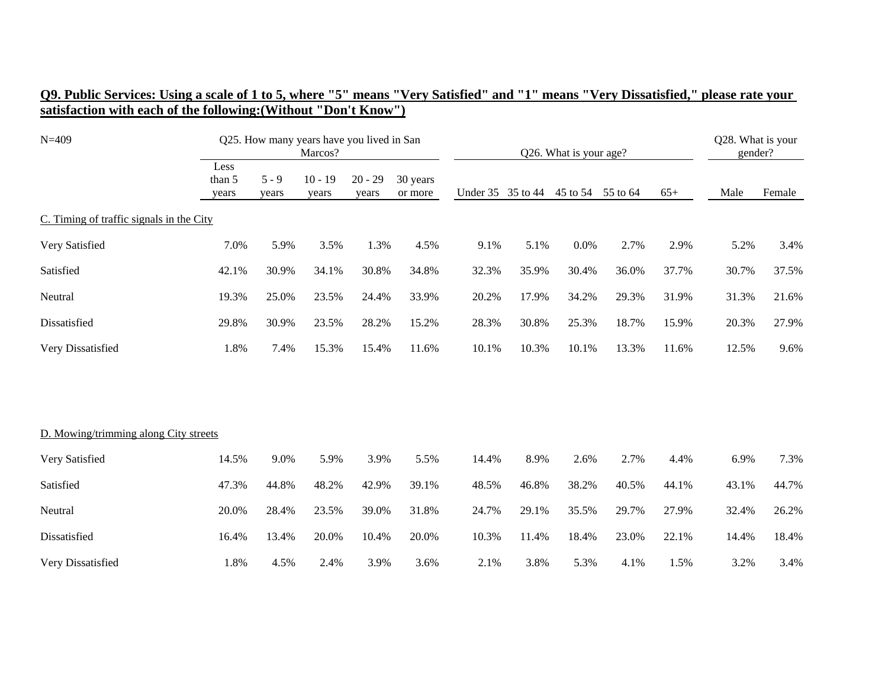| O9. Public Services: Using a scale of 1 to 5, where "5" means "Very Satisfied" and "1" means "Very Dissatisfied," please rate your |  |  |
|------------------------------------------------------------------------------------------------------------------------------------|--|--|
| satisfaction with each of the following: (Without "Don't Know")                                                                    |  |  |

| $N = 409$                                |                         | Q25. How many years have you lived in San<br>Marcos? |                    |                    |                     |                   |       | Q26. What is your age? |       |       |       |        |
|------------------------------------------|-------------------------|------------------------------------------------------|--------------------|--------------------|---------------------|-------------------|-------|------------------------|-------|-------|-------|--------|
|                                          | Less<br>than 5<br>years | $5 - 9$<br>years                                     | $10 - 19$<br>years | $20 - 29$<br>years | 30 years<br>or more | Under 35 35 to 44 |       | 45 to 54 55 to 64      |       | $65+$ | Male  | Female |
| C. Timing of traffic signals in the City |                         |                                                      |                    |                    |                     |                   |       |                        |       |       |       |        |
| Very Satisfied                           | 7.0%                    | 5.9%                                                 | 3.5%               | 1.3%               | 4.5%                | 9.1%              | 5.1%  | 0.0%                   | 2.7%  | 2.9%  | 5.2%  | 3.4%   |
| Satisfied                                | 42.1%                   | 30.9%                                                | 34.1%              | 30.8%              | 34.8%               | 32.3%             | 35.9% | 30.4%                  | 36.0% | 37.7% | 30.7% | 37.5%  |
| Neutral                                  | 19.3%                   | 25.0%                                                | 23.5%              | 24.4%              | 33.9%               | 20.2%             | 17.9% | 34.2%                  | 29.3% | 31.9% | 31.3% | 21.6%  |
| Dissatisfied                             | 29.8%                   | 30.9%                                                | 23.5%              | 28.2%              | 15.2%               | 28.3%             | 30.8% | 25.3%                  | 18.7% | 15.9% | 20.3% | 27.9%  |
| Very Dissatisfied                        | 1.8%                    | 7.4%                                                 | 15.3%              | 15.4%              | 11.6%               | 10.1%             | 10.3% | 10.1%                  | 13.3% | 11.6% | 12.5% | 9.6%   |
|                                          |                         |                                                      |                    |                    |                     |                   |       |                        |       |       |       |        |
| D. Mowing/trimming along City streets    |                         |                                                      |                    |                    |                     |                   |       |                        |       |       |       |        |
| Very Satisfied                           | 14.5%                   | 9.0%                                                 | 5.9%               | 3.9%               | 5.5%                | 14.4%             | 8.9%  | 2.6%                   | 2.7%  | 4.4%  | 6.9%  | 7.3%   |
| Satisfied                                | 47.3%                   | 44.8%                                                | 48.2%              | 42.9%              | 39.1%               | 48.5%             | 46.8% | 38.2%                  | 40.5% | 44.1% | 43.1% | 44.7%  |
| Neutral                                  | 20.0%                   | 28.4%                                                | 23.5%              | 39.0%              | 31.8%               | 24.7%             | 29.1% | 35.5%                  | 29.7% | 27.9% | 32.4% | 26.2%  |
| Dissatisfied                             | 16.4%                   | 13.4%                                                | 20.0%              | 10.4%              | 20.0%               | 10.3%             | 11.4% | 18.4%                  | 23.0% | 22.1% | 14.4% | 18.4%  |
| Very Dissatisfied                        | 1.8%                    | 4.5%                                                 | 2.4%               | 3.9%               | 3.6%                | 2.1%              | 3.8%  | 5.3%                   | 4.1%  | 1.5%  | 3.2%  | 3.4%   |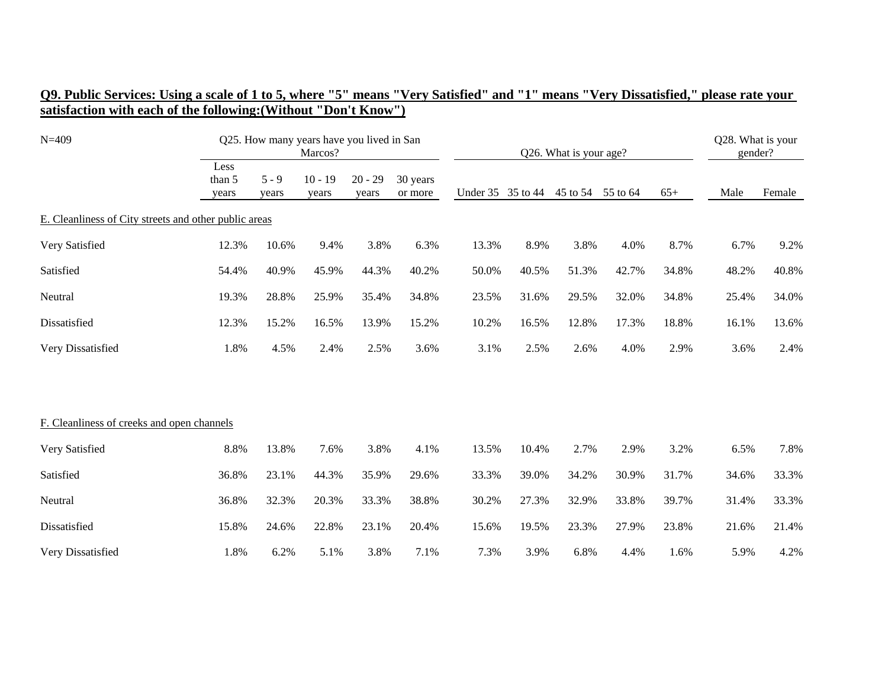| O9. Public Services: Using a scale of 1 to 5, where "5" means "Very Satisfied" and "1" means "Very Dissatisfied," please rate your |  |
|------------------------------------------------------------------------------------------------------------------------------------|--|
| satisfaction with each of the following: (Without "Don't Know")                                                                    |  |

| $N = 409$                                             |                 | Q25. How many years have you lived in San<br>Marcos?<br>Less |                    |                    |                     |       |                   | Q26. What is your age? |          |       | Q28. What is your<br>gender? |        |
|-------------------------------------------------------|-----------------|--------------------------------------------------------------|--------------------|--------------------|---------------------|-------|-------------------|------------------------|----------|-------|------------------------------|--------|
|                                                       | than 5<br>years | $5 - 9$<br>years                                             | $10 - 19$<br>years | $20 - 29$<br>years | 30 years<br>or more |       | Under 35 35 to 44 | 45 to 54               | 55 to 64 | $65+$ | Male                         | Female |
| E. Cleanliness of City streets and other public areas |                 |                                                              |                    |                    |                     |       |                   |                        |          |       |                              |        |
| Very Satisfied                                        | 12.3%           | 10.6%                                                        | 9.4%               | 3.8%               | 6.3%                | 13.3% | 8.9%              | 3.8%                   | 4.0%     | 8.7%  | 6.7%                         | 9.2%   |
| Satisfied                                             | 54.4%           | 40.9%                                                        | 45.9%              | 44.3%              | 40.2%               | 50.0% | 40.5%             | 51.3%                  | 42.7%    | 34.8% | 48.2%                        | 40.8%  |
| Neutral                                               | 19.3%           | 28.8%                                                        | 25.9%              | 35.4%              | 34.8%               | 23.5% | 31.6%             | 29.5%                  | 32.0%    | 34.8% | 25.4%                        | 34.0%  |
| Dissatisfied                                          | 12.3%           | 15.2%                                                        | 16.5%              | 13.9%              | 15.2%               | 10.2% | 16.5%             | 12.8%                  | 17.3%    | 18.8% | 16.1%                        | 13.6%  |
| Very Dissatisfied                                     | 1.8%            | 4.5%                                                         | 2.4%               | 2.5%               | 3.6%                | 3.1%  | 2.5%              | 2.6%                   | 4.0%     | 2.9%  | 3.6%                         | 2.4%   |
| F. Cleanliness of creeks and open channels            |                 |                                                              |                    |                    |                     |       |                   |                        |          |       |                              |        |
| Very Satisfied                                        | 8.8%            | 13.8%                                                        | 7.6%               | 3.8%               | 4.1%                | 13.5% | 10.4%             | 2.7%                   | 2.9%     | 3.2%  | 6.5%                         | 7.8%   |
| Satisfied                                             | 36.8%           | 23.1%                                                        | 44.3%              | 35.9%              | 29.6%               | 33.3% | 39.0%             | 34.2%                  | 30.9%    | 31.7% | 34.6%                        | 33.3%  |
| Neutral                                               | 36.8%           | 32.3%                                                        | 20.3%              | 33.3%              | 38.8%               | 30.2% | 27.3%             | 32.9%                  | 33.8%    | 39.7% | 31.4%                        | 33.3%  |
| Dissatisfied                                          | 15.8%           | 24.6%                                                        | 22.8%              | 23.1%              | 20.4%               | 15.6% | 19.5%             | 23.3%                  | 27.9%    | 23.8% | 21.6%                        | 21.4%  |
| Very Dissatisfied                                     | 1.8%            | 6.2%                                                         | 5.1%               | 3.8%               | 7.1%                | 7.3%  | 3.9%              | 6.8%                   | 4.4%     | 1.6%  | 5.9%                         | 4.2%   |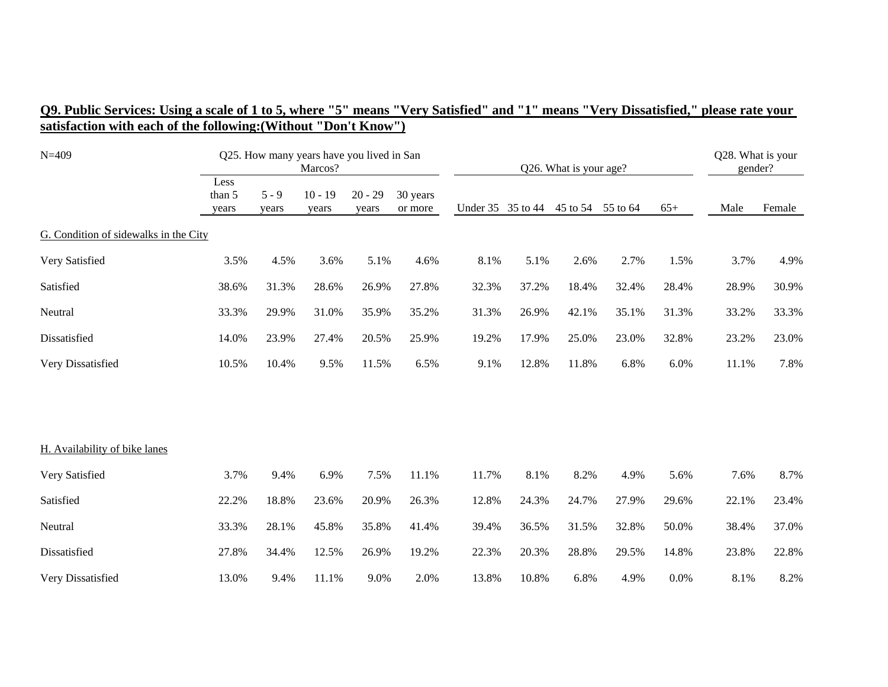| $N = 409$                             |                         | Q25. How many years have you lived in San |                    |                    |                     | Q26. What is your age? |                   |       | Q28. What is your<br>gender? |       |       |        |
|---------------------------------------|-------------------------|-------------------------------------------|--------------------|--------------------|---------------------|------------------------|-------------------|-------|------------------------------|-------|-------|--------|
|                                       | Less<br>than 5<br>years | $5 - 9$<br>years                          | $10 - 19$<br>years | $20 - 29$<br>years | 30 years<br>or more |                        | Under 35 35 to 44 |       | 45 to 54 55 to 64            | $65+$ | Male  | Female |
| G. Condition of sidewalks in the City |                         |                                           |                    |                    |                     |                        |                   |       |                              |       |       |        |
| Very Satisfied                        | 3.5%                    | 4.5%                                      | 3.6%               | 5.1%               | 4.6%                | 8.1%                   | 5.1%              | 2.6%  | 2.7%                         | 1.5%  | 3.7%  | 4.9%   |
| Satisfied                             | 38.6%                   | 31.3%                                     | 28.6%              | 26.9%              | 27.8%               | 32.3%                  | 37.2%             | 18.4% | 32.4%                        | 28.4% | 28.9% | 30.9%  |
| Neutral                               | 33.3%                   | 29.9%                                     | 31.0%              | 35.9%              | 35.2%               | 31.3%                  | 26.9%             | 42.1% | 35.1%                        | 31.3% | 33.2% | 33.3%  |
| Dissatisfied                          | 14.0%                   | 23.9%                                     | 27.4%              | 20.5%              | 25.9%               | 19.2%                  | 17.9%             | 25.0% | 23.0%                        | 32.8% | 23.2% | 23.0%  |
| Very Dissatisfied                     | 10.5%                   | 10.4%                                     | 9.5%               | 11.5%              | 6.5%                | 9.1%                   | 12.8%             | 11.8% | 6.8%                         | 6.0%  | 11.1% | 7.8%   |
|                                       |                         |                                           |                    |                    |                     |                        |                   |       |                              |       |       |        |
| H. Availability of bike lanes         |                         |                                           |                    |                    |                     |                        |                   |       |                              |       |       |        |
| Very Satisfied                        | 3.7%                    | 9.4%                                      | 6.9%               | 7.5%               | 11.1%               | 11.7%                  | 8.1%              | 8.2%  | 4.9%                         | 5.6%  | 7.6%  | 8.7%   |
| Satisfied                             | 22.2%                   | 18.8%                                     | 23.6%              | 20.9%              | 26.3%               | 12.8%                  | 24.3%             | 24.7% | 27.9%                        | 29.6% | 22.1% | 23.4%  |
| Neutral                               | 33.3%                   | 28.1%                                     | 45.8%              | 35.8%              | 41.4%               | 39.4%                  | 36.5%             | 31.5% | 32.8%                        | 50.0% | 38.4% | 37.0%  |
| Dissatisfied                          | 27.8%                   | 34.4%                                     | 12.5%              | 26.9%              | 19.2%               | 22.3%                  | 20.3%             | 28.8% | 29.5%                        | 14.8% | 23.8% | 22.8%  |
| Very Dissatisfied                     | 13.0%                   | 9.4%                                      | 11.1%              | 9.0%               | 2.0%                | 13.8%                  | 10.8%             | 6.8%  | 4.9%                         | 0.0%  | 8.1%  | 8.2%   |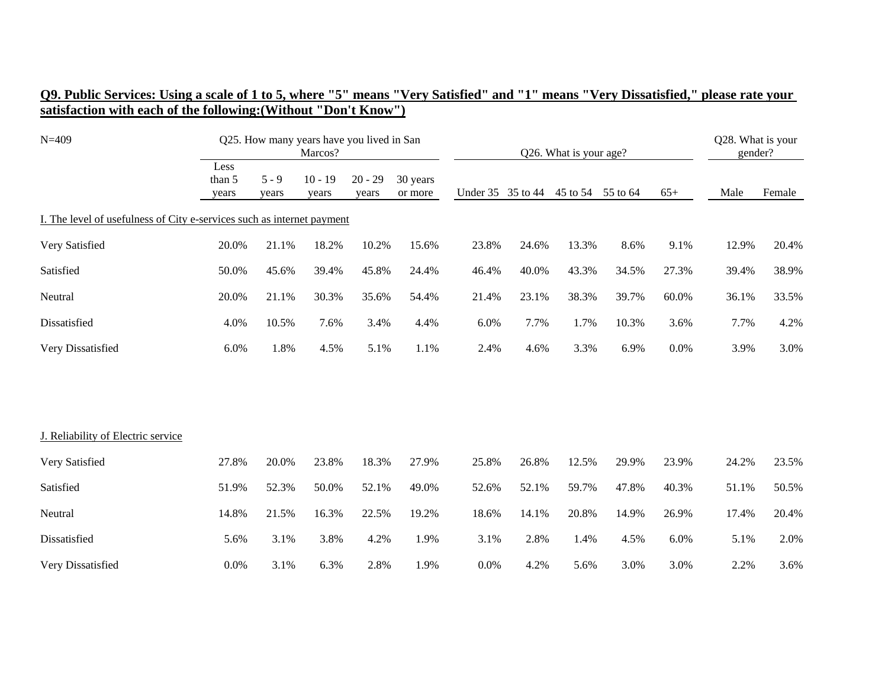| $N = 409$                                                              | Q25. How many years have you lived in San<br>Marcos?<br>Q26. What is your age? |                  |                    |                    |                     |       |                   | Q28. What is your<br>gender? |                   |       |       |        |
|------------------------------------------------------------------------|--------------------------------------------------------------------------------|------------------|--------------------|--------------------|---------------------|-------|-------------------|------------------------------|-------------------|-------|-------|--------|
|                                                                        | Less<br>than 5<br>years                                                        | $5 - 9$<br>years | $10 - 19$<br>years | $20 - 29$<br>years | 30 years<br>or more |       | Under 35 35 to 44 |                              | 45 to 54 55 to 64 | $65+$ | Male  | Female |
| I. The level of usefulness of City e-services such as internet payment |                                                                                |                  |                    |                    |                     |       |                   |                              |                   |       |       |        |
| Very Satisfied                                                         | 20.0%                                                                          | 21.1%            | 18.2%              | 10.2%              | 15.6%               | 23.8% | 24.6%             | 13.3%                        | 8.6%              | 9.1%  | 12.9% | 20.4%  |
| Satisfied                                                              | 50.0%                                                                          | 45.6%            | 39.4%              | 45.8%              | 24.4%               | 46.4% | 40.0%             | 43.3%                        | 34.5%             | 27.3% | 39.4% | 38.9%  |
| Neutral                                                                | 20.0%                                                                          | 21.1%            | 30.3%              | 35.6%              | 54.4%               | 21.4% | 23.1%             | 38.3%                        | 39.7%             | 60.0% | 36.1% | 33.5%  |
| Dissatisfied                                                           | 4.0%                                                                           | 10.5%            | 7.6%               | 3.4%               | 4.4%                | 6.0%  | 7.7%              | 1.7%                         | 10.3%             | 3.6%  | 7.7%  | 4.2%   |
| Very Dissatisfied                                                      | 6.0%                                                                           | 1.8%             | 4.5%               | 5.1%               | 1.1%                | 2.4%  | 4.6%              | 3.3%                         | 6.9%              | 0.0%  | 3.9%  | 3.0%   |
|                                                                        |                                                                                |                  |                    |                    |                     |       |                   |                              |                   |       |       |        |
| J. Reliability of Electric service                                     |                                                                                |                  |                    |                    |                     |       |                   |                              |                   |       |       |        |
| Very Satisfied                                                         | 27.8%                                                                          | 20.0%            | 23.8%              | 18.3%              | 27.9%               | 25.8% | 26.8%             | 12.5%                        | 29.9%             | 23.9% | 24.2% | 23.5%  |
| Satisfied                                                              | 51.9%                                                                          | 52.3%            | 50.0%              | 52.1%              | 49.0%               | 52.6% | 52.1%             | 59.7%                        | 47.8%             | 40.3% | 51.1% | 50.5%  |
| Neutral                                                                | 14.8%                                                                          | 21.5%            | 16.3%              | 22.5%              | 19.2%               | 18.6% | 14.1%             | 20.8%                        | 14.9%             | 26.9% | 17.4% | 20.4%  |
| Dissatisfied                                                           | 5.6%                                                                           | 3.1%             | 3.8%               | 4.2%               | 1.9%                | 3.1%  | 2.8%              | 1.4%                         | 4.5%              | 6.0%  | 5.1%  | 2.0%   |
| Very Dissatisfied                                                      | 0.0%                                                                           | 3.1%             | 6.3%               | 2.8%               | 1.9%                | 0.0%  | 4.2%              | 5.6%                         | 3.0%              | 3.0%  | 2.2%  | 3.6%   |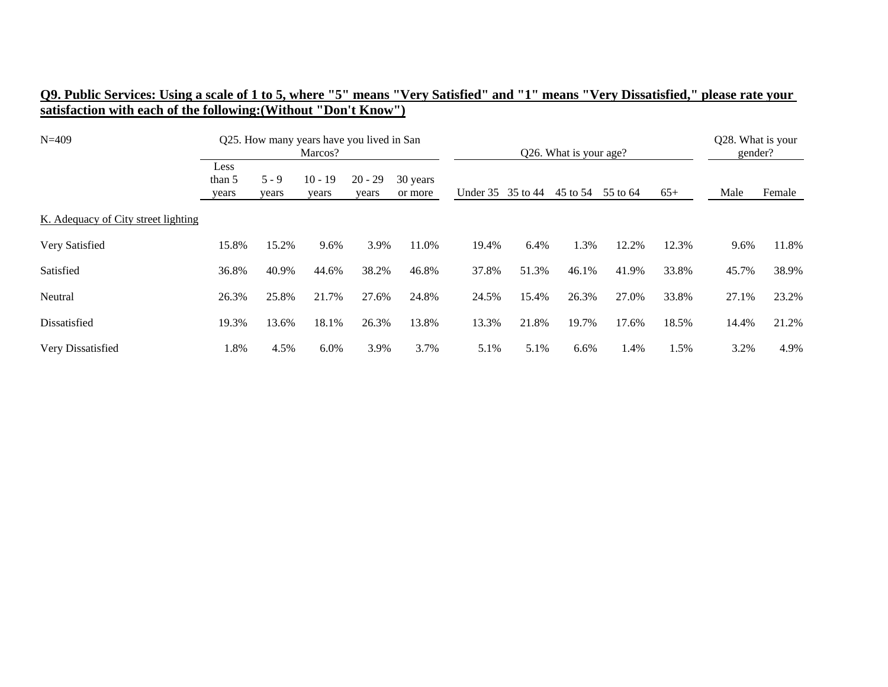|                                                                 | O9. Public Services: Using a scale of 1 to 5, where "5" means "Very Satisfied" and "1" means "Very Dissatisfied," please rate your |
|-----------------------------------------------------------------|------------------------------------------------------------------------------------------------------------------------------------|
| satisfaction with each of the following: (Without "Don't Know") |                                                                                                                                    |

| $N = 409$                           |                         |                  | Q25. How many years have you lived in San<br>Marcos? |                    |                     | Q26. What is your age? |       |          |          |       | Q28. What is your<br>gender? |        |  |
|-------------------------------------|-------------------------|------------------|------------------------------------------------------|--------------------|---------------------|------------------------|-------|----------|----------|-------|------------------------------|--------|--|
|                                     | Less<br>than 5<br>years | $5 - 9$<br>years | $10 - 19$<br>years                                   | $20 - 29$<br>years | 30 years<br>or more | Under 35 35 to 44      |       | 45 to 54 | 55 to 64 | $65+$ | Male                         | Female |  |
| K. Adequacy of City street lighting |                         |                  |                                                      |                    |                     |                        |       |          |          |       |                              |        |  |
| Very Satisfied                      | 15.8%                   | 15.2%            | 9.6%                                                 | 3.9%               | 11.0%               | 19.4%                  | 6.4%  | 1.3%     | 12.2%    | 12.3% | 9.6%                         | 11.8%  |  |
| Satisfied                           | 36.8%                   | 40.9%            | 44.6%                                                | 38.2%              | 46.8%               | 37.8%                  | 51.3% | 46.1%    | 41.9%    | 33.8% | 45.7%                        | 38.9%  |  |
| Neutral                             | 26.3%                   | 25.8%            | 21.7%                                                | 27.6%              | 24.8%               | 24.5%                  | 15.4% | 26.3%    | 27.0%    | 33.8% | 27.1%                        | 23.2%  |  |
| Dissatisfied                        | 19.3%                   | 13.6%            | 18.1%                                                | 26.3%              | 13.8%               | 13.3%                  | 21.8% | 19.7%    | 17.6%    | 18.5% | 14.4%                        | 21.2%  |  |
| Very Dissatisfied                   | 1.8%                    | 4.5%             | 6.0%                                                 | 3.9%               | 3.7%                | 5.1%                   | 5.1%  | 6.6%     | 1.4%     | 1.5%  | 3.2%                         | 4.9%   |  |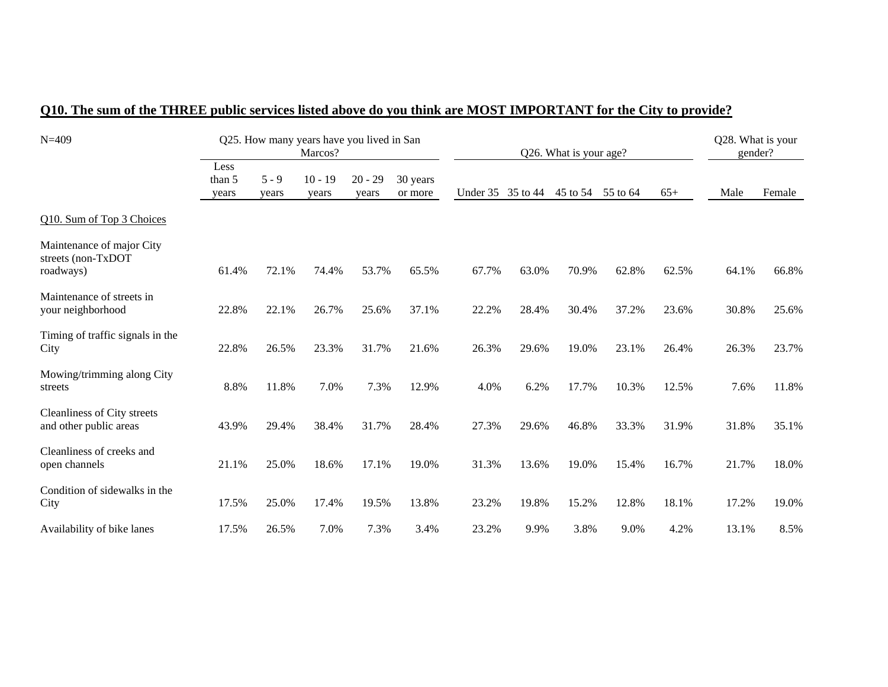| $N = 409$                                                    |                         |                  | Q25. How many years have you lived in San<br>Marcos? |                    |                     |                   |       | Q26. What is your age? |          |       | Q28. What is your<br>gender? |        |
|--------------------------------------------------------------|-------------------------|------------------|------------------------------------------------------|--------------------|---------------------|-------------------|-------|------------------------|----------|-------|------------------------------|--------|
|                                                              | Less<br>than 5<br>years | $5 - 9$<br>years | $10 - 19$<br>years                                   | $20 - 29$<br>years | 30 years<br>or more | Under 35 35 to 44 |       | 45 to 54               | 55 to 64 | $65+$ | Male                         | Female |
| Q10. Sum of Top 3 Choices                                    |                         |                  |                                                      |                    |                     |                   |       |                        |          |       |                              |        |
| Maintenance of major City<br>streets (non-TxDOT<br>roadways) | 61.4%                   | 72.1%            | 74.4%                                                | 53.7%              | 65.5%               | 67.7%             | 63.0% | 70.9%                  | 62.8%    | 62.5% | 64.1%                        | 66.8%  |
| Maintenance of streets in<br>your neighborhood               | 22.8%                   | 22.1%            | 26.7%                                                | 25.6%              | 37.1%               | 22.2%             | 28.4% | 30.4%                  | 37.2%    | 23.6% | 30.8%                        | 25.6%  |
| Timing of traffic signals in the<br>City                     | 22.8%                   | 26.5%            | 23.3%                                                | 31.7%              | 21.6%               | 26.3%             | 29.6% | 19.0%                  | 23.1%    | 26.4% | 26.3%                        | 23.7%  |
| Mowing/trimming along City<br>streets                        | 8.8%                    | 11.8%            | 7.0%                                                 | 7.3%               | 12.9%               | 4.0%              | 6.2%  | 17.7%                  | 10.3%    | 12.5% | 7.6%                         | 11.8%  |
| Cleanliness of City streets<br>and other public areas        | 43.9%                   | 29.4%            | 38.4%                                                | 31.7%              | 28.4%               | 27.3%             | 29.6% | 46.8%                  | 33.3%    | 31.9% | 31.8%                        | 35.1%  |
| Cleanliness of creeks and<br>open channels                   | 21.1%                   | 25.0%            | 18.6%                                                | 17.1%              | 19.0%               | 31.3%             | 13.6% | 19.0%                  | 15.4%    | 16.7% | 21.7%                        | 18.0%  |
| Condition of sidewalks in the<br>City                        | 17.5%                   | 25.0%            | 17.4%                                                | 19.5%              | 13.8%               | 23.2%             | 19.8% | 15.2%                  | 12.8%    | 18.1% | 17.2%                        | 19.0%  |
| Availability of bike lanes                                   | 17.5%                   | 26.5%            | 7.0%                                                 | 7.3%               | 3.4%                | 23.2%             | 9.9%  | 3.8%                   | 9.0%     | 4.2%  | 13.1%                        | 8.5%   |

## **Q10. The sum of the THREE public services listed above do you think are MOST IMPORTANT for the City to provide?**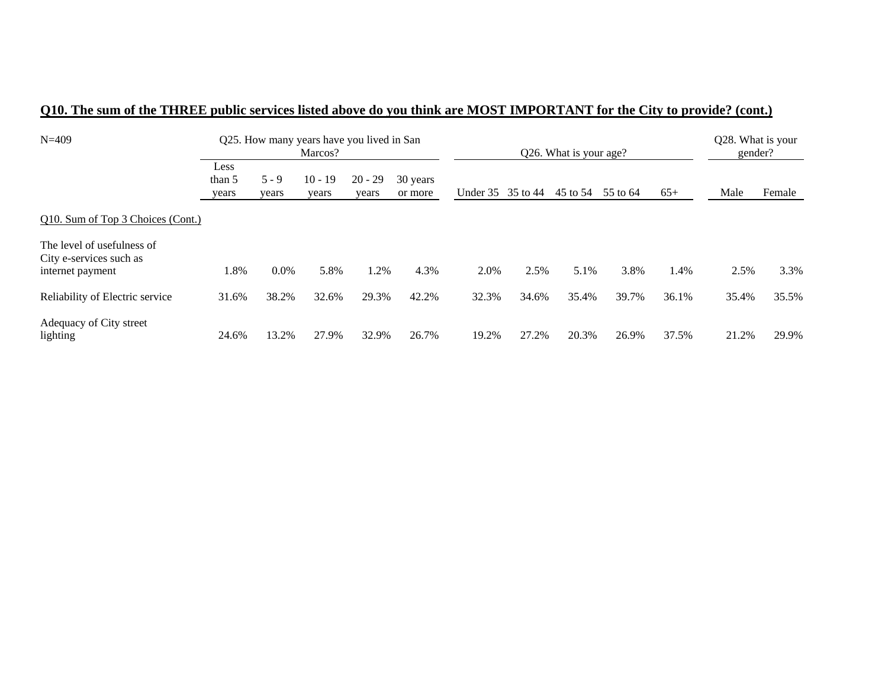| $N=409$                                                                   |                         |                  | Q25. How many years have you lived in San<br>Marcos? |                    |                     | Q26. What is your age? |       |          |          |       | Q28. What is your<br>gender? |        |  |
|---------------------------------------------------------------------------|-------------------------|------------------|------------------------------------------------------|--------------------|---------------------|------------------------|-------|----------|----------|-------|------------------------------|--------|--|
|                                                                           | Less<br>than 5<br>years | $5 - 9$<br>years | $10 - 19$<br>years                                   | $20 - 29$<br>years | 30 years<br>or more | Under 35 35 to 44      |       | 45 to 54 | 55 to 64 | $65+$ | Male                         | Female |  |
| Q10. Sum of Top 3 Choices (Cont.)                                         |                         |                  |                                                      |                    |                     |                        |       |          |          |       |                              |        |  |
| The level of usefulness of<br>City e-services such as<br>internet payment | 1.8%                    | $0.0\%$          | 5.8%                                                 | .2%                | 4.3%                | 2.0%                   | 2.5%  | 5.1%     | 3.8%     | 1.4%  | 2.5%                         | 3.3%   |  |
| Reliability of Electric service                                           | 31.6%                   | 38.2%            | 32.6%                                                | 29.3%              | 42.2%               | 32.3%                  | 34.6% | 35.4%    | 39.7%    | 36.1% | 35.4%                        | 35.5%  |  |
| Adequacy of City street<br>lighting                                       | 24.6%                   | 13.2%            | 27.9%                                                | 32.9%              | 26.7%               | 19.2%                  | 27.2% | 20.3%    | 26.9%    | 37.5% | 21.2%                        | 29.9%  |  |

## **Q10. The sum of the THREE public services listed above do you think are MOST IMPORTANT for the City to provide? (cont.)**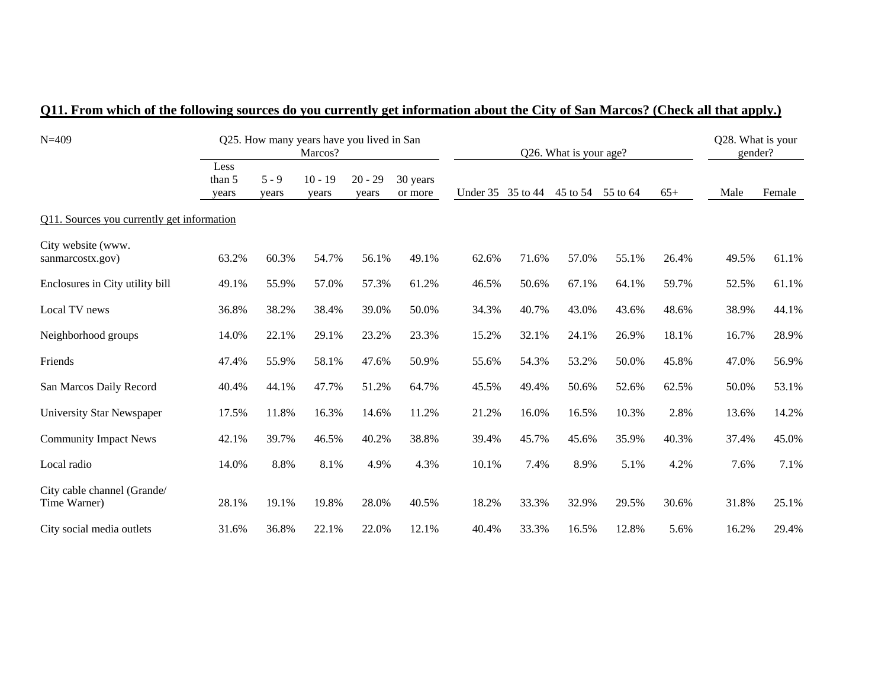| $N = 409$                                   |                         |                  | Q25. How many years have you lived in San<br>Marcos? |                    |                     |                   |       | Q26. What is your age? |       |       | Q28. What is your<br>gender? |        |
|---------------------------------------------|-------------------------|------------------|------------------------------------------------------|--------------------|---------------------|-------------------|-------|------------------------|-------|-------|------------------------------|--------|
|                                             | Less<br>than 5<br>vears | $5 - 9$<br>years | $10 - 19$<br>years                                   | $20 - 29$<br>vears | 30 years<br>or more | Under 35 35 to 44 |       | 45 to 54 55 to 64      |       | $65+$ | Male                         | Female |
| Q11. Sources you currently get information  |                         |                  |                                                      |                    |                     |                   |       |                        |       |       |                              |        |
| City website (www.<br>sanmarcostx.gov)      | 63.2%                   | 60.3%            | 54.7%                                                | 56.1%              | 49.1%               | 62.6%             | 71.6% | 57.0%                  | 55.1% | 26.4% | 49.5%                        | 61.1%  |
| Enclosures in City utility bill             | 49.1%                   | 55.9%            | 57.0%                                                | 57.3%              | 61.2%               | 46.5%             | 50.6% | 67.1%                  | 64.1% | 59.7% | 52.5%                        | 61.1%  |
| Local TV news                               | 36.8%                   | 38.2%            | 38.4%                                                | 39.0%              | 50.0%               | 34.3%             | 40.7% | 43.0%                  | 43.6% | 48.6% | 38.9%                        | 44.1%  |
| Neighborhood groups                         | 14.0%                   | 22.1%            | 29.1%                                                | 23.2%              | 23.3%               | 15.2%             | 32.1% | 24.1%                  | 26.9% | 18.1% | 16.7%                        | 28.9%  |
| Friends                                     | 47.4%                   | 55.9%            | 58.1%                                                | 47.6%              | 50.9%               | 55.6%             | 54.3% | 53.2%                  | 50.0% | 45.8% | 47.0%                        | 56.9%  |
| San Marcos Daily Record                     | 40.4%                   | 44.1%            | 47.7%                                                | 51.2%              | 64.7%               | 45.5%             | 49.4% | 50.6%                  | 52.6% | 62.5% | 50.0%                        | 53.1%  |
| University Star Newspaper                   | 17.5%                   | 11.8%            | 16.3%                                                | 14.6%              | 11.2%               | 21.2%             | 16.0% | 16.5%                  | 10.3% | 2.8%  | 13.6%                        | 14.2%  |
| <b>Community Impact News</b>                | 42.1%                   | 39.7%            | 46.5%                                                | 40.2%              | 38.8%               | 39.4%             | 45.7% | 45.6%                  | 35.9% | 40.3% | 37.4%                        | 45.0%  |
| Local radio                                 | 14.0%                   | 8.8%             | 8.1%                                                 | 4.9%               | 4.3%                | 10.1%             | 7.4%  | 8.9%                   | 5.1%  | 4.2%  | 7.6%                         | 7.1%   |
| City cable channel (Grande/<br>Time Warner) | 28.1%                   | 19.1%            | 19.8%                                                | 28.0%              | 40.5%               | 18.2%             | 33.3% | 32.9%                  | 29.5% | 30.6% | 31.8%                        | 25.1%  |
| City social media outlets                   | 31.6%                   | 36.8%            | 22.1%                                                | 22.0%              | 12.1%               | 40.4%             | 33.3% | 16.5%                  | 12.8% | 5.6%  | 16.2%                        | 29.4%  |

## **Q11. From which of the following sources do you currently get information about the City of San Marcos? (Check all that apply.)**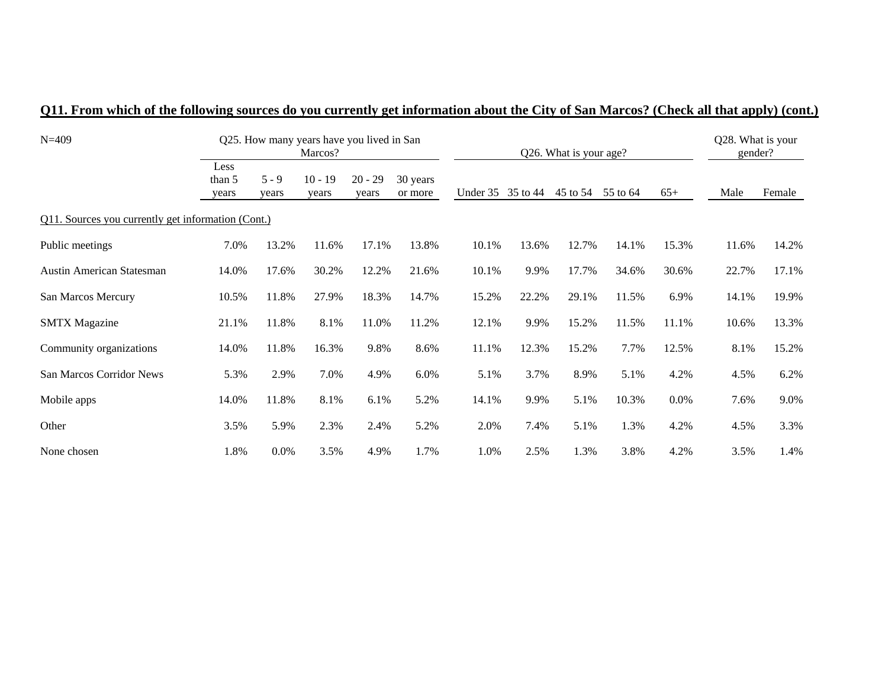| $N=409$                                            |                         |                  | Q25. How many years have you lived in San<br>Marcos? |                    |                     |          | Q26. What is your age? |          | Q28. What is your<br>gender? |       |       |        |
|----------------------------------------------------|-------------------------|------------------|------------------------------------------------------|--------------------|---------------------|----------|------------------------|----------|------------------------------|-------|-------|--------|
|                                                    | Less<br>than 5<br>years | $5 - 9$<br>years | $10 - 19$<br>years                                   | $20 - 29$<br>years | 30 years<br>or more | Under 35 | 35 to 44               | 45 to 54 | 55 to 64                     | $65+$ | Male  | Female |
| Q11. Sources you currently get information (Cont.) |                         |                  |                                                      |                    |                     |          |                        |          |                              |       |       |        |
| Public meetings                                    | 7.0%                    | 13.2%            | 11.6%                                                | 17.1%              | 13.8%               | 10.1%    | 13.6%                  | 12.7%    | 14.1%                        | 15.3% | 11.6% | 14.2%  |
| <b>Austin American Statesman</b>                   | 14.0%                   | 17.6%            | 30.2%                                                | 12.2%              | 21.6%               | 10.1%    | 9.9%                   | 17.7%    | 34.6%                        | 30.6% | 22.7% | 17.1%  |
| San Marcos Mercury                                 | 10.5%                   | 11.8%            | 27.9%                                                | 18.3%              | 14.7%               | 15.2%    | 22.2%                  | 29.1%    | 11.5%                        | 6.9%  | 14.1% | 19.9%  |
| <b>SMTX</b> Magazine                               | 21.1%                   | 11.8%            | 8.1%                                                 | 11.0%              | 11.2%               | 12.1%    | 9.9%                   | 15.2%    | 11.5%                        | 11.1% | 10.6% | 13.3%  |
| Community organizations                            | 14.0%                   | 11.8%            | 16.3%                                                | 9.8%               | 8.6%                | 11.1%    | 12.3%                  | 15.2%    | 7.7%                         | 12.5% | 8.1%  | 15.2%  |
| San Marcos Corridor News                           | 5.3%                    | 2.9%             | 7.0%                                                 | 4.9%               | 6.0%                | 5.1%     | 3.7%                   | 8.9%     | 5.1%                         | 4.2%  | 4.5%  | 6.2%   |
| Mobile apps                                        | 14.0%                   | 11.8%            | 8.1%                                                 | 6.1%               | 5.2%                | 14.1%    | 9.9%                   | 5.1%     | 10.3%                        | 0.0%  | 7.6%  | 9.0%   |
| Other                                              | 3.5%                    | 5.9%             | 2.3%                                                 | 2.4%               | 5.2%                | 2.0%     | 7.4%                   | 5.1%     | 1.3%                         | 4.2%  | 4.5%  | 3.3%   |
| None chosen                                        | 1.8%                    | 0.0%             | 3.5%                                                 | 4.9%               | 1.7%                | 1.0%     | 2.5%                   | 1.3%     | 3.8%                         | 4.2%  | 3.5%  | 1.4%   |

## **Q11. From which of the following sources do you currently get information about the City of San Marcos? (Check all that apply) (cont.)**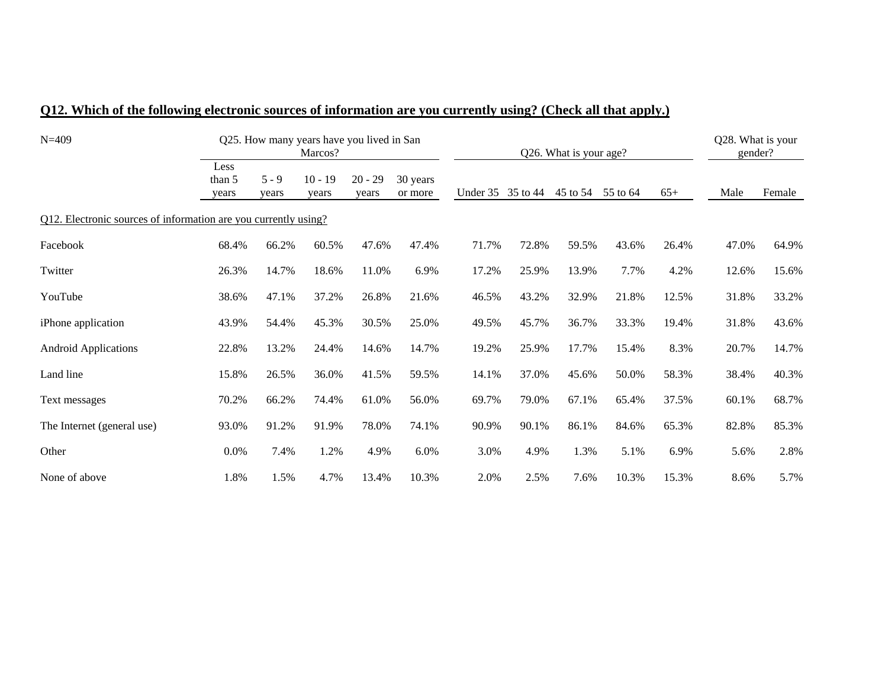| $N = 409$                                                       |                         |                  | Q25. How many years have you lived in San<br>Marcos? |                    |                     |          |          | Q26. What is your age? |          |       | Q28. What is your<br>gender? |        |
|-----------------------------------------------------------------|-------------------------|------------------|------------------------------------------------------|--------------------|---------------------|----------|----------|------------------------|----------|-------|------------------------------|--------|
|                                                                 | Less<br>than 5<br>years | $5 - 9$<br>years | $10 - 19$<br>vears                                   | $20 - 29$<br>years | 30 years<br>or more | Under 35 | 35 to 44 | 45 to 54               | 55 to 64 | $65+$ | Male                         | Female |
| Q12. Electronic sources of information are you currently using? |                         |                  |                                                      |                    |                     |          |          |                        |          |       |                              |        |
| Facebook                                                        | 68.4%                   | 66.2%            | 60.5%                                                | 47.6%              | 47.4%               | 71.7%    | 72.8%    | 59.5%                  | 43.6%    | 26.4% | 47.0%                        | 64.9%  |
| Twitter                                                         | 26.3%                   | 14.7%            | 18.6%                                                | 11.0%              | 6.9%                | 17.2%    | 25.9%    | 13.9%                  | 7.7%     | 4.2%  | 12.6%                        | 15.6%  |
| YouTube                                                         | 38.6%                   | 47.1%            | 37.2%                                                | 26.8%              | 21.6%               | 46.5%    | 43.2%    | 32.9%                  | 21.8%    | 12.5% | 31.8%                        | 33.2%  |
| iPhone application                                              | 43.9%                   | 54.4%            | 45.3%                                                | 30.5%              | 25.0%               | 49.5%    | 45.7%    | 36.7%                  | 33.3%    | 19.4% | 31.8%                        | 43.6%  |
| <b>Android Applications</b>                                     | 22.8%                   | 13.2%            | 24.4%                                                | 14.6%              | 14.7%               | 19.2%    | 25.9%    | 17.7%                  | 15.4%    | 8.3%  | 20.7%                        | 14.7%  |
| Land line                                                       | 15.8%                   | 26.5%            | 36.0%                                                | 41.5%              | 59.5%               | 14.1%    | 37.0%    | 45.6%                  | 50.0%    | 58.3% | 38.4%                        | 40.3%  |
| Text messages                                                   | 70.2%                   | 66.2%            | 74.4%                                                | 61.0%              | 56.0%               | 69.7%    | 79.0%    | 67.1%                  | 65.4%    | 37.5% | 60.1%                        | 68.7%  |
| The Internet (general use)                                      | 93.0%                   | 91.2%            | 91.9%                                                | 78.0%              | 74.1%               | 90.9%    | 90.1%    | 86.1%                  | 84.6%    | 65.3% | 82.8%                        | 85.3%  |
| Other                                                           | 0.0%                    | 7.4%             | 1.2%                                                 | 4.9%               | 6.0%                | 3.0%     | 4.9%     | 1.3%                   | 5.1%     | 6.9%  | 5.6%                         | 2.8%   |
| None of above                                                   | 1.8%                    | 1.5%             | 4.7%                                                 | 13.4%              | 10.3%               | 2.0%     | 2.5%     | 7.6%                   | 10.3%    | 15.3% | 8.6%                         | 5.7%   |

## **Q12. Which of the following electronic sources of information are you currently using? (Check all that apply.)**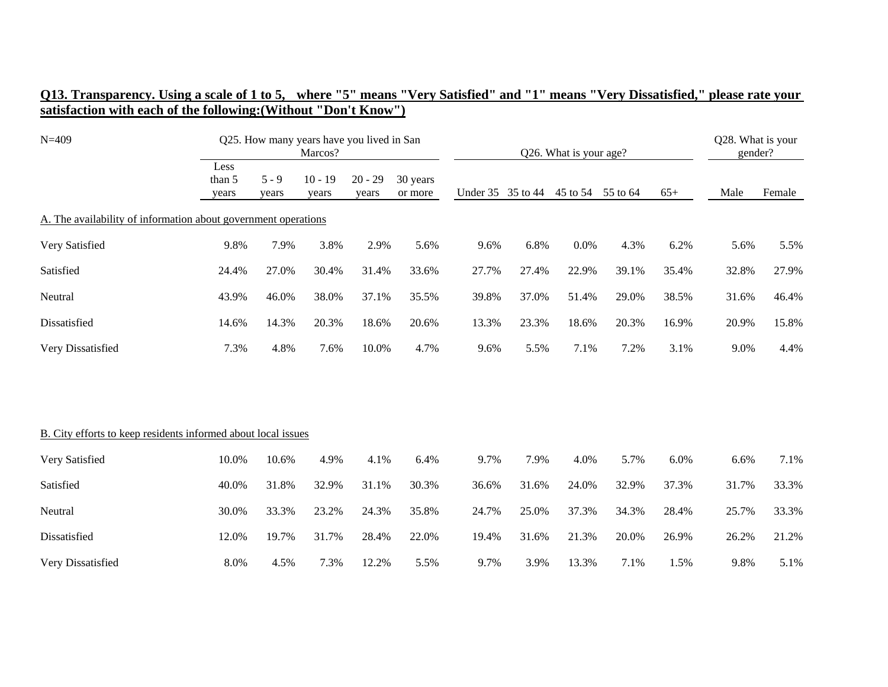| O13. Transparency. Using a scale of 1 to 5, where "5" means "Very Satisfied" and "1" means "Very Dissatisfied," please rate your |  |  |
|----------------------------------------------------------------------------------------------------------------------------------|--|--|
| satisfaction with each of the following:(Without "Don't Know")                                                                   |  |  |

| $N = 409$                                                      |                         | Q25. How many years have you lived in San<br>Marcos? |                    |                    |                     |                   |       | Q26. What is your age? |       |       |       |        |
|----------------------------------------------------------------|-------------------------|------------------------------------------------------|--------------------|--------------------|---------------------|-------------------|-------|------------------------|-------|-------|-------|--------|
|                                                                | Less<br>than 5<br>years | $5 - 9$<br>years                                     | $10 - 19$<br>years | $20 - 29$<br>years | 30 years<br>or more | Under 35 35 to 44 |       | 45 to 54 55 to 64      |       | $65+$ | Male  | Female |
| A. The availability of information about government operations |                         |                                                      |                    |                    |                     |                   |       |                        |       |       |       |        |
| Very Satisfied                                                 | 9.8%                    | 7.9%                                                 | 3.8%               | 2.9%               | 5.6%                | 9.6%              | 6.8%  | 0.0%                   | 4.3%  | 6.2%  | 5.6%  | 5.5%   |
| Satisfied                                                      | 24.4%                   | 27.0%                                                | 30.4%              | 31.4%              | 33.6%               | 27.7%             | 27.4% | 22.9%                  | 39.1% | 35.4% | 32.8% | 27.9%  |
| Neutral                                                        | 43.9%                   | 46.0%                                                | 38.0%              | 37.1%              | 35.5%               | 39.8%             | 37.0% | 51.4%                  | 29.0% | 38.5% | 31.6% | 46.4%  |
| Dissatisfied                                                   | 14.6%                   | 14.3%                                                | 20.3%              | 18.6%              | 20.6%               | 13.3%             | 23.3% | 18.6%                  | 20.3% | 16.9% | 20.9% | 15.8%  |
| Very Dissatisfied                                              | 7.3%                    | 4.8%                                                 | 7.6%               | 10.0%              | 4.7%                | 9.6%              | 5.5%  | 7.1%                   | 7.2%  | 3.1%  | 9.0%  | 4.4%   |
|                                                                |                         |                                                      |                    |                    |                     |                   |       |                        |       |       |       |        |
| B. City efforts to keep residents informed about local issues  |                         |                                                      |                    |                    |                     |                   |       |                        |       |       |       |        |
| Very Satisfied                                                 | 10.0%                   | 10.6%                                                | 4.9%               | 4.1%               | 6.4%                | 9.7%              | 7.9%  | 4.0%                   | 5.7%  | 6.0%  | 6.6%  | 7.1%   |
| Satisfied                                                      | 40.0%                   | 31.8%                                                | 32.9%              | 31.1%              | 30.3%               | 36.6%             | 31.6% | 24.0%                  | 32.9% | 37.3% | 31.7% | 33.3%  |
| Neutral                                                        | 30.0%                   | 33.3%                                                | 23.2%              | 24.3%              | 35.8%               | 24.7%             | 25.0% | 37.3%                  | 34.3% | 28.4% | 25.7% | 33.3%  |
| Dissatisfied                                                   | 12.0%                   | 19.7%                                                | 31.7%              | 28.4%              | 22.0%               | 19.4%             | 31.6% | 21.3%                  | 20.0% | 26.9% | 26.2% | 21.2%  |
| Very Dissatisfied                                              | 8.0%                    | 4.5%                                                 | 7.3%               | 12.2%              | 5.5%                | 9.7%              | 3.9%  | 13.3%                  | 7.1%  | 1.5%  | 9.8%  | 5.1%   |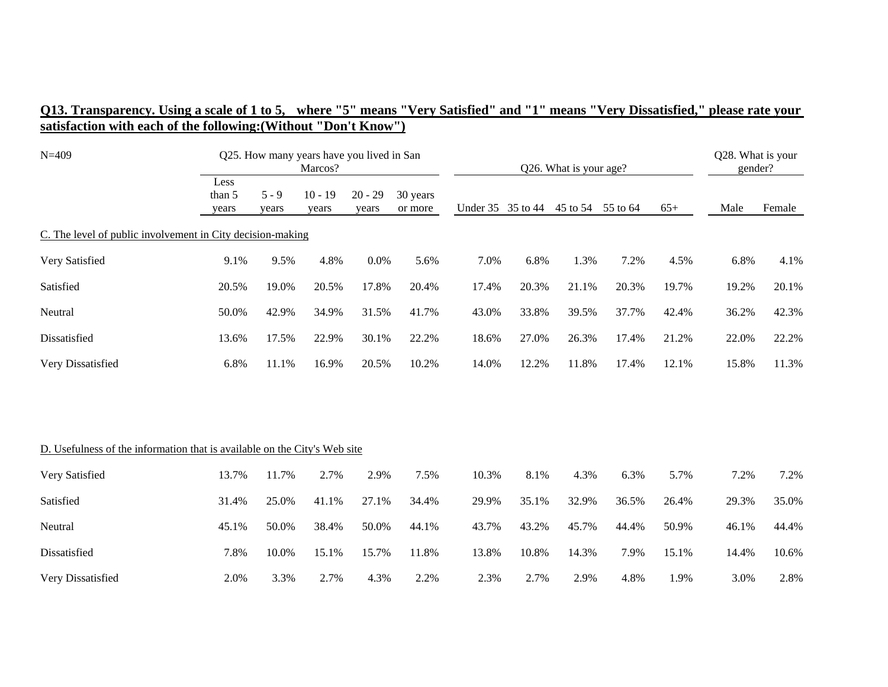| $N = 409$                                                                 |                         | Q25. How many years have you lived in San<br>Marcos? |                    |                    |                     |       |                   | Q26. What is your age? |                   |       |       |        |
|---------------------------------------------------------------------------|-------------------------|------------------------------------------------------|--------------------|--------------------|---------------------|-------|-------------------|------------------------|-------------------|-------|-------|--------|
|                                                                           | Less<br>than 5<br>years | $5 - 9$<br>years                                     | $10 - 19$<br>years | $20 - 29$<br>years | 30 years<br>or more |       | Under 35 35 to 44 |                        | 45 to 54 55 to 64 | $65+$ | Male  | Female |
| C. The level of public involvement in City decision-making                |                         |                                                      |                    |                    |                     |       |                   |                        |                   |       |       |        |
| Very Satisfied                                                            | 9.1%                    | 9.5%                                                 | 4.8%               | 0.0%               | 5.6%                | 7.0%  | 6.8%              | 1.3%                   | 7.2%              | 4.5%  | 6.8%  | 4.1%   |
| Satisfied                                                                 | 20.5%                   | 19.0%                                                | 20.5%              | 17.8%              | 20.4%               | 17.4% | 20.3%             | 21.1%                  | 20.3%             | 19.7% | 19.2% | 20.1%  |
| Neutral                                                                   | 50.0%                   | 42.9%                                                | 34.9%              | 31.5%              | 41.7%               | 43.0% | 33.8%             | 39.5%                  | 37.7%             | 42.4% | 36.2% | 42.3%  |
| Dissatisfied                                                              | 13.6%                   | 17.5%                                                | 22.9%              | 30.1%              | 22.2%               | 18.6% | 27.0%             | 26.3%                  | 17.4%             | 21.2% | 22.0% | 22.2%  |
| Very Dissatisfied                                                         | 6.8%                    | 11.1%                                                | 16.9%              | 20.5%              | 10.2%               | 14.0% | 12.2%             | 11.8%                  | 17.4%             | 12.1% | 15.8% | 11.3%  |
|                                                                           |                         |                                                      |                    |                    |                     |       |                   |                        |                   |       |       |        |
| D. Usefulness of the information that is available on the City's Web site |                         |                                                      |                    |                    |                     |       |                   |                        |                   |       |       |        |
| Very Satisfied                                                            | 13.7%                   | 11.7%                                                | 2.7%               | 2.9%               | 7.5%                | 10.3% | 8.1%              | 4.3%                   | 6.3%              | 5.7%  | 7.2%  | 7.2%   |
| Satisfied                                                                 | 31.4%                   | 25.0%                                                | 41.1%              | 27.1%              | 34.4%               | 29.9% | 35.1%             | 32.9%                  | 36.5%             | 26.4% | 29.3% | 35.0%  |
| Neutral                                                                   | 45.1%                   | 50.0%                                                | 38.4%              | 50.0%              | 44.1%               | 43.7% | 43.2%             | 45.7%                  | 44.4%             | 50.9% | 46.1% | 44.4%  |
| Dissatisfied                                                              | 7.8%                    | 10.0%                                                | 15.1%              | 15.7%              | 11.8%               | 13.8% | 10.8%             | 14.3%                  | 7.9%              | 15.1% | 14.4% | 10.6%  |
| Very Dissatisfied                                                         | 2.0%                    | 3.3%                                                 | 2.7%               | 4.3%               | 2.2%                | 2.3%  | 2.7%              | 2.9%                   | 4.8%              | 1.9%  | 3.0%  | 2.8%   |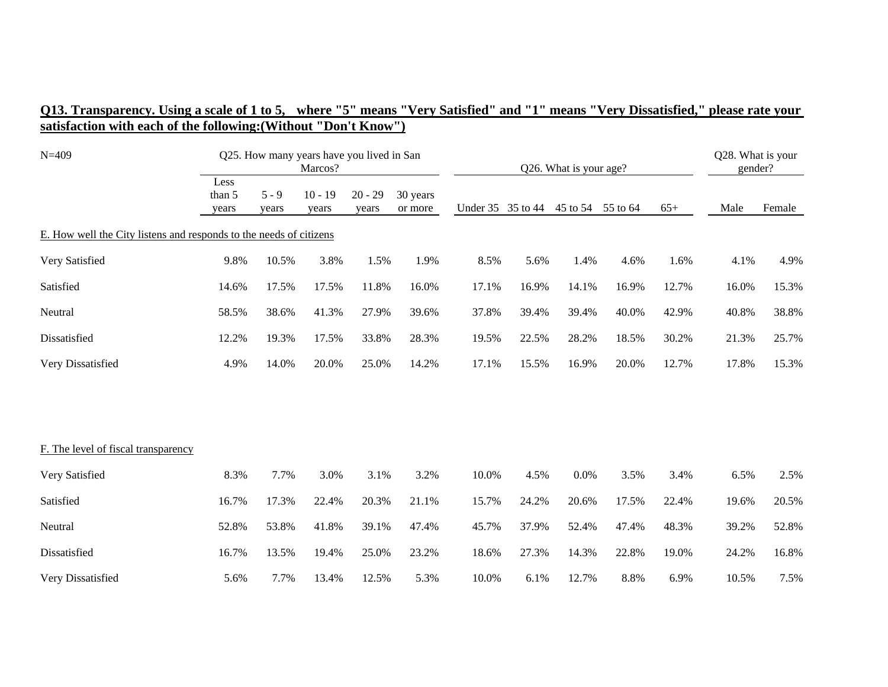| $N = 409$                                                          |                         |                  | Q25. How many years have you lived in San<br>Marcos? |                    |                     | Q26. What is your age? |       |       |                   |       | Q28. What is your<br>gender? |        |
|--------------------------------------------------------------------|-------------------------|------------------|------------------------------------------------------|--------------------|---------------------|------------------------|-------|-------|-------------------|-------|------------------------------|--------|
|                                                                    | Less<br>than 5<br>years | $5 - 9$<br>years | $10 - 19$<br>years                                   | $20 - 29$<br>years | 30 years<br>or more | Under 35 35 to 44      |       |       | 45 to 54 55 to 64 | $65+$ | Male                         | Female |
| E. How well the City listens and responds to the needs of citizens |                         |                  |                                                      |                    |                     |                        |       |       |                   |       |                              |        |
| Very Satisfied                                                     | 9.8%                    | 10.5%            | 3.8%                                                 | 1.5%               | 1.9%                | 8.5%                   | 5.6%  | 1.4%  | 4.6%              | 1.6%  | 4.1%                         | 4.9%   |
| Satisfied                                                          | 14.6%                   | 17.5%            | 17.5%                                                | 11.8%              | 16.0%               | 17.1%                  | 16.9% | 14.1% | 16.9%             | 12.7% | 16.0%                        | 15.3%  |
| Neutral                                                            | 58.5%                   | 38.6%            | 41.3%                                                | 27.9%              | 39.6%               | 37.8%                  | 39.4% | 39.4% | 40.0%             | 42.9% | 40.8%                        | 38.8%  |
| Dissatisfied                                                       | 12.2%                   | 19.3%            | 17.5%                                                | 33.8%              | 28.3%               | 19.5%                  | 22.5% | 28.2% | 18.5%             | 30.2% | 21.3%                        | 25.7%  |
| Very Dissatisfied                                                  | 4.9%                    | 14.0%            | 20.0%                                                | 25.0%              | 14.2%               | 17.1%                  | 15.5% | 16.9% | 20.0%             | 12.7% | 17.8%                        | 15.3%  |
|                                                                    |                         |                  |                                                      |                    |                     |                        |       |       |                   |       |                              |        |
| F. The level of fiscal transparency                                |                         |                  |                                                      |                    |                     |                        |       |       |                   |       |                              |        |
| Very Satisfied                                                     | 8.3%                    | 7.7%             | 3.0%                                                 | 3.1%               | 3.2%                | 10.0%                  | 4.5%  | 0.0%  | 3.5%              | 3.4%  | 6.5%                         | 2.5%   |
| Satisfied                                                          | 16.7%                   | 17.3%            | 22.4%                                                | 20.3%              | 21.1%               | 15.7%                  | 24.2% | 20.6% | 17.5%             | 22.4% | 19.6%                        | 20.5%  |
| Neutral                                                            | 52.8%                   | 53.8%            | 41.8%                                                | 39.1%              | 47.4%               | 45.7%                  | 37.9% | 52.4% | 47.4%             | 48.3% | 39.2%                        | 52.8%  |
| Dissatisfied                                                       | 16.7%                   | 13.5%            | 19.4%                                                | 25.0%              | 23.2%               | 18.6%                  | 27.3% | 14.3% | 22.8%             | 19.0% | 24.2%                        | 16.8%  |
| Very Dissatisfied                                                  | 5.6%                    | 7.7%             | 13.4%                                                | 12.5%              | 5.3%                | 10.0%                  | 6.1%  | 12.7% | 8.8%              | 6.9%  | 10.5%                        | 7.5%   |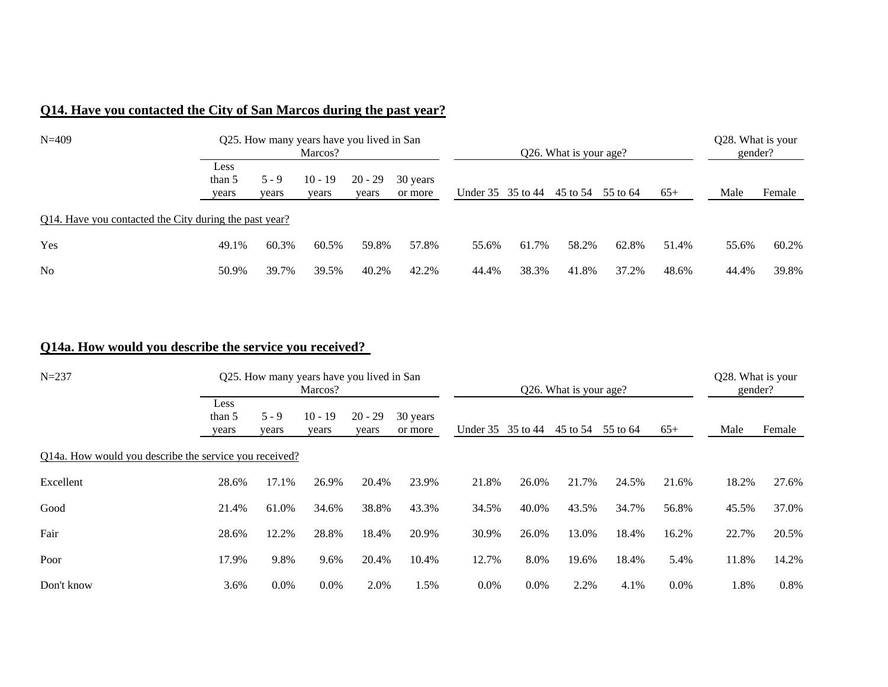## **Q14. Have you contacted the City of San Marcos during the past year?**

| $N = 409$                                              |                         |                  | Q25. How many years have you lived in San<br>Marcos? |                    |                     | Q26. What is your age? |                   |                   |       |       | Q28. What is your<br>gender? |        |  |
|--------------------------------------------------------|-------------------------|------------------|------------------------------------------------------|--------------------|---------------------|------------------------|-------------------|-------------------|-------|-------|------------------------------|--------|--|
|                                                        | Less<br>than 5<br>years | $5 - 9$<br>vears | $10 - 19$<br>vears                                   | $20 - 29$<br>vears | 30 years<br>or more |                        | Under 35 35 to 44 | 45 to 54 55 to 64 |       | $65+$ | Male                         | Female |  |
| Q14. Have you contacted the City during the past year? |                         |                  |                                                      |                    |                     |                        |                   |                   |       |       |                              |        |  |
| Yes                                                    | 49.1%                   | 60.3%            | 60.5%                                                | 59.8%              | 57.8%               | 55.6%                  | 61.7%             | 58.2%             | 62.8% | 51.4% | 55.6%                        | 60.2%  |  |
| No                                                     | 50.9%                   | 39.7%            | 39.5%                                                | 40.2%              | 42.2%               | 44.4%                  | 38.3%             | 41.8%             | 37.2% | 48.6% | 44.4%                        | 39.8%  |  |

## **Q14a. How would you describe the service you received?**

| $N = 237$                                              |                         |                  | Q25. How many years have you lived in San<br>Marcos? |                    |                     | Q26. What is your age? |         |          |          |         | Q28. What is your<br>gender? |         |
|--------------------------------------------------------|-------------------------|------------------|------------------------------------------------------|--------------------|---------------------|------------------------|---------|----------|----------|---------|------------------------------|---------|
|                                                        | Less<br>than 5<br>years | $5 - 9$<br>years | $10 - 19$<br>years                                   | $20 - 29$<br>years | 30 years<br>or more | Under 35 35 to 44      |         | 45 to 54 | 55 to 64 | $65+$   | Male                         | Female  |
| Q14a. How would you describe the service you received? |                         |                  |                                                      |                    |                     |                        |         |          |          |         |                              |         |
| Excellent                                              | 28.6%                   | 17.1%            | 26.9%                                                | 20.4%              | 23.9%               | 21.8%                  | 26.0%   | 21.7%    | 24.5%    | 21.6%   | 18.2%                        | 27.6%   |
| Good                                                   | 21.4%                   | 61.0%            | 34.6%                                                | 38.8%              | 43.3%               | 34.5%                  | 40.0%   | 43.5%    | 34.7%    | 56.8%   | 45.5%                        | 37.0%   |
| Fair                                                   | 28.6%                   | 12.2%            | 28.8%                                                | 18.4%              | 20.9%               | 30.9%                  | 26.0%   | 13.0%    | 18.4%    | 16.2%   | 22.7%                        | 20.5%   |
| Poor                                                   | 17.9%                   | 9.8%             | 9.6%                                                 | 20.4%              | 10.4%               | 12.7%                  | 8.0%    | 19.6%    | 18.4%    | 5.4%    | 11.8%                        | 14.2%   |
| Don't know                                             | 3.6%                    | $0.0\%$          | $0.0\%$                                              | 2.0%               | 1.5%                | $0.0\%$                | $0.0\%$ | 2.2%     | 4.1%     | $0.0\%$ | 1.8%                         | $0.8\%$ |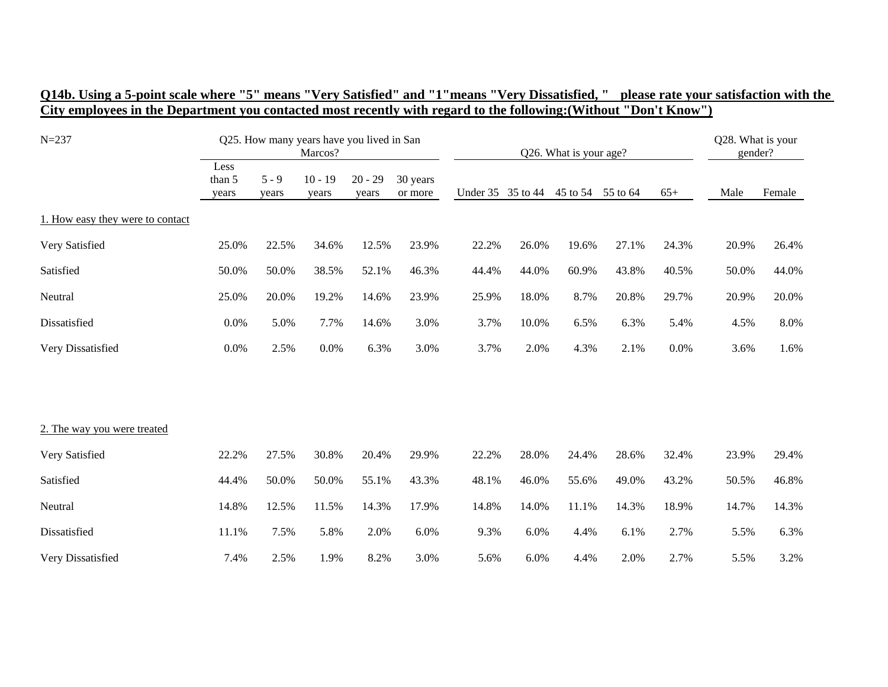| $N = 237$                        | Q25. How many years have you lived in San<br>Marcos? |                  |                    |                    |                     | Q26. What is your age? |       |          |          |       | Q28. What is your<br>gender? |        |
|----------------------------------|------------------------------------------------------|------------------|--------------------|--------------------|---------------------|------------------------|-------|----------|----------|-------|------------------------------|--------|
|                                  | Less<br>than 5<br>years                              | $5 - 9$<br>years | $10 - 19$<br>years | $20 - 29$<br>years | 30 years<br>or more | Under 35 35 to 44      |       | 45 to 54 | 55 to 64 | $65+$ | Male                         | Female |
| 1. How easy they were to contact |                                                      |                  |                    |                    |                     |                        |       |          |          |       |                              |        |
| Very Satisfied                   | 25.0%                                                | 22.5%            | 34.6%              | 12.5%              | 23.9%               | 22.2%                  | 26.0% | 19.6%    | 27.1%    | 24.3% | 20.9%                        | 26.4%  |
| Satisfied                        | 50.0%                                                | 50.0%            | 38.5%              | 52.1%              | 46.3%               | 44.4%                  | 44.0% | 60.9%    | 43.8%    | 40.5% | 50.0%                        | 44.0%  |
| Neutral                          | 25.0%                                                | 20.0%            | 19.2%              | 14.6%              | 23.9%               | 25.9%                  | 18.0% | 8.7%     | 20.8%    | 29.7% | 20.9%                        | 20.0%  |
| Dissatisfied                     | 0.0%                                                 | 5.0%             | 7.7%               | 14.6%              | 3.0%                | 3.7%                   | 10.0% | 6.5%     | 6.3%     | 5.4%  | 4.5%                         | 8.0%   |
| Very Dissatisfied                | 0.0%                                                 | 2.5%             | 0.0%               | 6.3%               | 3.0%                | 3.7%                   | 2.0%  | 4.3%     | 2.1%     | 0.0%  | 3.6%                         | 1.6%   |
|                                  |                                                      |                  |                    |                    |                     |                        |       |          |          |       |                              |        |
|                                  |                                                      |                  |                    |                    |                     |                        |       |          |          |       |                              |        |
| 2. The way you were treated      |                                                      |                  |                    |                    |                     |                        |       |          |          |       |                              |        |
| Very Satisfied                   | 22.2%                                                | 27.5%            | 30.8%              | 20.4%              | 29.9%               | 22.2%                  | 28.0% | 24.4%    | 28.6%    | 32.4% | 23.9%                        | 29.4%  |
| Satisfied                        | 44.4%                                                | 50.0%            | 50.0%              | 55.1%              | 43.3%               | 48.1%                  | 46.0% | 55.6%    | 49.0%    | 43.2% | 50.5%                        | 46.8%  |
| Neutral                          | 14.8%                                                | 12.5%            | 11.5%              | 14.3%              | 17.9%               | 14.8%                  | 14.0% | 11.1%    | 14.3%    | 18.9% | 14.7%                        | 14.3%  |
| Dissatisfied                     | 11.1%                                                | 7.5%             | 5.8%               | 2.0%               | 6.0%                | 9.3%                   | 6.0%  | 4.4%     | 6.1%     | 2.7%  | 5.5%                         | 6.3%   |
| Very Dissatisfied                | 7.4%                                                 | 2.5%             | 1.9%               | 8.2%               | 3.0%                | 5.6%                   | 6.0%  | 4.4%     | 2.0%     | 2.7%  | 5.5%                         | 3.2%   |

#### **Q14b. Using a 5-point scale where "5" means "Very Satisfied" and "1"means "Very Dissatisfied, " please rate your satisfaction with the City employees in the Department you contacted most recently with regard to the following:(Without "Don't Know")**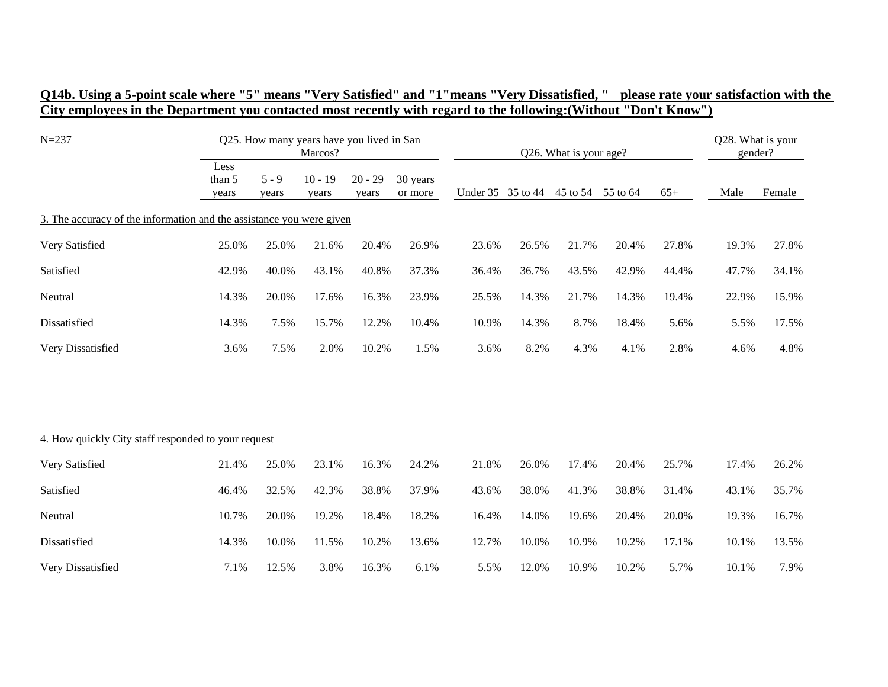|  | Q14b. Using a 5-point scale where "5" means "Very Satisfied" and "1"means "Very Dissatisfied," please rate your satisfaction with the |  |
|--|---------------------------------------------------------------------------------------------------------------------------------------|--|
|  | City employees in the Department you contacted most recently with regard to the following: (Without "Don't Know")                     |  |

| $N = 237$                                                            |                         |                  | Q25. How many years have you lived in San<br>Marcos? |                    |                     | Q26. What is your age? |                   |                   |       |       | Q28. What is your<br>gender? |        |  |
|----------------------------------------------------------------------|-------------------------|------------------|------------------------------------------------------|--------------------|---------------------|------------------------|-------------------|-------------------|-------|-------|------------------------------|--------|--|
|                                                                      | Less<br>than 5<br>years | $5 - 9$<br>years | $10 - 19$<br>years                                   | $20 - 29$<br>years | 30 years<br>or more |                        | Under 35 35 to 44 | 45 to 54 55 to 64 |       | $65+$ | Male                         | Female |  |
| 3. The accuracy of the information and the assistance you were given |                         |                  |                                                      |                    |                     |                        |                   |                   |       |       |                              |        |  |
| Very Satisfied                                                       | 25.0%                   | 25.0%            | 21.6%                                                | 20.4%              | 26.9%               | 23.6%                  | 26.5%             | 21.7%             | 20.4% | 27.8% | 19.3%                        | 27.8%  |  |
| Satisfied                                                            | 42.9%                   | 40.0%            | 43.1%                                                | 40.8%              | 37.3%               | 36.4%                  | 36.7%             | 43.5%             | 42.9% | 44.4% | 47.7%                        | 34.1%  |  |
| Neutral                                                              | 14.3%                   | 20.0%            | 17.6%                                                | 16.3%              | 23.9%               | 25.5%                  | 14.3%             | 21.7%             | 14.3% | 19.4% | 22.9%                        | 15.9%  |  |
| Dissatisfied                                                         | 14.3%                   | 7.5%             | 15.7%                                                | 12.2%              | 10.4%               | 10.9%                  | 14.3%             | 8.7%              | 18.4% | 5.6%  | 5.5%                         | 17.5%  |  |
| Very Dissatisfied                                                    | 3.6%                    | 7.5%             | 2.0%                                                 | 10.2%              | 1.5%                | 3.6%                   | 8.2%              | 4.3%              | 4.1%  | 2.8%  | 4.6%                         | 4.8%   |  |
|                                                                      |                         |                  |                                                      |                    |                     |                        |                   |                   |       |       |                              |        |  |
| 4. How quickly City staff responded to your request                  |                         |                  |                                                      |                    |                     |                        |                   |                   |       |       |                              |        |  |
| Very Satisfied                                                       | 21.4%                   | 25.0%            | 23.1%                                                | 16.3%              | 24.2%               | 21.8%                  | 26.0%             | 17.4%             | 20.4% | 25.7% | 17.4%                        | 26.2%  |  |
| Satisfied                                                            | 46.4%                   | 32.5%            | 42.3%                                                | 38.8%              | 37.9%               | 43.6%                  | 38.0%             | 41.3%             | 38.8% | 31.4% | 43.1%                        | 35.7%  |  |
| Neutral                                                              | 10.7%                   | 20.0%            | 19.2%                                                | 18.4%              | 18.2%               | 16.4%                  | 14.0%             | 19.6%             | 20.4% | 20.0% | 19.3%                        | 16.7%  |  |
| Dissatisfied                                                         | 14.3%                   | 10.0%            | 11.5%                                                | 10.2%              | 13.6%               | 12.7%                  | 10.0%             | 10.9%             | 10.2% | 17.1% | 10.1%                        | 13.5%  |  |
| Very Dissatisfied                                                    | 7.1%                    | 12.5%            | 3.8%                                                 | 16.3%              | 6.1%                | 5.5%                   | 12.0%             | 10.9%             | 10.2% | 5.7%  | 10.1%                        | 7.9%   |  |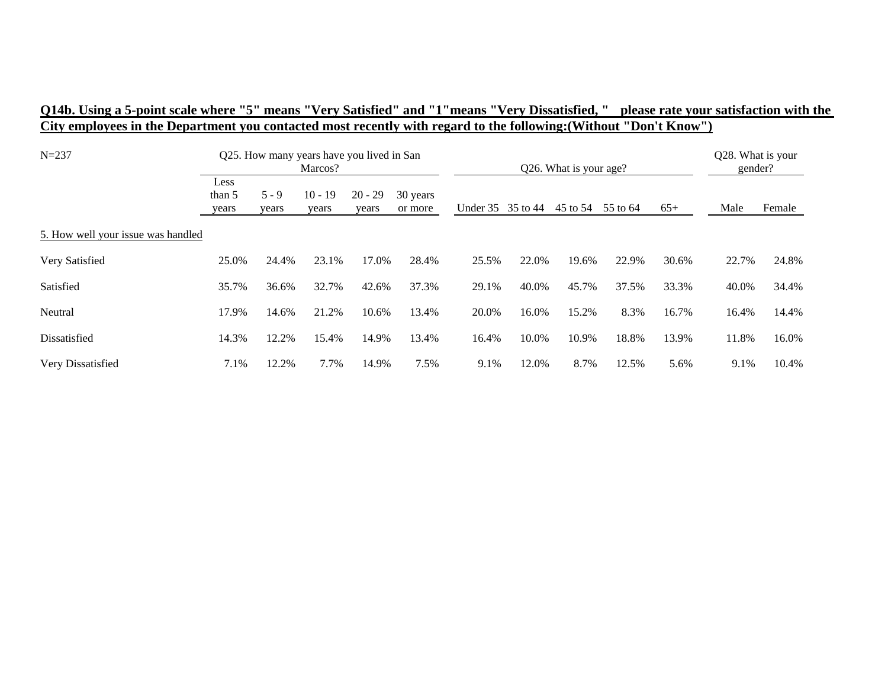## **Q14b. Using a 5-point scale where "5" means "Very Satisfied" and "1"means "Very Dissatisfied, " please rate your satisfaction with the City employees in the Department you contacted most recently with regard to the following:(Without "Don't Know")**

| $N = 237$                          |                         |                  | Q25. How many years have you lived in San<br>Marcos? |                    |                     | Q26. What is your age? |       |          |          |       | Q28. What is your<br>gender? |        |
|------------------------------------|-------------------------|------------------|------------------------------------------------------|--------------------|---------------------|------------------------|-------|----------|----------|-------|------------------------------|--------|
|                                    | Less<br>than 5<br>years | $5 - 9$<br>years | $10 - 19$<br>years                                   | $20 - 29$<br>years | 30 years<br>or more | Under 35 35 to 44      |       | 45 to 54 | 55 to 64 | $65+$ | Male                         | Female |
| 5. How well your issue was handled |                         |                  |                                                      |                    |                     |                        |       |          |          |       |                              |        |
| Very Satisfied                     | 25.0%                   | 24.4%            | 23.1%                                                | 17.0%              | 28.4%               | 25.5%                  | 22.0% | 19.6%    | 22.9%    | 30.6% | 22.7%                        | 24.8%  |
| Satisfied                          | 35.7%                   | 36.6%            | 32.7%                                                | 42.6%              | 37.3%               | 29.1%                  | 40.0% | 45.7%    | 37.5%    | 33.3% | 40.0%                        | 34.4%  |
| Neutral                            | 17.9%                   | 14.6%            | 21.2%                                                | 10.6%              | 13.4%               | 20.0%                  | 16.0% | 15.2%    | 8.3%     | 16.7% | 16.4%                        | 14.4%  |
| Dissatisfied                       | 14.3%                   | 12.2%            | 15.4%                                                | 14.9%              | 13.4%               | 16.4%                  | 10.0% | 10.9%    | 18.8%    | 13.9% | 11.8%                        | 16.0%  |
| Very Dissatisfied                  | 7.1%                    | 12.2%            | 7.7%                                                 | 14.9%              | 7.5%                | 9.1%                   | 12.0% | 8.7%     | 12.5%    | 5.6%  | 9.1%                         | 10.4%  |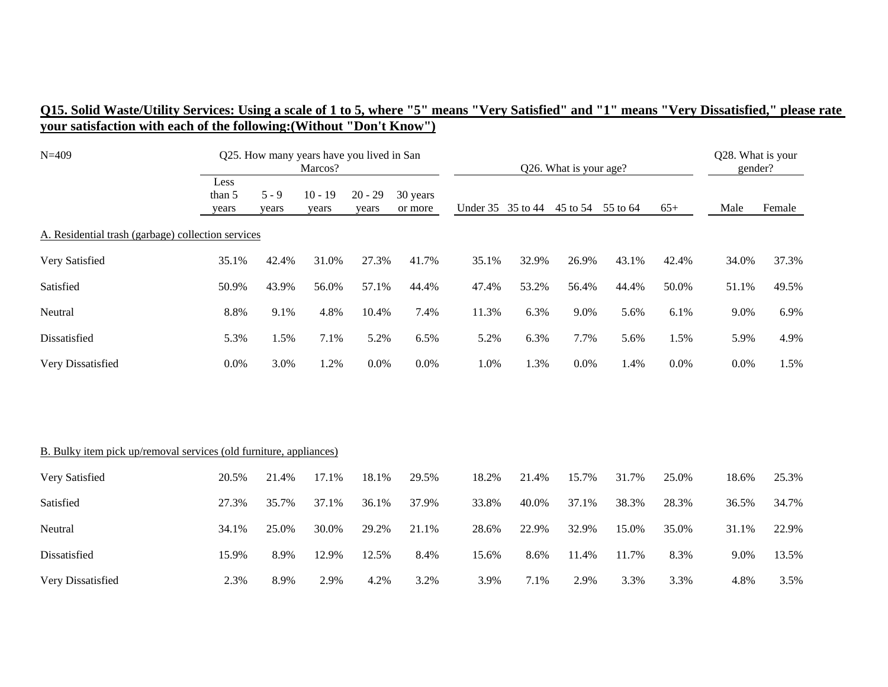| $N = 409$                                                                 |                         |                  | Q25. How many years have you lived in San<br>Marcos? |                    |                     | Q26. What is your age? |                   |          |          |       | Q28. What is your<br>gender? |        |
|---------------------------------------------------------------------------|-------------------------|------------------|------------------------------------------------------|--------------------|---------------------|------------------------|-------------------|----------|----------|-------|------------------------------|--------|
|                                                                           | Less<br>than 5<br>years | $5 - 9$<br>years | $10 - 19$<br>years                                   | $20 - 29$<br>years | 30 years<br>or more |                        | Under 35 35 to 44 | 45 to 54 | 55 to 64 | $65+$ | Male                         | Female |
| A. Residential trash (garbage) collection services                        |                         |                  |                                                      |                    |                     |                        |                   |          |          |       |                              |        |
| Very Satisfied                                                            | 35.1%                   | 42.4%            | 31.0%                                                | 27.3%              | 41.7%               | 35.1%                  | 32.9%             | 26.9%    | 43.1%    | 42.4% | 34.0%                        | 37.3%  |
| Satisfied                                                                 | 50.9%                   | 43.9%            | 56.0%                                                | 57.1%              | 44.4%               | 47.4%                  | 53.2%             | 56.4%    | 44.4%    | 50.0% | 51.1%                        | 49.5%  |
| Neutral                                                                   | 8.8%                    | 9.1%             | 4.8%                                                 | 10.4%              | 7.4%                | 11.3%                  | 6.3%              | 9.0%     | 5.6%     | 6.1%  | 9.0%                         | 6.9%   |
| Dissatisfied                                                              | 5.3%                    | 1.5%             | 7.1%                                                 | 5.2%               | 6.5%                | 5.2%                   | 6.3%              | 7.7%     | 5.6%     | 1.5%  | 5.9%                         | 4.9%   |
| Very Dissatisfied                                                         | 0.0%                    | 3.0%             | 1.2%                                                 | 0.0%               | 0.0%                | 1.0%                   | 1.3%              | 0.0%     | 1.4%     | 0.0%  | 0.0%                         | 1.5%   |
|                                                                           |                         |                  |                                                      |                    |                     |                        |                   |          |          |       |                              |        |
| <b>B.</b> Bulky item pick up/removal services (old furniture, appliances) |                         |                  |                                                      |                    |                     |                        |                   |          |          |       |                              |        |
| Very Satisfied                                                            | 20.5%                   | 21.4%            | 17.1%                                                | 18.1%              | 29.5%               | 18.2%                  | 21.4%             | 15.7%    | 31.7%    | 25.0% | 18.6%                        | 25.3%  |
| Satisfied                                                                 | 27.3%                   | 35.7%            | 37.1%                                                | 36.1%              | 37.9%               | 33.8%                  | 40.0%             | 37.1%    | 38.3%    | 28.3% | 36.5%                        | 34.7%  |
| Neutral                                                                   | 34.1%                   | 25.0%            | 30.0%                                                | 29.2%              | 21.1%               | 28.6%                  | 22.9%             | 32.9%    | 15.0%    | 35.0% | 31.1%                        | 22.9%  |
| Dissatisfied                                                              | 15.9%                   | 8.9%             | 12.9%                                                | 12.5%              | 8.4%                | 15.6%                  | 8.6%              | 11.4%    | 11.7%    | 8.3%  | 9.0%                         | 13.5%  |
| Very Dissatisfied                                                         | 2.3%                    | 8.9%             | 2.9%                                                 | 4.2%               | 3.2%                | 3.9%                   | 7.1%              | 2.9%     | 3.3%     | 3.3%  | 4.8%                         | 3.5%   |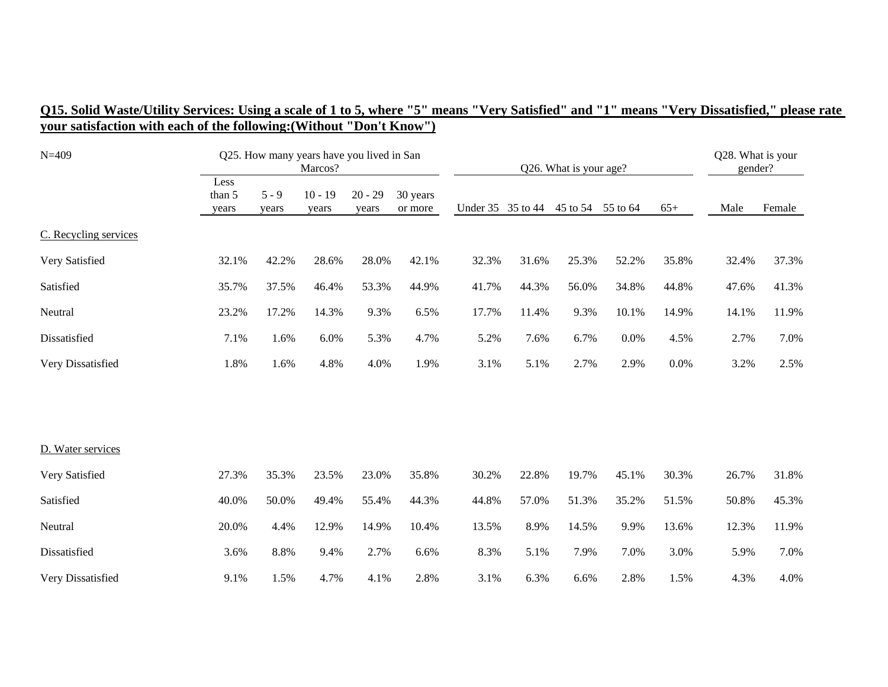| $N = 409$             |                         | Q25. How many years have you lived in San<br>Marcos? |                    |                    | Q26. What is your age? |                   |       |          |          | Q28. What is your<br>gender? |       |        |
|-----------------------|-------------------------|------------------------------------------------------|--------------------|--------------------|------------------------|-------------------|-------|----------|----------|------------------------------|-------|--------|
|                       | Less<br>than 5<br>years | $5 - 9$<br>years                                     | $10 - 19$<br>years | $20 - 29$<br>years | 30 years<br>or more    | Under 35 35 to 44 |       | 45 to 54 | 55 to 64 | $65+$                        | Male  | Female |
| C. Recycling services |                         |                                                      |                    |                    |                        |                   |       |          |          |                              |       |        |
| Very Satisfied        | 32.1%                   | 42.2%                                                | 28.6%              | 28.0%              | 42.1%                  | 32.3%             | 31.6% | 25.3%    | 52.2%    | 35.8%                        | 32.4% | 37.3%  |
| Satisfied             | 35.7%                   | 37.5%                                                | 46.4%              | 53.3%              | 44.9%                  | 41.7%             | 44.3% | 56.0%    | 34.8%    | 44.8%                        | 47.6% | 41.3%  |
| Neutral               | 23.2%                   | 17.2%                                                | 14.3%              | 9.3%               | 6.5%                   | 17.7%             | 11.4% | 9.3%     | 10.1%    | 14.9%                        | 14.1% | 11.9%  |
| Dissatisfied          | 7.1%                    | 1.6%                                                 | 6.0%               | 5.3%               | 4.7%                   | 5.2%              | 7.6%  | 6.7%     | 0.0%     | 4.5%                         | 2.7%  | 7.0%   |
| Very Dissatisfied     | 1.8%                    | 1.6%                                                 | 4.8%               | 4.0%               | 1.9%                   | 3.1%              | 5.1%  | 2.7%     | 2.9%     | 0.0%                         | 3.2%  | 2.5%   |
|                       |                         |                                                      |                    |                    |                        |                   |       |          |          |                              |       |        |
| D. Water services     |                         |                                                      |                    |                    |                        |                   |       |          |          |                              |       |        |
| Very Satisfied        | 27.3%                   | 35.3%                                                | 23.5%              | 23.0%              | 35.8%                  | 30.2%             | 22.8% | 19.7%    | 45.1%    | 30.3%                        | 26.7% | 31.8%  |
| Satisfied             | 40.0%                   | 50.0%                                                | 49.4%              | 55.4%              | 44.3%                  | 44.8%             | 57.0% | 51.3%    | 35.2%    | 51.5%                        | 50.8% | 45.3%  |
| Neutral               | 20.0%                   | 4.4%                                                 | 12.9%              | 14.9%              | 10.4%                  | 13.5%             | 8.9%  | 14.5%    | 9.9%     | 13.6%                        | 12.3% | 11.9%  |
| Dissatisfied          | 3.6%                    | 8.8%                                                 | 9.4%               | 2.7%               | 6.6%                   | 8.3%              | 5.1%  | 7.9%     | 7.0%     | 3.0%                         | 5.9%  | 7.0%   |
| Very Dissatisfied     | 9.1%                    | 1.5%                                                 | 4.7%               | 4.1%               | 2.8%                   | 3.1%              | 6.3%  | 6.6%     | 2.8%     | 1.5%                         | 4.3%  | 4.0%   |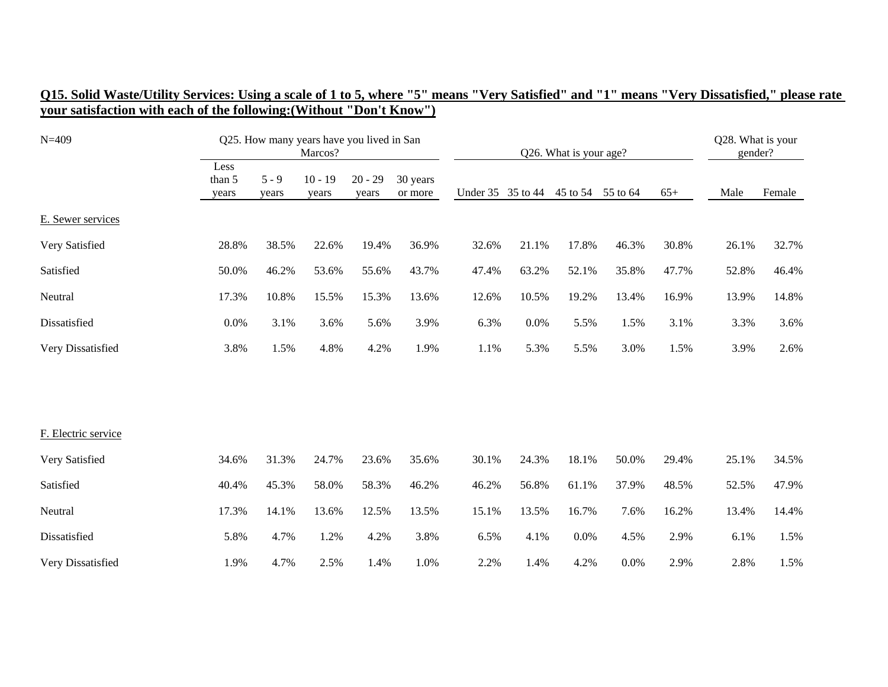| $N = 409$           |                         |                  | Q25. How many years have you lived in San<br>Marcos? |                    |                     |                   |       | Q26. What is your age? |          |       | Q28. What is your<br>gender? |        |
|---------------------|-------------------------|------------------|------------------------------------------------------|--------------------|---------------------|-------------------|-------|------------------------|----------|-------|------------------------------|--------|
|                     | Less<br>than 5<br>years | $5 - 9$<br>years | $10 - 19$<br>years                                   | $20 - 29$<br>years | 30 years<br>or more | Under 35 35 to 44 |       | 45 to 54               | 55 to 64 | $65+$ | Male                         | Female |
| E. Sewer services   |                         |                  |                                                      |                    |                     |                   |       |                        |          |       |                              |        |
| Very Satisfied      | 28.8%                   | 38.5%            | 22.6%                                                | 19.4%              | 36.9%               | 32.6%             | 21.1% | 17.8%                  | 46.3%    | 30.8% | 26.1%                        | 32.7%  |
| Satisfied           | 50.0%                   | 46.2%            | 53.6%                                                | 55.6%              | 43.7%               | 47.4%             | 63.2% | 52.1%                  | 35.8%    | 47.7% | 52.8%                        | 46.4%  |
| Neutral             | 17.3%                   | 10.8%            | 15.5%                                                | 15.3%              | 13.6%               | 12.6%             | 10.5% | 19.2%                  | 13.4%    | 16.9% | 13.9%                        | 14.8%  |
| Dissatisfied        | 0.0%                    | 3.1%             | 3.6%                                                 | 5.6%               | 3.9%                | 6.3%              | 0.0%  | 5.5%                   | 1.5%     | 3.1%  | 3.3%                         | 3.6%   |
| Very Dissatisfied   | 3.8%                    | 1.5%             | 4.8%                                                 | 4.2%               | 1.9%                | 1.1%              | 5.3%  | 5.5%                   | 3.0%     | 1.5%  | 3.9%                         | 2.6%   |
|                     |                         |                  |                                                      |                    |                     |                   |       |                        |          |       |                              |        |
| F. Electric service |                         |                  |                                                      |                    |                     |                   |       |                        |          |       |                              |        |
| Very Satisfied      | 34.6%                   | 31.3%            | 24.7%                                                | 23.6%              | 35.6%               | 30.1%             | 24.3% | 18.1%                  | 50.0%    | 29.4% | 25.1%                        | 34.5%  |
| Satisfied           | 40.4%                   | 45.3%            | 58.0%                                                | 58.3%              | 46.2%               | 46.2%             | 56.8% | 61.1%                  | 37.9%    | 48.5% | 52.5%                        | 47.9%  |
| Neutral             | 17.3%                   | 14.1%            | 13.6%                                                | 12.5%              | 13.5%               | 15.1%             | 13.5% | 16.7%                  | 7.6%     | 16.2% | 13.4%                        | 14.4%  |
| Dissatisfied        | 5.8%                    | 4.7%             | 1.2%                                                 | 4.2%               | 3.8%                | 6.5%              | 4.1%  | 0.0%                   | 4.5%     | 2.9%  | 6.1%                         | 1.5%   |
| Very Dissatisfied   | 1.9%                    | 4.7%             | 2.5%                                                 | 1.4%               | 1.0%                | 2.2%              | 1.4%  | 4.2%                   | 0.0%     | 2.9%  | 2.8%                         | 1.5%   |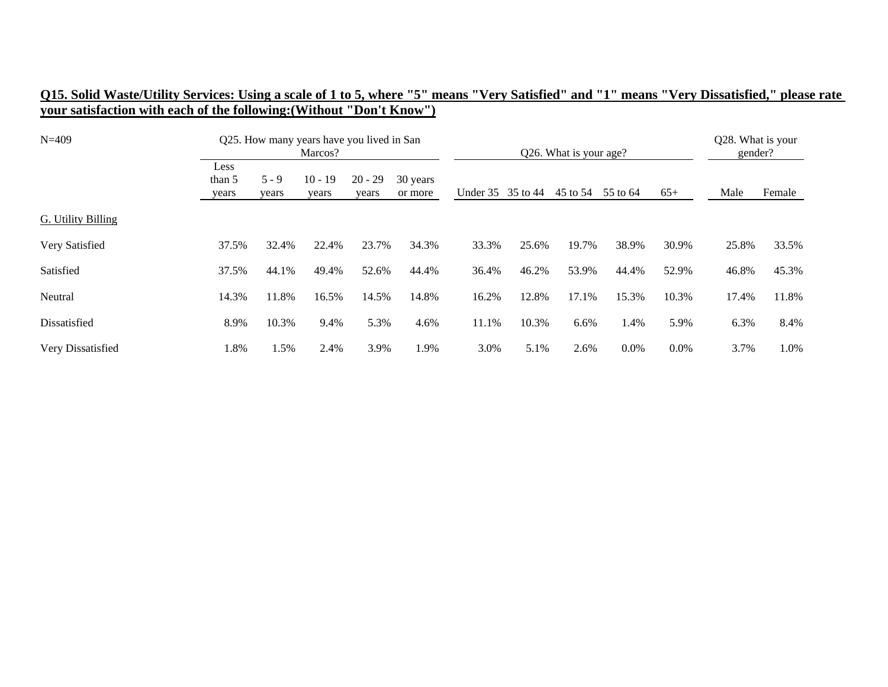| $N = 409$          |                         |                | Q25. How many years have you lived in San<br>Marcos? |                    |                     |                   |       | Q26. What is your age? |          |       | Q28. What is your<br>gender? |        |
|--------------------|-------------------------|----------------|------------------------------------------------------|--------------------|---------------------|-------------------|-------|------------------------|----------|-------|------------------------------|--------|
|                    | Less<br>than 5<br>years | 5 - 9<br>years | $10 - 19$<br>years                                   | $20 - 29$<br>years | 30 years<br>or more | Under 35 35 to 44 |       | 45 to 54               | 55 to 64 | $65+$ | Male                         | Female |
| G. Utility Billing |                         |                |                                                      |                    |                     |                   |       |                        |          |       |                              |        |
| Very Satisfied     | 37.5%                   | 32.4%          | 22.4%                                                | 23.7%              | 34.3%               | 33.3%             | 25.6% | 19.7%                  | 38.9%    | 30.9% | 25.8%                        | 33.5%  |
| Satisfied          | 37.5%                   | 44.1%          | 49.4%                                                | 52.6%              | 44.4%               | 36.4%             | 46.2% | 53.9%                  | 44.4%    | 52.9% | 46.8%                        | 45.3%  |
| Neutral            | 14.3%                   | 11.8%          | 16.5%                                                | 14.5%              | 14.8%               | 16.2%             | 12.8% | 17.1%                  | 15.3%    | 10.3% | 17.4%                        | 11.8%  |
| Dissatisfied       | 8.9%                    | 10.3%          | 9.4%                                                 | 5.3%               | 4.6%                | 11.1%             | 10.3% | 6.6%                   | 1.4%     | 5.9%  | 6.3%                         | 8.4%   |
| Very Dissatisfied  | 1.8%                    | .5%            | 2.4%                                                 | 3.9%               | 1.9%                | 3.0%              | 5.1%  | 2.6%                   | 0.0%     | 0.0%  | 3.7%                         | 1.0%   |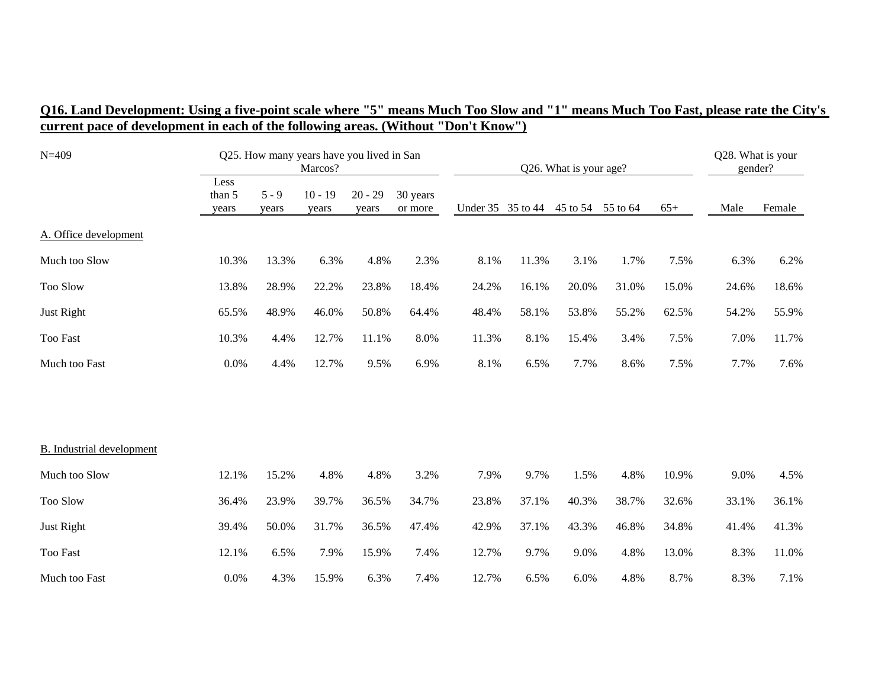## **Q16. Land Development: Using a five-point scale where "5" means Much Too Slow and "1" means Much Too Fast, please rate the City's current pace of development in each of the following areas. (Without "Don't Know")**

| $N = 409$                        |                         |                  | Q25. How many years have you lived in San<br>Marcos? |                    |                     |                   |       | Q26. What is your age? |          |       | Q28. What is your<br>gender? |        |
|----------------------------------|-------------------------|------------------|------------------------------------------------------|--------------------|---------------------|-------------------|-------|------------------------|----------|-------|------------------------------|--------|
|                                  | Less<br>than 5<br>years | $5 - 9$<br>years | $10 - 19$<br>years                                   | $20 - 29$<br>vears | 30 years<br>or more | Under 35 35 to 44 |       | 45 to 54               | 55 to 64 | $65+$ | Male                         | Female |
| A. Office development            |                         |                  |                                                      |                    |                     |                   |       |                        |          |       |                              |        |
| Much too Slow                    | 10.3%                   | 13.3%            | 6.3%                                                 | 4.8%               | 2.3%                | 8.1%              | 11.3% | 3.1%                   | 1.7%     | 7.5%  | 6.3%                         | 6.2%   |
| Too Slow                         | 13.8%                   | 28.9%            | 22.2%                                                | 23.8%              | 18.4%               | 24.2%             | 16.1% | 20.0%                  | 31.0%    | 15.0% | 24.6%                        | 18.6%  |
| Just Right                       | 65.5%                   | 48.9%            | 46.0%                                                | 50.8%              | 64.4%               | 48.4%             | 58.1% | 53.8%                  | 55.2%    | 62.5% | 54.2%                        | 55.9%  |
| <b>Too Fast</b>                  | 10.3%                   | 4.4%             | 12.7%                                                | 11.1%              | 8.0%                | 11.3%             | 8.1%  | 15.4%                  | 3.4%     | 7.5%  | 7.0%                         | 11.7%  |
| Much too Fast                    | 0.0%                    | 4.4%             | 12.7%                                                | 9.5%               | 6.9%                | 8.1%              | 6.5%  | 7.7%                   | 8.6%     | 7.5%  | 7.7%                         | 7.6%   |
|                                  |                         |                  |                                                      |                    |                     |                   |       |                        |          |       |                              |        |
| <b>B.</b> Industrial development |                         |                  |                                                      |                    |                     |                   |       |                        |          |       |                              |        |
| Much too Slow                    | 12.1%                   | 15.2%            | 4.8%                                                 | 4.8%               | 3.2%                | 7.9%              | 9.7%  | 1.5%                   | 4.8%     | 10.9% | 9.0%                         | 4.5%   |
| Too Slow                         | 36.4%                   | 23.9%            | 39.7%                                                | 36.5%              | 34.7%               | 23.8%             | 37.1% | 40.3%                  | 38.7%    | 32.6% | 33.1%                        | 36.1%  |
| Just Right                       | 39.4%                   | 50.0%            | 31.7%                                                | 36.5%              | 47.4%               | 42.9%             | 37.1% | 43.3%                  | 46.8%    | 34.8% | 41.4%                        | 41.3%  |
| <b>Too Fast</b>                  | 12.1%                   | 6.5%             | 7.9%                                                 | 15.9%              | 7.4%                | 12.7%             | 9.7%  | 9.0%                   | 4.8%     | 13.0% | 8.3%                         | 11.0%  |
| Much too Fast                    | 0.0%                    | 4.3%             | 15.9%                                                | 6.3%               | 7.4%                | 12.7%             | 6.5%  | 6.0%                   | 4.8%     | 8.7%  | 8.3%                         | 7.1%   |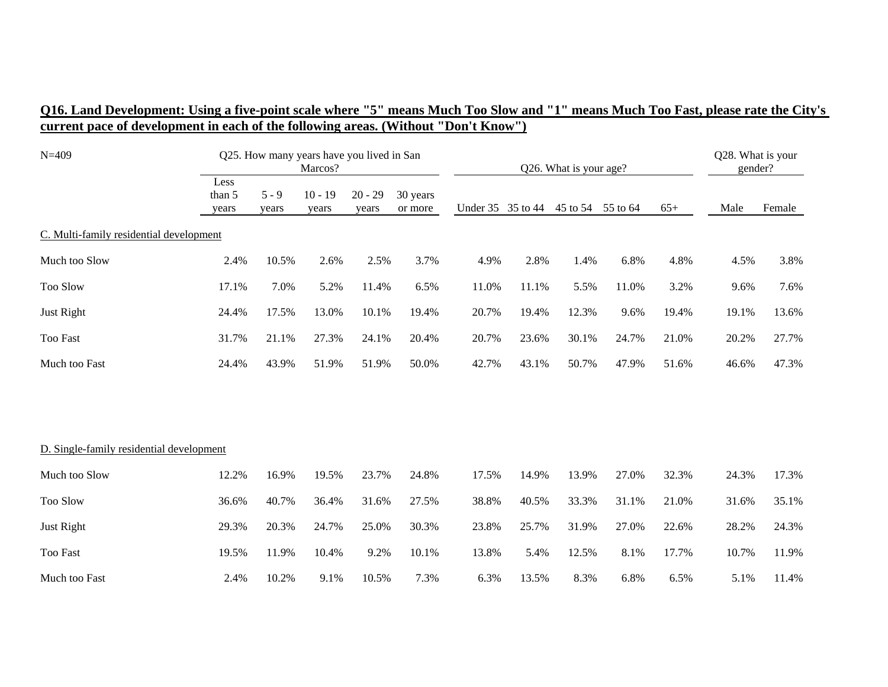## **Q16. Land Development: Using a five-point scale where "5" means Much Too Slow and "1" means Much Too Fast, please rate the City's current pace of development in each of the following areas. (Without "Don't Know")**

| $N = 409$                                |                         |                  | Q25. How many years have you lived in San<br>Marcos? |                    |                     |                   |       | Q26. What is your age? |          |       | Q28. What is your<br>gender? |        |
|------------------------------------------|-------------------------|------------------|------------------------------------------------------|--------------------|---------------------|-------------------|-------|------------------------|----------|-------|------------------------------|--------|
|                                          | Less<br>than 5<br>years | $5 - 9$<br>years | $10 - 19$<br>years                                   | $20 - 29$<br>years | 30 years<br>or more | Under 35 35 to 44 |       | 45 to 54               | 55 to 64 | $65+$ | Male                         | Female |
| C. Multi-family residential development  |                         |                  |                                                      |                    |                     |                   |       |                        |          |       |                              |        |
| Much too Slow                            | 2.4%                    | 10.5%            | 2.6%                                                 | 2.5%               | 3.7%                | 4.9%              | 2.8%  | 1.4%                   | 6.8%     | 4.8%  | 4.5%                         | 3.8%   |
| Too Slow                                 | 17.1%                   | 7.0%             | 5.2%                                                 | 11.4%              | 6.5%                | 11.0%             | 11.1% | 5.5%                   | 11.0%    | 3.2%  | 9.6%                         | 7.6%   |
| Just Right                               | 24.4%                   | 17.5%            | 13.0%                                                | 10.1%              | 19.4%               | 20.7%             | 19.4% | 12.3%                  | 9.6%     | 19.4% | 19.1%                        | 13.6%  |
| Too Fast                                 | 31.7%                   | 21.1%            | 27.3%                                                | 24.1%              | 20.4%               | 20.7%             | 23.6% | 30.1%                  | 24.7%    | 21.0% | 20.2%                        | 27.7%  |
| Much too Fast                            | 24.4%                   | 43.9%            | 51.9%                                                | 51.9%              | 50.0%               | 42.7%             | 43.1% | 50.7%                  | 47.9%    | 51.6% | 46.6%                        | 47.3%  |
|                                          |                         |                  |                                                      |                    |                     |                   |       |                        |          |       |                              |        |
| D. Single-family residential development |                         |                  |                                                      |                    |                     |                   |       |                        |          |       |                              |        |
| Much too Slow                            | 12.2%                   | 16.9%            | 19.5%                                                | 23.7%              | 24.8%               | 17.5%             | 14.9% | 13.9%                  | 27.0%    | 32.3% | 24.3%                        | 17.3%  |
| Too Slow                                 | 36.6%                   | 40.7%            | 36.4%                                                | 31.6%              | 27.5%               | 38.8%             | 40.5% | 33.3%                  | 31.1%    | 21.0% | 31.6%                        | 35.1%  |
| Just Right                               | 29.3%                   | 20.3%            | 24.7%                                                | 25.0%              | 30.3%               | 23.8%             | 25.7% | 31.9%                  | 27.0%    | 22.6% | 28.2%                        | 24.3%  |
| Too Fast                                 | 19.5%                   | 11.9%            | 10.4%                                                | 9.2%               | 10.1%               | 13.8%             | 5.4%  | 12.5%                  | 8.1%     | 17.7% | 10.7%                        | 11.9%  |
| Much too Fast                            | 2.4%                    | 10.2%            | 9.1%                                                 | 10.5%              | 7.3%                | 6.3%              | 13.5% | 8.3%                   | 6.8%     | 6.5%  | 5.1%                         | 11.4%  |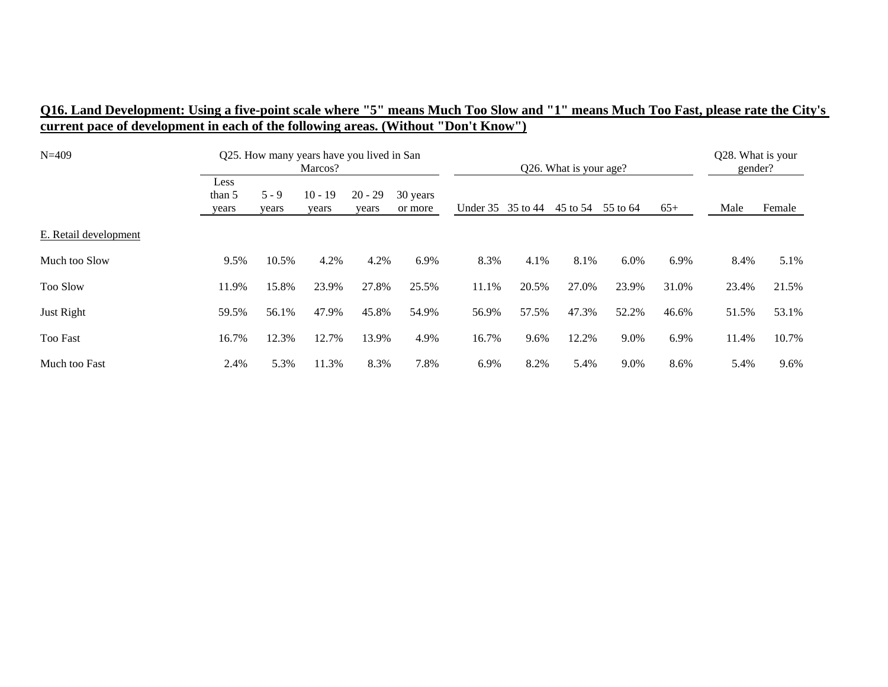## **Q16. Land Development: Using a five-point scale where "5" means Much Too Slow and "1" means Much Too Fast, please rate the City's current pace of development in each of the following areas. (Without "Don't Know")**

| $N=409$               |                         |                  | Q25. How many years have you lived in San<br>Marcos? |                    |                     |                   |       | Q26. What is your age? |          |       | Q28. What is your<br>gender? |        |
|-----------------------|-------------------------|------------------|------------------------------------------------------|--------------------|---------------------|-------------------|-------|------------------------|----------|-------|------------------------------|--------|
|                       | Less<br>than 5<br>years | $5 - 9$<br>years | $10 - 19$<br>years                                   | $20 - 29$<br>years | 30 years<br>or more | Under 35 35 to 44 |       | 45 to 54               | 55 to 64 | $65+$ | Male                         | Female |
| E. Retail development |                         |                  |                                                      |                    |                     |                   |       |                        |          |       |                              |        |
| Much too Slow         | 9.5%                    | 10.5%            | 4.2%                                                 | 4.2%               | 6.9%                | 8.3%              | 4.1%  | 8.1%                   | 6.0%     | 6.9%  | 8.4%                         | 5.1%   |
| <b>Too Slow</b>       | 11.9%                   | 15.8%            | 23.9%                                                | 27.8%              | 25.5%               | 11.1%             | 20.5% | 27.0%                  | 23.9%    | 31.0% | 23.4%                        | 21.5%  |
| Just Right            | 59.5%                   | 56.1%            | 47.9%                                                | 45.8%              | 54.9%               | 56.9%             | 57.5% | 47.3%                  | 52.2%    | 46.6% | 51.5%                        | 53.1%  |
| <b>Too Fast</b>       | 16.7%                   | 12.3%            | 12.7%                                                | 13.9%              | 4.9%                | 16.7%             | 9.6%  | 12.2%                  | 9.0%     | 6.9%  | 11.4%                        | 10.7%  |
| Much too Fast         | 2.4%                    | 5.3%             | 11.3%                                                | 8.3%               | 7.8%                | 6.9%              | 8.2%  | 5.4%                   | 9.0%     | 8.6%  | 5.4%                         | 9.6%   |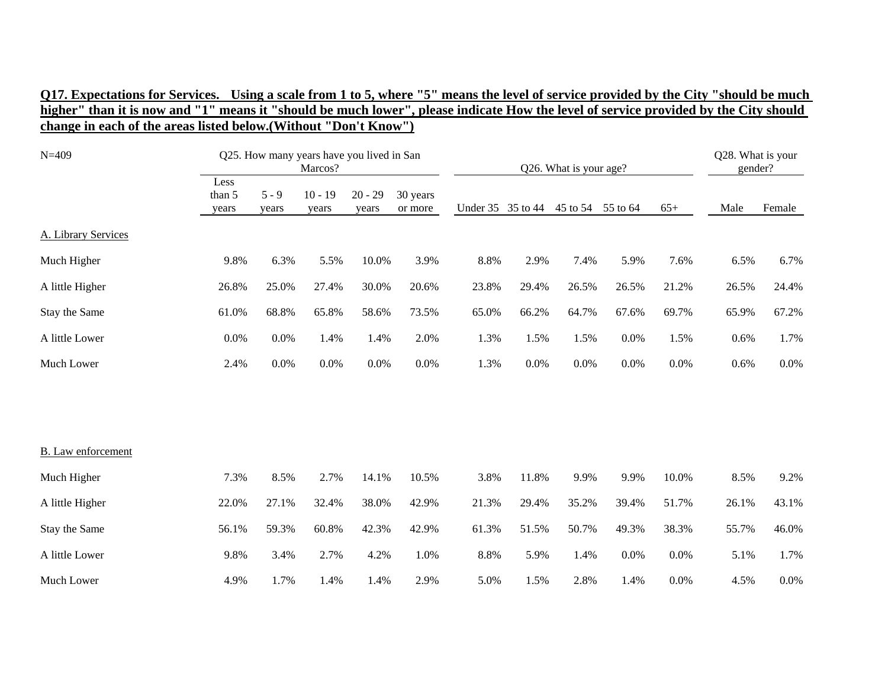| $N = 409$           |                         |                  | Q25. How many years have you lived in San<br>Marcos? |                    |                     |       |                   | Q26. What is your age? |       |       | Q28. What is your<br>gender? |         |
|---------------------|-------------------------|------------------|------------------------------------------------------|--------------------|---------------------|-------|-------------------|------------------------|-------|-------|------------------------------|---------|
|                     | Less<br>than 5<br>years | $5 - 9$<br>years | $10 - 19$<br>years                                   | $20 - 29$<br>years | 30 years<br>or more |       | Under 35 35 to 44 | 45 to 54 55 to 64      |       | $65+$ | Male                         | Female  |
| A. Library Services |                         |                  |                                                      |                    |                     |       |                   |                        |       |       |                              |         |
| Much Higher         | 9.8%                    | 6.3%             | 5.5%                                                 | 10.0%              | 3.9%                | 8.8%  | 2.9%              | 7.4%                   | 5.9%  | 7.6%  | 6.5%                         | 6.7%    |
| A little Higher     | 26.8%                   | 25.0%            | 27.4%                                                | 30.0%              | 20.6%               | 23.8% | 29.4%             | 26.5%                  | 26.5% | 21.2% | 26.5%                        | 24.4%   |
| Stay the Same       | 61.0%                   | 68.8%            | 65.8%                                                | 58.6%              | 73.5%               | 65.0% | 66.2%             | 64.7%                  | 67.6% | 69.7% | 65.9%                        | 67.2%   |
| A little Lower      | 0.0%                    | 0.0%             | 1.4%                                                 | 1.4%               | 2.0%                | 1.3%  | 1.5%              | 1.5%                   | 0.0%  | 1.5%  | 0.6%                         | 1.7%    |
| Much Lower          | 2.4%                    | 0.0%             | 0.0%                                                 | 0.0%               | 0.0%                | 1.3%  | 0.0%              | 0.0%                   | 0.0%  | 0.0%  | 0.6%                         | $0.0\%$ |
|                     |                         |                  |                                                      |                    |                     |       |                   |                        |       |       |                              |         |
| B. Law enforcement  |                         |                  |                                                      |                    |                     |       |                   |                        |       |       |                              |         |
| Much Higher         | 7.3%                    | 8.5%             | 2.7%                                                 | 14.1%              | 10.5%               | 3.8%  | 11.8%             | 9.9%                   | 9.9%  | 10.0% | 8.5%                         | 9.2%    |
| A little Higher     | 22.0%                   | 27.1%            | 32.4%                                                | 38.0%              | 42.9%               | 21.3% | 29.4%             | 35.2%                  | 39.4% | 51.7% | 26.1%                        | 43.1%   |
| Stay the Same       | 56.1%                   | 59.3%            | 60.8%                                                | 42.3%              | 42.9%               | 61.3% | 51.5%             | 50.7%                  | 49.3% | 38.3% | 55.7%                        | 46.0%   |
| A little Lower      | 9.8%                    | 3.4%             | 2.7%                                                 | 4.2%               | 1.0%                | 8.8%  | 5.9%              | 1.4%                   | 0.0%  | 0.0%  | 5.1%                         | 1.7%    |
| Much Lower          | 4.9%                    | 1.7%             | 1.4%                                                 | 1.4%               | 2.9%                | 5.0%  | 1.5%              | 2.8%                   | 1.4%  | 0.0%  | 4.5%                         | 0.0%    |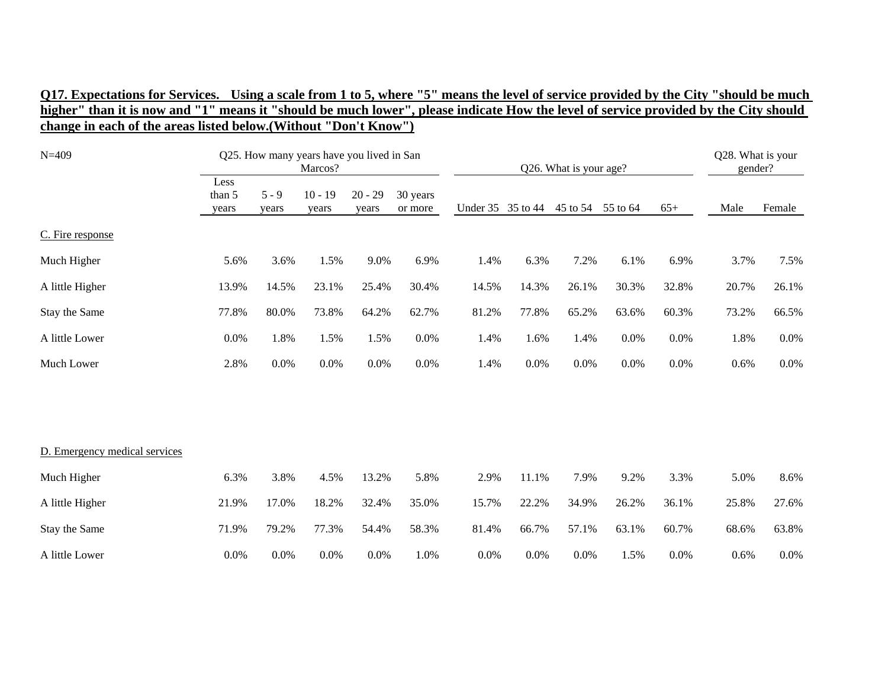| $N = 409$                     |                         |                  | Q25. How many years have you lived in San<br>Marcos? |                    |                     |       |                   | Q26. What is your age? |         |       | Q28. What is your<br>gender? |         |
|-------------------------------|-------------------------|------------------|------------------------------------------------------|--------------------|---------------------|-------|-------------------|------------------------|---------|-------|------------------------------|---------|
|                               | Less<br>than 5<br>years | $5 - 9$<br>years | $10 - 19$<br>years                                   | $20 - 29$<br>years | 30 years<br>or more |       | Under 35 35 to 44 | 45 to 54 55 to 64      |         | $65+$ | Male                         | Female  |
| C. Fire response              |                         |                  |                                                      |                    |                     |       |                   |                        |         |       |                              |         |
| Much Higher                   | 5.6%                    | 3.6%             | 1.5%                                                 | 9.0%               | 6.9%                | 1.4%  | 6.3%              | 7.2%                   | 6.1%    | 6.9%  | 3.7%                         | 7.5%    |
| A little Higher               | 13.9%                   | 14.5%            | 23.1%                                                | 25.4%              | 30.4%               | 14.5% | 14.3%             | 26.1%                  | 30.3%   | 32.8% | 20.7%                        | 26.1%   |
| Stay the Same                 | 77.8%                   | 80.0%            | 73.8%                                                | 64.2%              | 62.7%               | 81.2% | 77.8%             | 65.2%                  | 63.6%   | 60.3% | 73.2%                        | 66.5%   |
| A little Lower                | 0.0%                    | 1.8%             | 1.5%                                                 | 1.5%               | 0.0%                | 1.4%  | 1.6%              | 1.4%                   | 0.0%    | 0.0%  | 1.8%                         | $0.0\%$ |
| Much Lower                    | 2.8%                    | 0.0%             | 0.0%                                                 | 0.0%               | $0.0\%$             | 1.4%  | 0.0%              | 0.0%                   | $0.0\%$ | 0.0%  | 0.6%                         | $0.0\%$ |
|                               |                         |                  |                                                      |                    |                     |       |                   |                        |         |       |                              |         |
|                               |                         |                  |                                                      |                    |                     |       |                   |                        |         |       |                              |         |
| D. Emergency medical services |                         |                  |                                                      |                    |                     |       |                   |                        |         |       |                              |         |
| Much Higher                   | 6.3%                    | 3.8%             | 4.5%                                                 | 13.2%              | 5.8%                | 2.9%  | 11.1%             | 7.9%                   | 9.2%    | 3.3%  | 5.0%                         | 8.6%    |
| A little Higher               | 21.9%                   | 17.0%            | 18.2%                                                | 32.4%              | 35.0%               | 15.7% | 22.2%             | 34.9%                  | 26.2%   | 36.1% | 25.8%                        | 27.6%   |
| Stay the Same                 | 71.9%                   | 79.2%            | 77.3%                                                | 54.4%              | 58.3%               | 81.4% | 66.7%             | 57.1%                  | 63.1%   | 60.7% | 68.6%                        | 63.8%   |
| A little Lower                | 0.0%                    | 0.0%             | 0.0%                                                 | 0.0%               | 1.0%                | 0.0%  | 0.0%              | 0.0%                   | 1.5%    | 0.0%  | 0.6%                         | $0.0\%$ |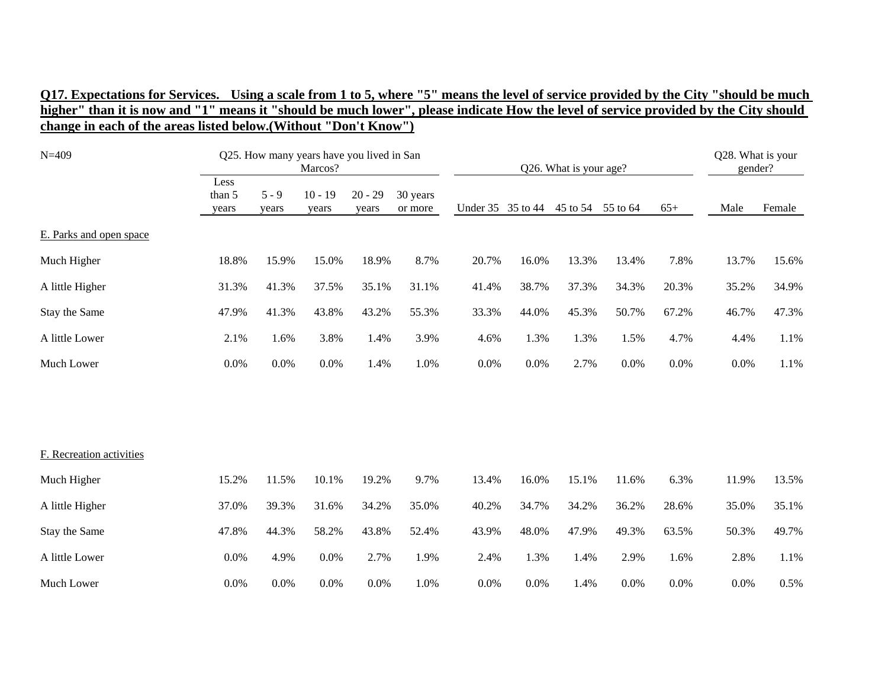| $N = 409$                |                         |                  | Q25. How many years have you lived in San<br>Marcos? |                    |                     |                   |       | Q26. What is your age? |          |       | Q28. What is your<br>gender? |        |
|--------------------------|-------------------------|------------------|------------------------------------------------------|--------------------|---------------------|-------------------|-------|------------------------|----------|-------|------------------------------|--------|
|                          | Less<br>than 5<br>years | $5 - 9$<br>years | $10 - 19$<br>years                                   | $20 - 29$<br>years | 30 years<br>or more | Under 35 35 to 44 |       | 45 to 54               | 55 to 64 | $65+$ | Male                         | Female |
| E. Parks and open space  |                         |                  |                                                      |                    |                     |                   |       |                        |          |       |                              |        |
| Much Higher              | 18.8%                   | 15.9%            | 15.0%                                                | 18.9%              | 8.7%                | 20.7%             | 16.0% | 13.3%                  | 13.4%    | 7.8%  | 13.7%                        | 15.6%  |
| A little Higher          | 31.3%                   | 41.3%            | 37.5%                                                | 35.1%              | 31.1%               | 41.4%             | 38.7% | 37.3%                  | 34.3%    | 20.3% | 35.2%                        | 34.9%  |
| Stay the Same            | 47.9%                   | 41.3%            | 43.8%                                                | 43.2%              | 55.3%               | 33.3%             | 44.0% | 45.3%                  | 50.7%    | 67.2% | 46.7%                        | 47.3%  |
| A little Lower           | 2.1%                    | 1.6%             | 3.8%                                                 | 1.4%               | 3.9%                | 4.6%              | 1.3%  | 1.3%                   | 1.5%     | 4.7%  | 4.4%                         | 1.1%   |
| Much Lower               | 0.0%                    | 0.0%             | 0.0%                                                 | 1.4%               | 1.0%                | $0.0\%$           | 0.0%  | 2.7%                   | 0.0%     | 0.0%  | 0.0%                         | 1.1%   |
|                          |                         |                  |                                                      |                    |                     |                   |       |                        |          |       |                              |        |
|                          |                         |                  |                                                      |                    |                     |                   |       |                        |          |       |                              |        |
| F. Recreation activities |                         |                  |                                                      |                    |                     |                   |       |                        |          |       |                              |        |
| Much Higher              | 15.2%                   | 11.5%            | 10.1%                                                | 19.2%              | 9.7%                | 13.4%             | 16.0% | 15.1%                  | 11.6%    | 6.3%  | 11.9%                        | 13.5%  |
| A little Higher          | 37.0%                   | 39.3%            | 31.6%                                                | 34.2%              | 35.0%               | 40.2%             | 34.7% | 34.2%                  | 36.2%    | 28.6% | 35.0%                        | 35.1%  |
| Stay the Same            | 47.8%                   | 44.3%            | 58.2%                                                | 43.8%              | 52.4%               | 43.9%             | 48.0% | 47.9%                  | 49.3%    | 63.5% | 50.3%                        | 49.7%  |
| A little Lower           | 0.0%                    | 4.9%             | 0.0%                                                 | 2.7%               | 1.9%                | 2.4%              | 1.3%  | 1.4%                   | 2.9%     | 1.6%  | 2.8%                         | 1.1%   |
| Much Lower               | 0.0%                    | 0.0%             | 0.0%                                                 | 0.0%               | 1.0%                | 0.0%              | 0.0%  | 1.4%                   | 0.0%     | 0.0%  | 0.0%                         | 0.5%   |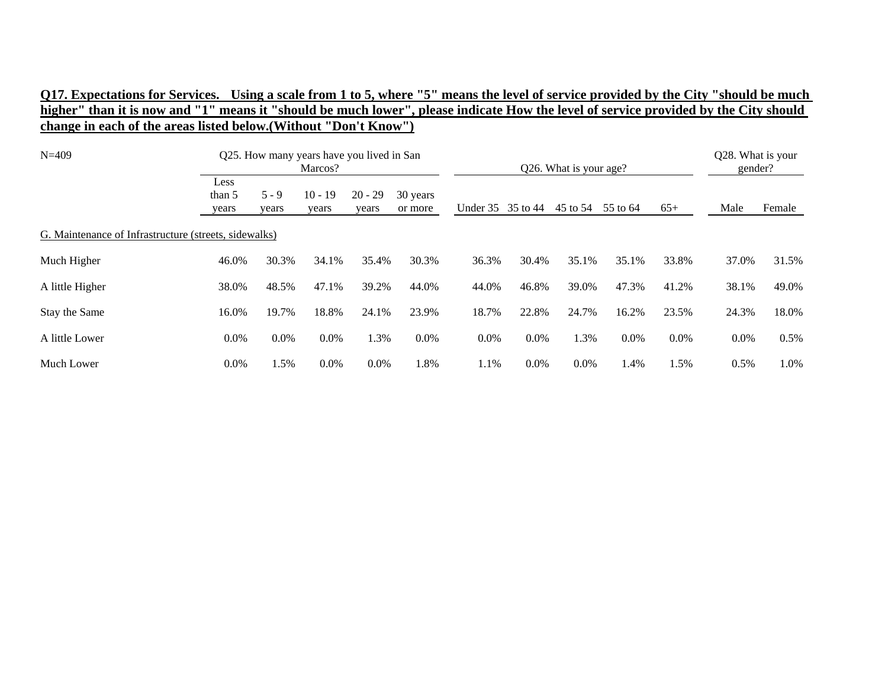| $N = 409$                                             |                         |                  | Q25. How many years have you lived in San<br>Marcos? |                    |                     |                   |         | Q26. What is your age? |          |         | Q28. What is your<br>gender? |        |
|-------------------------------------------------------|-------------------------|------------------|------------------------------------------------------|--------------------|---------------------|-------------------|---------|------------------------|----------|---------|------------------------------|--------|
|                                                       | Less<br>than 5<br>years | $5 - 9$<br>years | $10 - 19$<br>years                                   | $20 - 29$<br>years | 30 years<br>or more | Under 35 35 to 44 |         | 45 to 54               | 55 to 64 | $65+$   | Male                         | Female |
| G. Maintenance of Infrastructure (streets, sidewalks) |                         |                  |                                                      |                    |                     |                   |         |                        |          |         |                              |        |
| Much Higher                                           | 46.0%                   | 30.3%            | 34.1%                                                | 35.4%              | 30.3%               | 36.3%             | 30.4%   | 35.1%                  | 35.1%    | 33.8%   | 37.0%                        | 31.5%  |
| A little Higher                                       | 38.0%                   | 48.5%            | 47.1%                                                | 39.2%              | 44.0%               | 44.0%             | 46.8%   | 39.0%                  | 47.3%    | 41.2%   | 38.1%                        | 49.0%  |
| Stay the Same                                         | 16.0%                   | 19.7%            | 18.8%                                                | 24.1%              | 23.9%               | 18.7%             | 22.8%   | 24.7%                  | 16.2%    | 23.5%   | 24.3%                        | 18.0%  |
| A little Lower                                        | 0.0%                    | $0.0\%$          | 0.0%                                                 | 1.3%               | $0.0\%$             | $0.0\%$           | $0.0\%$ | 1.3%                   | $0.0\%$  | $0.0\%$ | 0.0%                         | 0.5%   |
| Much Lower                                            | $0.0\%$                 | .5%              | 0.0%                                                 | 0.0%               | 1.8%                | 1.1%              | $0.0\%$ | 0.0%                   | 1.4%     | 1.5%    | 0.5%                         | 1.0%   |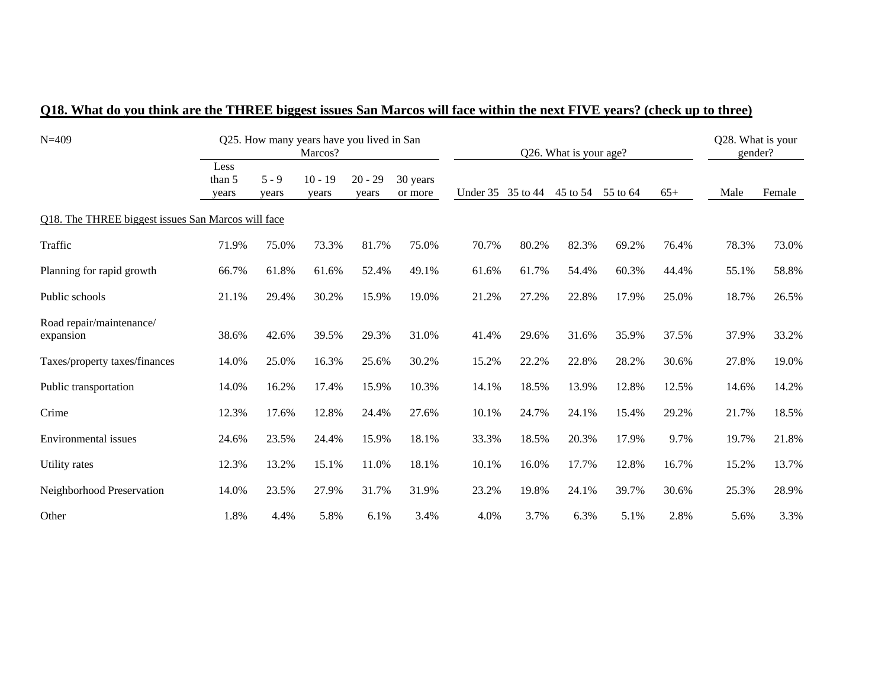| $N = 409$                                          |                         |                  | Q25. How many years have you lived in San<br>Marcos? |                    |                     |                   |       | Q26. What is your age? |       |       | Q28. What is your<br>gender? |        |
|----------------------------------------------------|-------------------------|------------------|------------------------------------------------------|--------------------|---------------------|-------------------|-------|------------------------|-------|-------|------------------------------|--------|
|                                                    | Less<br>than 5<br>years | $5 - 9$<br>years | $10 - 19$<br>years                                   | $20 - 29$<br>years | 30 years<br>or more | Under 35 35 to 44 |       | 45 to 54 55 to 64      |       | $65+$ | Male                         | Female |
| Q18. The THREE biggest issues San Marcos will face |                         |                  |                                                      |                    |                     |                   |       |                        |       |       |                              |        |
| Traffic                                            | 71.9%                   | 75.0%            | 73.3%                                                | 81.7%              | 75.0%               | 70.7%             | 80.2% | 82.3%                  | 69.2% | 76.4% | 78.3%                        | 73.0%  |
| Planning for rapid growth                          | 66.7%                   | 61.8%            | 61.6%                                                | 52.4%              | 49.1%               | 61.6%             | 61.7% | 54.4%                  | 60.3% | 44.4% | 55.1%                        | 58.8%  |
| Public schools                                     | 21.1%                   | 29.4%            | 30.2%                                                | 15.9%              | 19.0%               | 21.2%             | 27.2% | 22.8%                  | 17.9% | 25.0% | 18.7%                        | 26.5%  |
| Road repair/maintenance/<br>expansion              | 38.6%                   | 42.6%            | 39.5%                                                | 29.3%              | 31.0%               | 41.4%             | 29.6% | 31.6%                  | 35.9% | 37.5% | 37.9%                        | 33.2%  |
| Taxes/property taxes/finances                      | 14.0%                   | 25.0%            | 16.3%                                                | 25.6%              | 30.2%               | 15.2%             | 22.2% | 22.8%                  | 28.2% | 30.6% | 27.8%                        | 19.0%  |
| Public transportation                              | 14.0%                   | 16.2%            | 17.4%                                                | 15.9%              | 10.3%               | 14.1%             | 18.5% | 13.9%                  | 12.8% | 12.5% | 14.6%                        | 14.2%  |
| Crime                                              | 12.3%                   | 17.6%            | 12.8%                                                | 24.4%              | 27.6%               | 10.1%             | 24.7% | 24.1%                  | 15.4% | 29.2% | 21.7%                        | 18.5%  |
| <b>Environmental</b> issues                        | 24.6%                   | 23.5%            | 24.4%                                                | 15.9%              | 18.1%               | 33.3%             | 18.5% | 20.3%                  | 17.9% | 9.7%  | 19.7%                        | 21.8%  |
| Utility rates                                      | 12.3%                   | 13.2%            | 15.1%                                                | 11.0%              | 18.1%               | 10.1%             | 16.0% | 17.7%                  | 12.8% | 16.7% | 15.2%                        | 13.7%  |
| Neighborhood Preservation                          | 14.0%                   | 23.5%            | 27.9%                                                | 31.7%              | 31.9%               | 23.2%             | 19.8% | 24.1%                  | 39.7% | 30.6% | 25.3%                        | 28.9%  |
| Other                                              | 1.8%                    | 4.4%             | 5.8%                                                 | 6.1%               | 3.4%                | 4.0%              | 3.7%  | 6.3%                   | 5.1%  | 2.8%  | 5.6%                         | 3.3%   |

## **Q18. What do you think are the THREE biggest issues San Marcos will face within the next FIVE years? (check up to three)**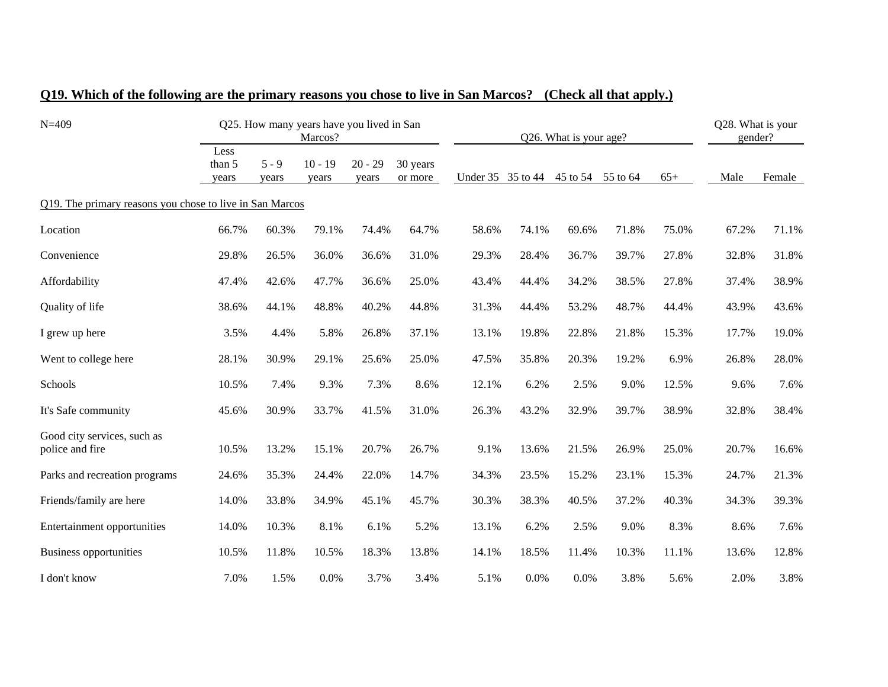| $N = 409$                                                |                         |                  | Q25. How many years have you lived in San<br>Marcos? |                    |                     |          |          | Q26. What is your age? |          |       | Q28. What is your<br>gender? |        |
|----------------------------------------------------------|-------------------------|------------------|------------------------------------------------------|--------------------|---------------------|----------|----------|------------------------|----------|-------|------------------------------|--------|
|                                                          | Less<br>than 5<br>years | $5 - 9$<br>years | $10 - 19$<br>years                                   | $20 - 29$<br>years | 30 years<br>or more | Under 35 | 35 to 44 | 45 to 54               | 55 to 64 | $65+$ | Male                         | Female |
| Q19. The primary reasons you chose to live in San Marcos |                         |                  |                                                      |                    |                     |          |          |                        |          |       |                              |        |
| Location                                                 | 66.7%                   | 60.3%            | 79.1%                                                | 74.4%              | 64.7%               | 58.6%    | 74.1%    | 69.6%                  | 71.8%    | 75.0% | 67.2%                        | 71.1%  |
| Convenience                                              | 29.8%                   | 26.5%            | 36.0%                                                | 36.6%              | 31.0%               | 29.3%    | 28.4%    | 36.7%                  | 39.7%    | 27.8% | 32.8%                        | 31.8%  |
| Affordability                                            | 47.4%                   | 42.6%            | 47.7%                                                | 36.6%              | 25.0%               | 43.4%    | 44.4%    | 34.2%                  | 38.5%    | 27.8% | 37.4%                        | 38.9%  |
| Quality of life                                          | 38.6%                   | 44.1%            | 48.8%                                                | 40.2%              | 44.8%               | 31.3%    | 44.4%    | 53.2%                  | 48.7%    | 44.4% | 43.9%                        | 43.6%  |
| I grew up here                                           | 3.5%                    | 4.4%             | 5.8%                                                 | 26.8%              | 37.1%               | 13.1%    | 19.8%    | 22.8%                  | 21.8%    | 15.3% | 17.7%                        | 19.0%  |
| Went to college here                                     | 28.1%                   | 30.9%            | 29.1%                                                | 25.6%              | 25.0%               | 47.5%    | 35.8%    | 20.3%                  | 19.2%    | 6.9%  | 26.8%                        | 28.0%  |
| Schools                                                  | 10.5%                   | 7.4%             | 9.3%                                                 | 7.3%               | 8.6%                | 12.1%    | 6.2%     | 2.5%                   | 9.0%     | 12.5% | 9.6%                         | 7.6%   |
| It's Safe community                                      | 45.6%                   | 30.9%            | 33.7%                                                | 41.5%              | 31.0%               | 26.3%    | 43.2%    | 32.9%                  | 39.7%    | 38.9% | 32.8%                        | 38.4%  |
| Good city services, such as<br>police and fire           | 10.5%                   | 13.2%            | 15.1%                                                | 20.7%              | 26.7%               | 9.1%     | 13.6%    | 21.5%                  | 26.9%    | 25.0% | 20.7%                        | 16.6%  |
| Parks and recreation programs                            | 24.6%                   | 35.3%            | 24.4%                                                | 22.0%              | 14.7%               | 34.3%    | 23.5%    | 15.2%                  | 23.1%    | 15.3% | 24.7%                        | 21.3%  |
| Friends/family are here                                  | 14.0%                   | 33.8%            | 34.9%                                                | 45.1%              | 45.7%               | 30.3%    | 38.3%    | 40.5%                  | 37.2%    | 40.3% | 34.3%                        | 39.3%  |
| Entertainment opportunities                              | 14.0%                   | 10.3%            | 8.1%                                                 | 6.1%               | 5.2%                | 13.1%    | 6.2%     | 2.5%                   | 9.0%     | 8.3%  | 8.6%                         | 7.6%   |
| Business opportunities                                   | 10.5%                   | 11.8%            | 10.5%                                                | 18.3%              | 13.8%               | 14.1%    | 18.5%    | 11.4%                  | 10.3%    | 11.1% | 13.6%                        | 12.8%  |
| I don't know                                             | 7.0%                    | 1.5%             | 0.0%                                                 | 3.7%               | 3.4%                | 5.1%     | 0.0%     | 0.0%                   | 3.8%     | 5.6%  | 2.0%                         | 3.8%   |

### **Q19. Which of the following are the primary reasons you chose to live in San Marcos? (Check all that apply.)**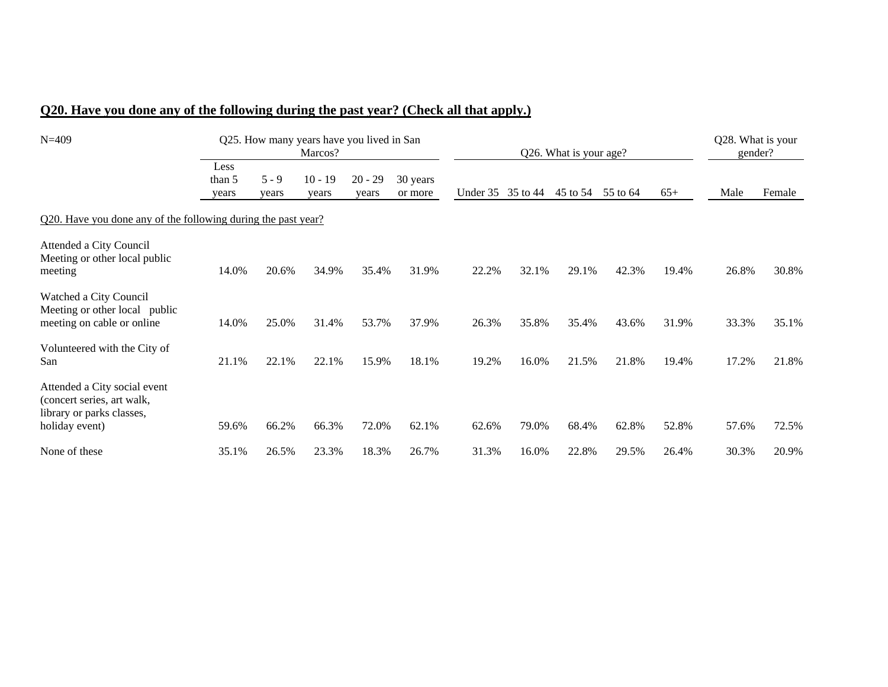## **Q20. Have you done any of the following during the past year? (Check all that apply.)**

| $N = 409$                                                                                                 |                         | Q25. How many years have you lived in San | Marcos?            |                    |                     |                   |       | Q26. What is your age? |          |       | Q28. What is your<br>gender? |        |
|-----------------------------------------------------------------------------------------------------------|-------------------------|-------------------------------------------|--------------------|--------------------|---------------------|-------------------|-------|------------------------|----------|-------|------------------------------|--------|
|                                                                                                           | Less<br>than 5<br>years | $5 - 9$<br>years                          | $10 - 19$<br>years | $20 - 29$<br>years | 30 years<br>or more | Under 35 35 to 44 |       | 45 to 54               | 55 to 64 | $65+$ | Male                         | Female |
| Q20. Have you done any of the following during the past year?                                             |                         |                                           |                    |                    |                     |                   |       |                        |          |       |                              |        |
| Attended a City Council<br>Meeting or other local public<br>meeting                                       | 14.0%                   | 20.6%                                     | 34.9%              | 35.4%              | 31.9%               | 22.2%             | 32.1% | 29.1%                  | 42.3%    | 19.4% | 26.8%                        | 30.8%  |
| Watched a City Council<br>Meeting or other local public<br>meeting on cable or online                     | 14.0%                   | 25.0%                                     | 31.4%              | 53.7%              | 37.9%               | 26.3%             | 35.8% | 35.4%                  | 43.6%    | 31.9% | 33.3%                        | 35.1%  |
| Volunteered with the City of<br>San                                                                       | 21.1%                   | 22.1%                                     | 22.1%              | 15.9%              | 18.1%               | 19.2%             | 16.0% | 21.5%                  | 21.8%    | 19.4% | 17.2%                        | 21.8%  |
| Attended a City social event<br>(concert series, art walk,<br>library or parks classes,<br>holiday event) | 59.6%                   | 66.2%                                     | 66.3%              | 72.0%              | 62.1%               | 62.6%             | 79.0% | 68.4%                  | 62.8%    | 52.8% | 57.6%                        | 72.5%  |
| None of these                                                                                             | 35.1%                   | 26.5%                                     | 23.3%              | 18.3%              | 26.7%               | 31.3%             | 16.0% | 22.8%                  | 29.5%    | 26.4% | 30.3%                        | 20.9%  |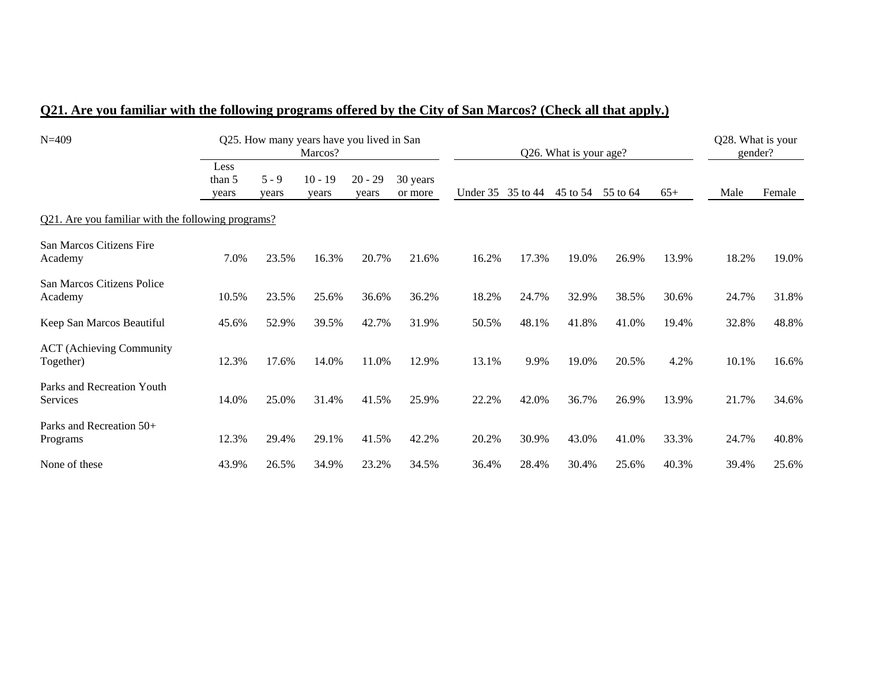| $N = 409$                                          |                         | Q25. How many years have you lived in San |                    |                    | Q26. What is your age? | Q28. What is your<br>gender? |       |          |          |       |       |        |
|----------------------------------------------------|-------------------------|-------------------------------------------|--------------------|--------------------|------------------------|------------------------------|-------|----------|----------|-------|-------|--------|
|                                                    | Less<br>than 5<br>years | $5 - 9$<br>years                          | $10 - 19$<br>years | $20 - 29$<br>years | 30 years<br>or more    | Under 35 35 to 44            |       | 45 to 54 | 55 to 64 | $65+$ | Male  | Female |
| Q21. Are you familiar with the following programs? |                         |                                           |                    |                    |                        |                              |       |          |          |       |       |        |
| San Marcos Citizens Fire<br>Academy                | 7.0%                    | 23.5%                                     | 16.3%              | 20.7%              | 21.6%                  | 16.2%                        | 17.3% | 19.0%    | 26.9%    | 13.9% | 18.2% | 19.0%  |
| San Marcos Citizens Police<br>Academy              | 10.5%                   | 23.5%                                     | 25.6%              | 36.6%              | 36.2%                  | 18.2%                        | 24.7% | 32.9%    | 38.5%    | 30.6% | 24.7% | 31.8%  |
| Keep San Marcos Beautiful                          | 45.6%                   | 52.9%                                     | 39.5%              | 42.7%              | 31.9%                  | 50.5%                        | 48.1% | 41.8%    | 41.0%    | 19.4% | 32.8% | 48.8%  |
| <b>ACT</b> (Achieving Community<br>Together)       | 12.3%                   | 17.6%                                     | 14.0%              | 11.0%              | 12.9%                  | 13.1%                        | 9.9%  | 19.0%    | 20.5%    | 4.2%  | 10.1% | 16.6%  |
| Parks and Recreation Youth<br>Services             | 14.0%                   | 25.0%                                     | 31.4%              | 41.5%              | 25.9%                  | 22.2%                        | 42.0% | 36.7%    | 26.9%    | 13.9% | 21.7% | 34.6%  |
| Parks and Recreation 50+<br>Programs               | 12.3%                   | 29.4%                                     | 29.1%              | 41.5%              | 42.2%                  | 20.2%                        | 30.9% | 43.0%    | 41.0%    | 33.3% | 24.7% | 40.8%  |
| None of these                                      | 43.9%                   | 26.5%                                     | 34.9%              | 23.2%              | 34.5%                  | 36.4%                        | 28.4% | 30.4%    | 25.6%    | 40.3% | 39.4% | 25.6%  |

# **Q21. Are you familiar with the following programs offered by the City of San Marcos? (Check all that apply.)**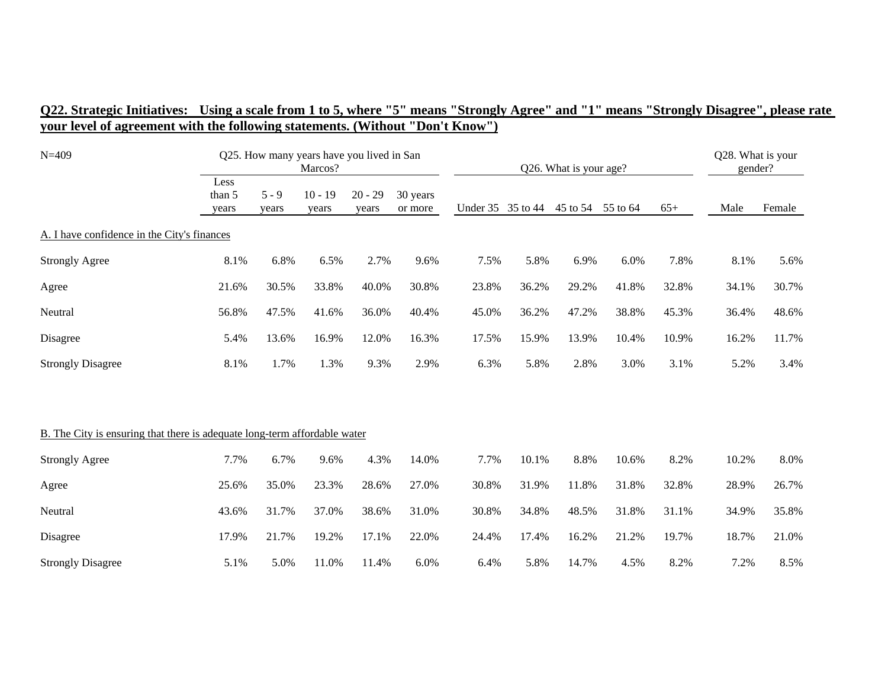| $N = 409$                                                                 |                         | Q25. How many years have you lived in San<br>Marcos? |                    |                    |                     |       |                   | Q26. What is your age? |          |       |       |        |  |
|---------------------------------------------------------------------------|-------------------------|------------------------------------------------------|--------------------|--------------------|---------------------|-------|-------------------|------------------------|----------|-------|-------|--------|--|
|                                                                           | Less<br>than 5<br>years | $5 - 9$<br>years                                     | $10 - 19$<br>years | $20 - 29$<br>years | 30 years<br>or more |       | Under 35 35 to 44 | 45 to 54               | 55 to 64 | $65+$ | Male  | Female |  |
| A. I have confidence in the City's finances                               |                         |                                                      |                    |                    |                     |       |                   |                        |          |       |       |        |  |
| <b>Strongly Agree</b>                                                     | 8.1%                    | 6.8%                                                 | 6.5%               | 2.7%               | 9.6%                | 7.5%  | 5.8%              | 6.9%                   | 6.0%     | 7.8%  | 8.1%  | 5.6%   |  |
| Agree                                                                     | 21.6%                   | 30.5%                                                | 33.8%              | 40.0%              | 30.8%               | 23.8% | 36.2%             | 29.2%                  | 41.8%    | 32.8% | 34.1% | 30.7%  |  |
| Neutral                                                                   | 56.8%                   | 47.5%                                                | 41.6%              | 36.0%              | 40.4%               | 45.0% | 36.2%             | 47.2%                  | 38.8%    | 45.3% | 36.4% | 48.6%  |  |
| Disagree                                                                  | 5.4%                    | 13.6%                                                | 16.9%              | 12.0%              | 16.3%               | 17.5% | 15.9%             | 13.9%                  | 10.4%    | 10.9% | 16.2% | 11.7%  |  |
| <b>Strongly Disagree</b>                                                  | 8.1%                    | 1.7%                                                 | 1.3%               | 9.3%               | 2.9%                | 6.3%  | 5.8%              | 2.8%                   | 3.0%     | 3.1%  | 5.2%  | 3.4%   |  |
| B. The City is ensuring that there is adequate long-term affordable water |                         |                                                      |                    |                    |                     |       |                   |                        |          |       |       |        |  |
| <b>Strongly Agree</b>                                                     | 7.7%                    | 6.7%                                                 | 9.6%               | 4.3%               | 14.0%               | 7.7%  | 10.1%             | 8.8%                   | 10.6%    | 8.2%  | 10.2% | 8.0%   |  |
| Agree                                                                     | 25.6%                   | 35.0%                                                | 23.3%              | 28.6%              | 27.0%               | 30.8% | 31.9%             | 11.8%                  | 31.8%    | 32.8% | 28.9% | 26.7%  |  |
| Neutral                                                                   | 43.6%                   | 31.7%                                                | 37.0%              | 38.6%              | 31.0%               | 30.8% | 34.8%             | 48.5%                  | 31.8%    | 31.1% | 34.9% | 35.8%  |  |
| Disagree                                                                  | 17.9%                   | 21.7%                                                | 19.2%              | 17.1%              | 22.0%               | 24.4% | 17.4%             | 16.2%                  | 21.2%    | 19.7% | 18.7% | 21.0%  |  |
| <b>Strongly Disagree</b>                                                  | 5.1%                    | 5.0%                                                 | 11.0%              | 11.4%              | 6.0%                | 6.4%  | 5.8%              | 14.7%                  | 4.5%     | 8.2%  | 7.2%  | 8.5%   |  |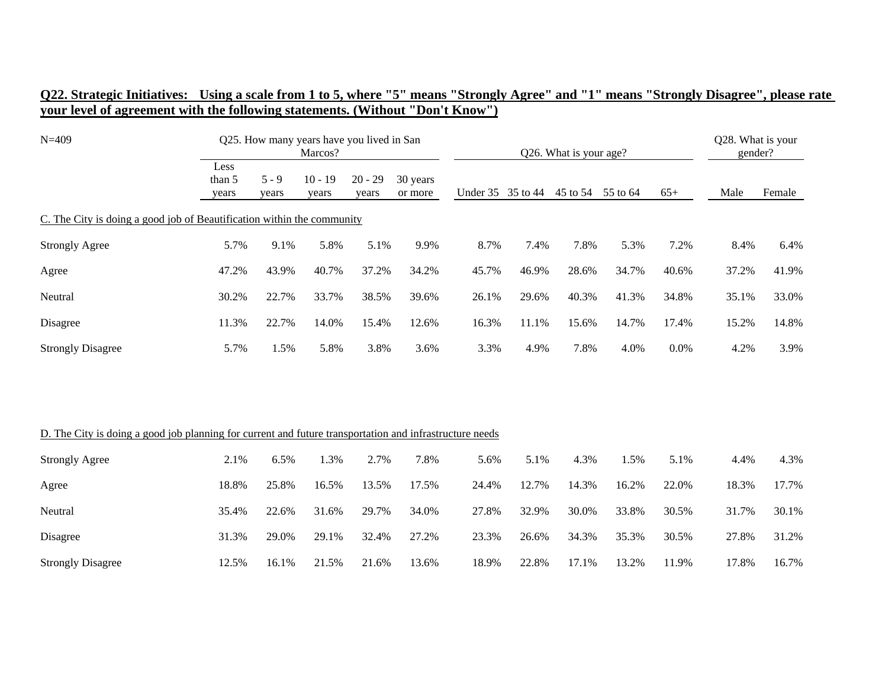| $N = 409$                                                                                               |                         | Q25. How many years have you lived in San<br>Marcos? |                    |                    |                     |       |                   | Q26. What is your age? |       |       |       |        |  |
|---------------------------------------------------------------------------------------------------------|-------------------------|------------------------------------------------------|--------------------|--------------------|---------------------|-------|-------------------|------------------------|-------|-------|-------|--------|--|
|                                                                                                         | Less<br>than 5<br>years | $5 - 9$<br>years                                     | $10 - 19$<br>years | $20 - 29$<br>years | 30 years<br>or more |       | Under 35 35 to 44 | 45 to 54 55 to 64      |       | $65+$ | Male  | Female |  |
| C. The City is doing a good job of Beautification within the community                                  |                         |                                                      |                    |                    |                     |       |                   |                        |       |       |       |        |  |
| <b>Strongly Agree</b>                                                                                   | 5.7%                    | 9.1%                                                 | 5.8%               | 5.1%               | 9.9%                | 8.7%  | 7.4%              | 7.8%                   | 5.3%  | 7.2%  | 8.4%  | 6.4%   |  |
| Agree                                                                                                   | 47.2%                   | 43.9%                                                | 40.7%              | 37.2%              | 34.2%               | 45.7% | 46.9%             | 28.6%                  | 34.7% | 40.6% | 37.2% | 41.9%  |  |
| Neutral                                                                                                 | 30.2%                   | 22.7%                                                | 33.7%              | 38.5%              | 39.6%               | 26.1% | 29.6%             | 40.3%                  | 41.3% | 34.8% | 35.1% | 33.0%  |  |
| Disagree                                                                                                | 11.3%                   | 22.7%                                                | 14.0%              | 15.4%              | 12.6%               | 16.3% | 11.1%             | 15.6%                  | 14.7% | 17.4% | 15.2% | 14.8%  |  |
| <b>Strongly Disagree</b>                                                                                | 5.7%                    | 1.5%                                                 | 5.8%               | 3.8%               | 3.6%                | 3.3%  | 4.9%              | 7.8%                   | 4.0%  | 0.0%  | 4.2%  | 3.9%   |  |
|                                                                                                         |                         |                                                      |                    |                    |                     |       |                   |                        |       |       |       |        |  |
| D. The City is doing a good job planning for current and future transportation and infrastructure needs |                         |                                                      |                    |                    |                     |       |                   |                        |       |       |       |        |  |
| <b>Strongly Agree</b>                                                                                   | 2.1%                    | 6.5%                                                 | 1.3%               | 2.7%               | 7.8%                | 5.6%  | 5.1%              | 4.3%                   | 1.5%  | 5.1%  | 4.4%  | 4.3%   |  |
| Agree                                                                                                   | 18.8%                   | 25.8%                                                | 16.5%              | 13.5%              | 17.5%               | 24.4% | 12.7%             | 14.3%                  | 16.2% | 22.0% | 18.3% | 17.7%  |  |
| Neutral                                                                                                 | 35.4%                   | 22.6%                                                | 31.6%              | 29.7%              | 34.0%               | 27.8% | 32.9%             | 30.0%                  | 33.8% | 30.5% | 31.7% | 30.1%  |  |
| Disagree                                                                                                | 31.3%                   | 29.0%                                                | 29.1%              | 32.4%              | 27.2%               | 23.3% | 26.6%             | 34.3%                  | 35.3% | 30.5% | 27.8% | 31.2%  |  |
| <b>Strongly Disagree</b>                                                                                | 12.5%                   | 16.1%                                                | 21.5%              | 21.6%              | 13.6%               | 18.9% | 22.8%             | 17.1%                  | 13.2% | 11.9% | 17.8% | 16.7%  |  |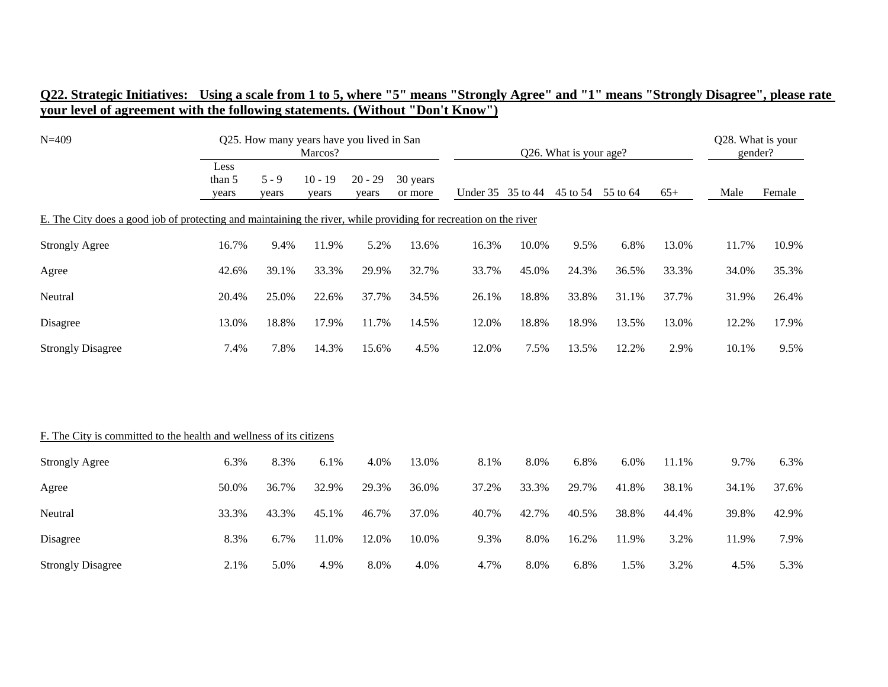| $N = 409$                                                                                                        |                         | Q25. How many years have you lived in San<br>Marcos? |                    |                    |                     |       |                   | Q26. What is your age? |          |       |       |        |  |
|------------------------------------------------------------------------------------------------------------------|-------------------------|------------------------------------------------------|--------------------|--------------------|---------------------|-------|-------------------|------------------------|----------|-------|-------|--------|--|
|                                                                                                                  | Less<br>than 5<br>years | $5 - 9$<br>years                                     | $10 - 19$<br>years | $20 - 29$<br>years | 30 years<br>or more |       | Under 35 35 to 44 | 45 to 54               | 55 to 64 | $65+$ | Male  | Female |  |
| E. The City does a good job of protecting and maintaining the river, while providing for recreation on the river |                         |                                                      |                    |                    |                     |       |                   |                        |          |       |       |        |  |
| <b>Strongly Agree</b>                                                                                            | 16.7%                   | 9.4%                                                 | 11.9%              | 5.2%               | 13.6%               | 16.3% | 10.0%             | 9.5%                   | 6.8%     | 13.0% | 11.7% | 10.9%  |  |
| Agree                                                                                                            | 42.6%                   | 39.1%                                                | 33.3%              | 29.9%              | 32.7%               | 33.7% | 45.0%             | 24.3%                  | 36.5%    | 33.3% | 34.0% | 35.3%  |  |
| Neutral                                                                                                          | 20.4%                   | 25.0%                                                | 22.6%              | 37.7%              | 34.5%               | 26.1% | 18.8%             | 33.8%                  | 31.1%    | 37.7% | 31.9% | 26.4%  |  |
| Disagree                                                                                                         | 13.0%                   | 18.8%                                                | 17.9%              | 11.7%              | 14.5%               | 12.0% | 18.8%             | 18.9%                  | 13.5%    | 13.0% | 12.2% | 17.9%  |  |
| <b>Strongly Disagree</b>                                                                                         | 7.4%                    | 7.8%                                                 | 14.3%              | 15.6%              | 4.5%                | 12.0% | 7.5%              | 13.5%                  | 12.2%    | 2.9%  | 10.1% | 9.5%   |  |
|                                                                                                                  |                         |                                                      |                    |                    |                     |       |                   |                        |          |       |       |        |  |
| F. The City is committed to the health and wellness of its citizens                                              |                         |                                                      |                    |                    |                     |       |                   |                        |          |       |       |        |  |
| <b>Strongly Agree</b>                                                                                            | 6.3%                    | 8.3%                                                 | 6.1%               | 4.0%               | 13.0%               | 8.1%  | 8.0%              | 6.8%                   | 6.0%     | 11.1% | 9.7%  | 6.3%   |  |
| Agree                                                                                                            | 50.0%                   | 36.7%                                                | 32.9%              | 29.3%              | 36.0%               | 37.2% | 33.3%             | 29.7%                  | 41.8%    | 38.1% | 34.1% | 37.6%  |  |
| Neutral                                                                                                          | 33.3%                   | 43.3%                                                | 45.1%              | 46.7%              | 37.0%               | 40.7% | 42.7%             | 40.5%                  | 38.8%    | 44.4% | 39.8% | 42.9%  |  |
| Disagree                                                                                                         | 8.3%                    | 6.7%                                                 | 11.0%              | 12.0%              | 10.0%               | 9.3%  | 8.0%              | 16.2%                  | 11.9%    | 3.2%  | 11.9% | 7.9%   |  |
| <b>Strongly Disagree</b>                                                                                         | 2.1%                    | 5.0%                                                 | 4.9%               | 8.0%               | 4.0%                | 4.7%  | 8.0%              | 6.8%                   | 1.5%     | 3.2%  | 4.5%  | 5.3%   |  |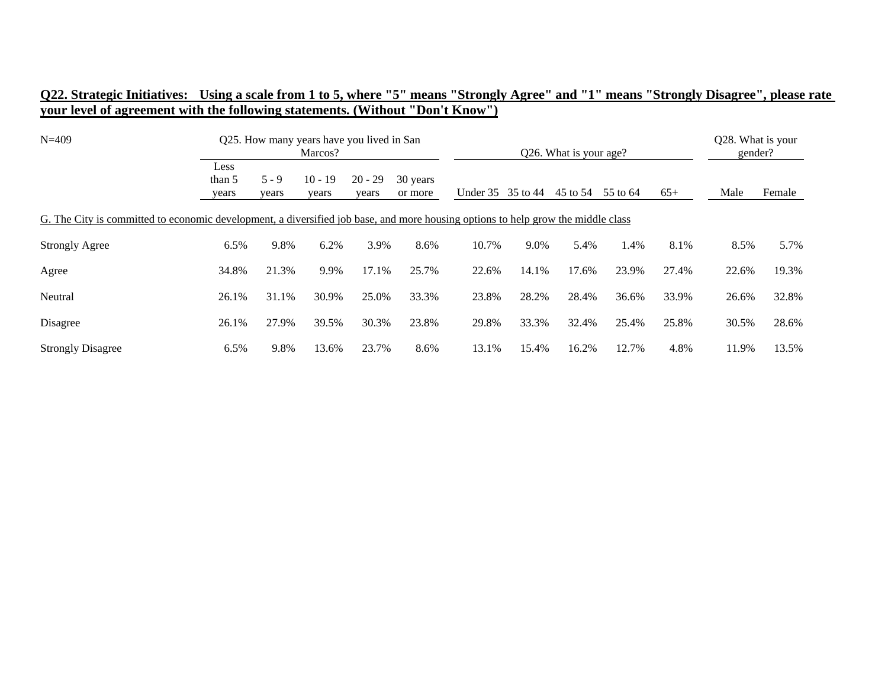| $N = 409$                                                                                                                        | Q25. How many years have you lived in San<br>Marcos? |                  |                    |                    |                     |                   | Q26. What is your age? | Q28. What is your<br>gender? |          |       |       |        |
|----------------------------------------------------------------------------------------------------------------------------------|------------------------------------------------------|------------------|--------------------|--------------------|---------------------|-------------------|------------------------|------------------------------|----------|-------|-------|--------|
|                                                                                                                                  | Less<br>than 5<br>years                              | $5 - 9$<br>years | $10 - 19$<br>years | $20 - 29$<br>years | 30 years<br>or more | Under 35 35 to 44 |                        | 45 to 54                     | 55 to 64 | $65+$ | Male  | Female |
| G. The City is committed to economic development, a diversified job base, and more housing options to help grow the middle class |                                                      |                  |                    |                    |                     |                   |                        |                              |          |       |       |        |
| <b>Strongly Agree</b>                                                                                                            | 6.5%                                                 | 9.8%             | 6.2%               | 3.9%               | 8.6%                | 10.7%             | 9.0%                   | 5.4%                         | 1.4%     | 8.1%  | 8.5%  | 5.7%   |
| Agree                                                                                                                            | 34.8%                                                | 21.3%            | 9.9%               | 17.1%              | 25.7%               | 22.6%             | 14.1%                  | 17.6%                        | 23.9%    | 27.4% | 22.6% | 19.3%  |
| Neutral                                                                                                                          | 26.1%                                                | 31.1%            | 30.9%              | 25.0%              | 33.3%               | 23.8%             | 28.2%                  | 28.4%                        | 36.6%    | 33.9% | 26.6% | 32.8%  |
| Disagree                                                                                                                         | 26.1%                                                | 27.9%            | 39.5%              | 30.3%              | 23.8%               | 29.8%             | 33.3%                  | 32.4%                        | 25.4%    | 25.8% | 30.5% | 28.6%  |
| <b>Strongly Disagree</b>                                                                                                         | 6.5%                                                 | 9.8%             | 13.6%              | 23.7%              | 8.6%                | 13.1%             | 15.4%                  | 16.2%                        | 12.7%    | 4.8%  | 11.9% | 13.5%  |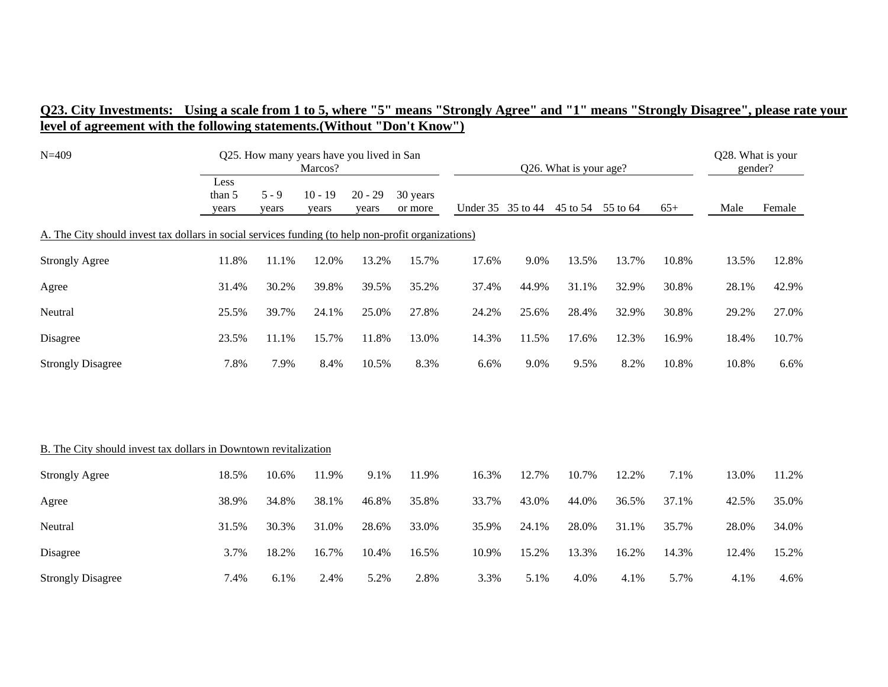| $N = 409$                                                                                           | Q25. How many years have you lived in San<br>Marcos? |                  |                    |                    |                     |                   | Q26. What is your age? | Q28. What is your<br>gender? |          |       |       |        |
|-----------------------------------------------------------------------------------------------------|------------------------------------------------------|------------------|--------------------|--------------------|---------------------|-------------------|------------------------|------------------------------|----------|-------|-------|--------|
|                                                                                                     | Less<br>than 5<br>years                              | $5 - 9$<br>years | $10 - 19$<br>years | $20 - 29$<br>years | 30 years<br>or more | Under 35 35 to 44 |                        | 45 to 54                     | 55 to 64 | $65+$ | Male  | Female |
| A. The City should invest tax dollars in social services funding (to help non-profit organizations) |                                                      |                  |                    |                    |                     |                   |                        |                              |          |       |       |        |
| <b>Strongly Agree</b>                                                                               | 11.8%                                                | 11.1%            | 12.0%              | 13.2%              | 15.7%               | 17.6%             | 9.0%                   | 13.5%                        | 13.7%    | 10.8% | 13.5% | 12.8%  |
| Agree                                                                                               | 31.4%                                                | 30.2%            | 39.8%              | 39.5%              | 35.2%               | 37.4%             | 44.9%                  | 31.1%                        | 32.9%    | 30.8% | 28.1% | 42.9%  |
| Neutral                                                                                             | 25.5%                                                | 39.7%            | 24.1%              | 25.0%              | 27.8%               | 24.2%             | 25.6%                  | 28.4%                        | 32.9%    | 30.8% | 29.2% | 27.0%  |
| Disagree                                                                                            | 23.5%                                                | 11.1%            | 15.7%              | 11.8%              | 13.0%               | 14.3%             | 11.5%                  | 17.6%                        | 12.3%    | 16.9% | 18.4% | 10.7%  |
| <b>Strongly Disagree</b>                                                                            | 7.8%                                                 | 7.9%             | 8.4%               | 10.5%              | 8.3%                | 6.6%              | 9.0%                   | 9.5%                         | 8.2%     | 10.8% | 10.8% | 6.6%   |
|                                                                                                     |                                                      |                  |                    |                    |                     |                   |                        |                              |          |       |       |        |
| B. The City should invest tax dollars in Downtown revitalization                                    |                                                      |                  |                    |                    |                     |                   |                        |                              |          |       |       |        |
| <b>Strongly Agree</b>                                                                               | 18.5%                                                | 10.6%            | 11.9%              | 9.1%               | 11.9%               | 16.3%             | 12.7%                  | 10.7%                        | 12.2%    | 7.1%  | 13.0% | 11.2%  |
| Agree                                                                                               | 38.9%                                                | 34.8%            | 38.1%              | 46.8%              | 35.8%               | 33.7%             | 43.0%                  | 44.0%                        | 36.5%    | 37.1% | 42.5% | 35.0%  |
| Neutral                                                                                             | 31.5%                                                | 30.3%            | 31.0%              | 28.6%              | 33.0%               | 35.9%             | 24.1%                  | 28.0%                        | 31.1%    | 35.7% | 28.0% | 34.0%  |
| Disagree                                                                                            | 3.7%                                                 | 18.2%            | 16.7%              | 10.4%              | 16.5%               | 10.9%             | 15.2%                  | 13.3%                        | 16.2%    | 14.3% | 12.4% | 15.2%  |
| <b>Strongly Disagree</b>                                                                            | 7.4%                                                 | 6.1%             | 2.4%               | 5.2%               | 2.8%                | 3.3%              | 5.1%                   | 4.0%                         | 4.1%     | 5.7%  | 4.1%  | 4.6%   |